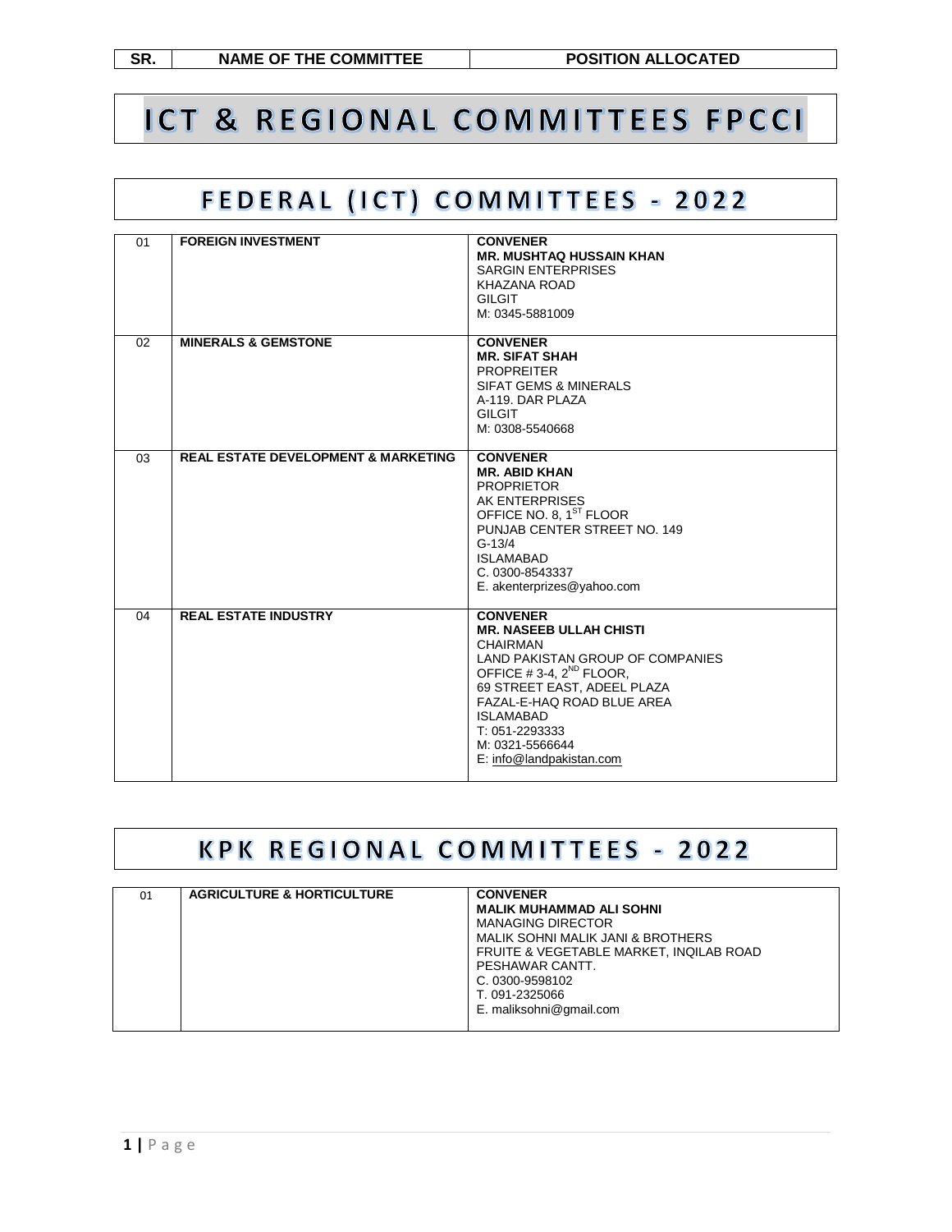**SR. NAME OF THE COMMITTEE POSITION ALLOCATED**

# ICT & REGIONAL COMMITTEES FPCCI

## FEDERAL (ICT) COMMITTEES - 2022

| 01 | <b>FOREIGN INVESTMENT</b>                      | <b>CONVENER</b><br><b>MR. MUSHTAQ HUSSAIN KHAN</b><br><b>SARGIN ENTERPRISES</b><br>KHAZANA ROAD<br><b>GILGIT</b><br>M: 0345-5881009                                                                                                                                                               |
|----|------------------------------------------------|---------------------------------------------------------------------------------------------------------------------------------------------------------------------------------------------------------------------------------------------------------------------------------------------------|
| 02 | <b>MINERALS &amp; GEMSTONE</b>                 | <b>CONVENER</b><br><b>MR. SIFAT SHAH</b><br><b>PROPREITER</b><br><b>SIFAT GEMS &amp; MINERALS</b><br>A-119. DAR PLAZA<br><b>GILGIT</b><br>M: 0308-5540668                                                                                                                                         |
| 03 | <b>REAL ESTATE DEVELOPMENT &amp; MARKETING</b> | <b>CONVENER</b><br><b>MR. ABID KHAN</b><br><b>PROPRIETOR</b><br>AK ENTERPRISES<br>OFFICE NO. 8, 1 <sup>ST</sup> FLOOR<br>PUNJAB CENTER STREET NO. 149<br>$G-13/4$<br><b>ISLAMABAD</b><br>C. 0300-8543337<br>E. akenterprizes@yahoo.com                                                            |
| 04 | <b>REAL ESTATE INDUSTRY</b>                    | <b>CONVENER</b><br><b>MR. NASEEB ULLAH CHISTI</b><br><b>CHAIRMAN</b><br>LAND PAKISTAN GROUP OF COMPANIES<br>OFFICE #3-4, 2 <sup>ND</sup> FLOOR,<br>69 STREET EAST, ADEEL PLAZA<br>FAZAL-E-HAQ ROAD BLUE AREA<br><b>ISLAMABAD</b><br>T: 051-2293333<br>M: 0321-5566644<br>E: info@landpakistan.com |

#### **KPK REGIONAL COMMITTEES - 2022**

| 01 | <b>AGRICULTURE &amp; HORTICULTURE</b> | <b>CONVENER</b><br><b>MALIK MUHAMMAD ALI SOHNI</b><br><b>MANAGING DIRECTOR</b><br>MALIK SOHNI MALIK JANI & BROTHERS<br>FRUITE & VEGETABLE MARKET. INQILAB ROAD<br>PESHAWAR CANTT.<br>C. 0300-9598102<br>T. 091-2325066<br>E. maliksohni@gmail.com |
|----|---------------------------------------|---------------------------------------------------------------------------------------------------------------------------------------------------------------------------------------------------------------------------------------------------|
|    |                                       |                                                                                                                                                                                                                                                   |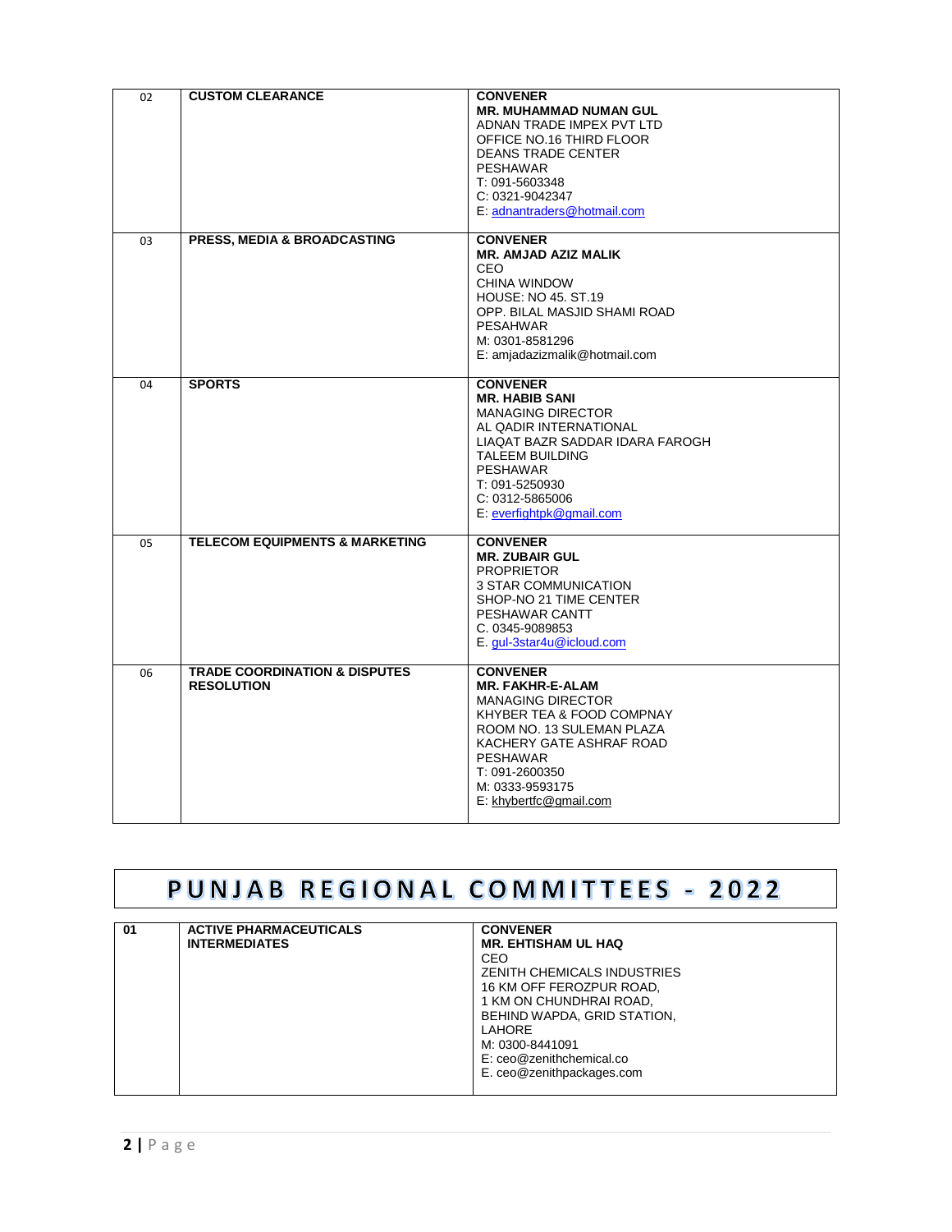| 02 | <b>CUSTOM CLEARANCE</b>                                       | <b>CONVENER</b><br><b>MR. MUHAMMAD NUMAN GUL</b><br>ADNAN TRADE IMPEX PVT LTD<br>OFFICE NO.16 THIRD FLOOR<br><b>DEANS TRADE CENTER</b><br><b>PESHAWAR</b><br>T: 091-5603348<br>C: 0321-9042347<br>E: adnantraders@hotmail.com                   |
|----|---------------------------------------------------------------|-------------------------------------------------------------------------------------------------------------------------------------------------------------------------------------------------------------------------------------------------|
| 03 | PRESS, MEDIA & BROADCASTING                                   | <b>CONVENER</b><br><b>MR. AMJAD AZIZ MALIK</b><br><b>CEO</b><br>CHINA WINDOW<br><b>HOUSE: NO 45, ST.19</b><br>OPP. BILAL MASJID SHAMI ROAD<br><b>PESAHWAR</b><br>M: 0301-8581296<br>E: amjadazizmalik@hotmail.com                               |
| 04 | <b>SPORTS</b>                                                 | <b>CONVENER</b><br><b>MR. HABIB SANI</b><br><b>MANAGING DIRECTOR</b><br>AL QADIR INTERNATIONAL<br>LIAQAT BAZR SADDAR IDARA FAROGH<br><b>TALEEM BUILDING</b><br><b>PESHAWAR</b><br>T: 091-5250930<br>C: 0312-5865006<br>E: everfightpk@gmail.com |
| 05 | <b>TELECOM EQUIPMENTS &amp; MARKETING</b>                     | <b>CONVENER</b><br><b>MR. ZUBAIR GUL</b><br><b>PROPRIETOR</b><br>3 STAR COMMUNICATION<br>SHOP-NO 21 TIME CENTER<br>PESHAWAR CANTT<br>C. 0345-9089853<br>E. gul-3star4u@icloud.com                                                               |
| 06 | <b>TRADE COORDINATION &amp; DISPUTES</b><br><b>RESOLUTION</b> | <b>CONVENER</b><br><b>MR. FAKHR-E-ALAM</b><br><b>MANAGING DIRECTOR</b><br>KHYBER TEA & FOOD COMPNAY<br>ROOM NO. 13 SULEMAN PLAZA<br>KACHERY GATE ASHRAF ROAD<br><b>PESHAWAR</b><br>T: 091-2600350<br>M: 0333-9593175<br>E: khybertfc@gmail.com  |

# PUNJAB REGIONAL COMMITTEES - 2022

| 01 | <b>ACTIVE PHARMACEUTICALS</b> | <b>CONVENER</b>             |
|----|-------------------------------|-----------------------------|
|    | <b>INTERMEDIATES</b>          | <b>MR. EHTISHAM UL HAQ</b>  |
|    |                               | CEO                         |
|    |                               | ZENITH CHEMICALS INDUSTRIES |
|    |                               | 16 KM OFF FEROZPUR ROAD,    |
|    |                               | 1 KM ON CHUNDHRAI ROAD,     |
|    |                               | BEHIND WAPDA, GRID STATION, |
|    |                               | <b>LAHORE</b>               |
|    |                               | M: 0300-8441091             |
|    |                               | E: ceo@zenithchemical.co    |
|    |                               | E. ceo@zenithpackages.com   |
|    |                               |                             |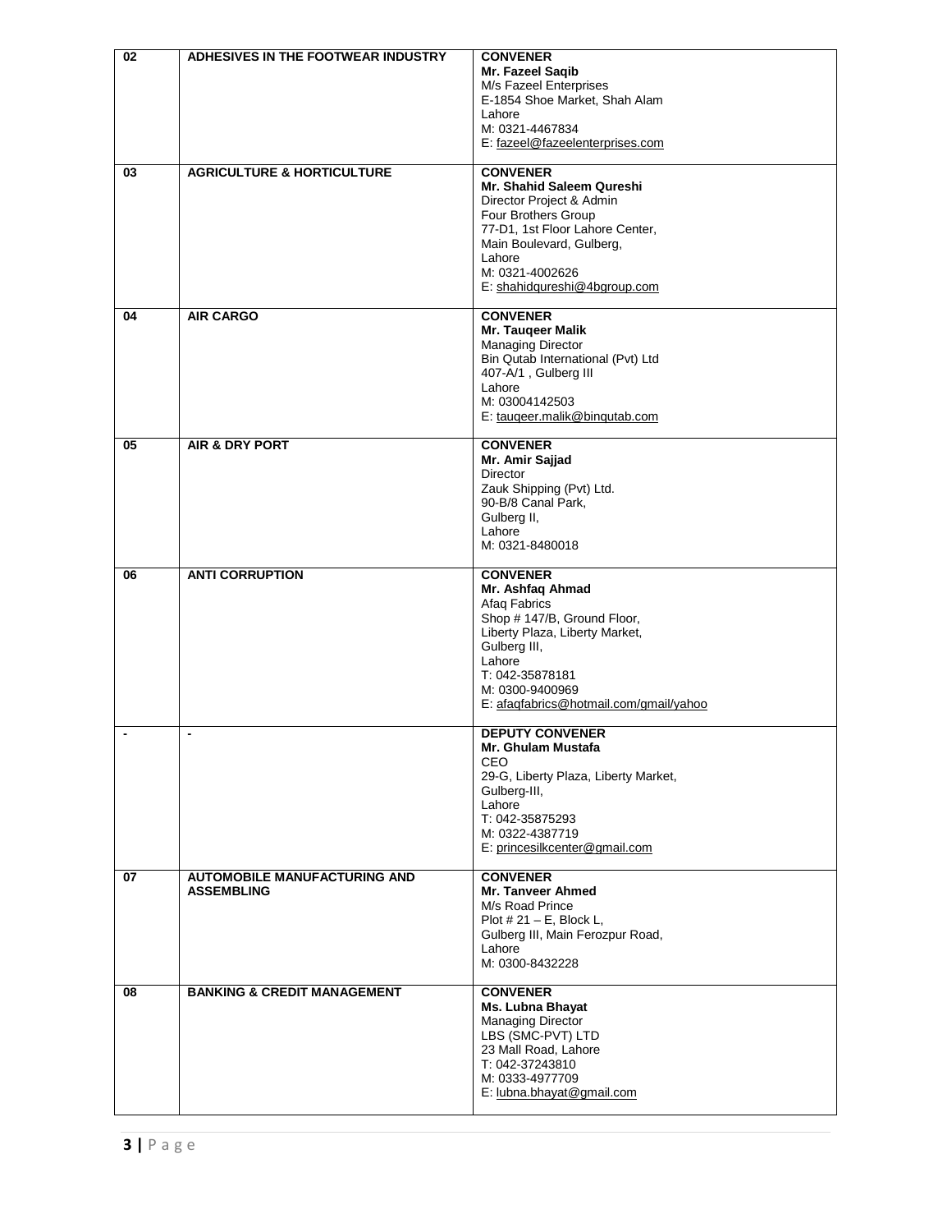| 02 | ADHESIVES IN THE FOOTWEAR INDUSTRY                       | <b>CONVENER</b><br>Mr. Fazeel Saqib<br>M/s Fazeel Enterprises<br>E-1854 Shoe Market, Shah Alam<br>Lahore<br>M: 0321-4467834<br>E: fazeel@fazeelenterprises.com                                                                 |
|----|----------------------------------------------------------|--------------------------------------------------------------------------------------------------------------------------------------------------------------------------------------------------------------------------------|
| 03 | <b>AGRICULTURE &amp; HORTICULTURE</b>                    | <b>CONVENER</b><br>Mr. Shahid Saleem Qureshi<br>Director Project & Admin<br>Four Brothers Group<br>77-D1, 1st Floor Lahore Center,<br>Main Boulevard, Gulberg,<br>Lahore<br>M: 0321-4002626<br>E: shahidqureshi@4bgroup.com    |
| 04 | <b>AIR CARGO</b>                                         | <b>CONVENER</b><br>Mr. Tauqeer Malik<br><b>Managing Director</b><br>Bin Qutab International (Pvt) Ltd<br>407-A/1, Gulberg III<br>Lahore<br>M: 03004142503<br>E: taugeer.malik@bingutab.com                                     |
| 05 | <b>AIR &amp; DRY PORT</b>                                | <b>CONVENER</b><br>Mr. Amir Sajjad<br><b>Director</b><br>Zauk Shipping (Pvt) Ltd.<br>90-B/8 Canal Park,<br>Gulberg II,<br>Lahore<br>M: 0321-8480018                                                                            |
| 06 | <b>ANTI CORRUPTION</b>                                   | <b>CONVENER</b><br>Mr. Ashfaq Ahmad<br>Afaq Fabrics<br>Shop # 147/B, Ground Floor,<br>Liberty Plaza, Liberty Market,<br>Gulberg III,<br>Lahore<br>T: 042-35878181<br>M: 0300-9400969<br>E: afaqfabrics@hotmail.com/gmail/yahoo |
|    |                                                          | <b>DEPUTY CONVENER</b><br>Mr. Ghulam Mustafa<br><b>CEO</b><br>29-G, Liberty Plaza, Liberty Market,<br>Gulberg-III,<br>Lahore<br>T: 042-35875293<br>M: 0322-4387719<br>E: princesilkcenter@gmail.com                            |
| 07 | <b>AUTOMOBILE MANUFACTURING AND</b><br><b>ASSEMBLING</b> | <b>CONVENER</b><br>Mr. Tanveer Ahmed<br>M/s Road Prince<br>Plot $\#$ 21 – E, Block L,<br>Gulberg III, Main Ferozpur Road,<br>Lahore<br>M: 0300-8432228                                                                         |
| 08 | <b>BANKING &amp; CREDIT MANAGEMENT</b>                   | <b>CONVENER</b><br>Ms. Lubna Bhayat<br><b>Managing Director</b><br>LBS (SMC-PVT) LTD<br>23 Mall Road, Lahore<br>T: 042-37243810<br>M: 0333-4977709<br>E: lubna.bhayat@gmail.com                                                |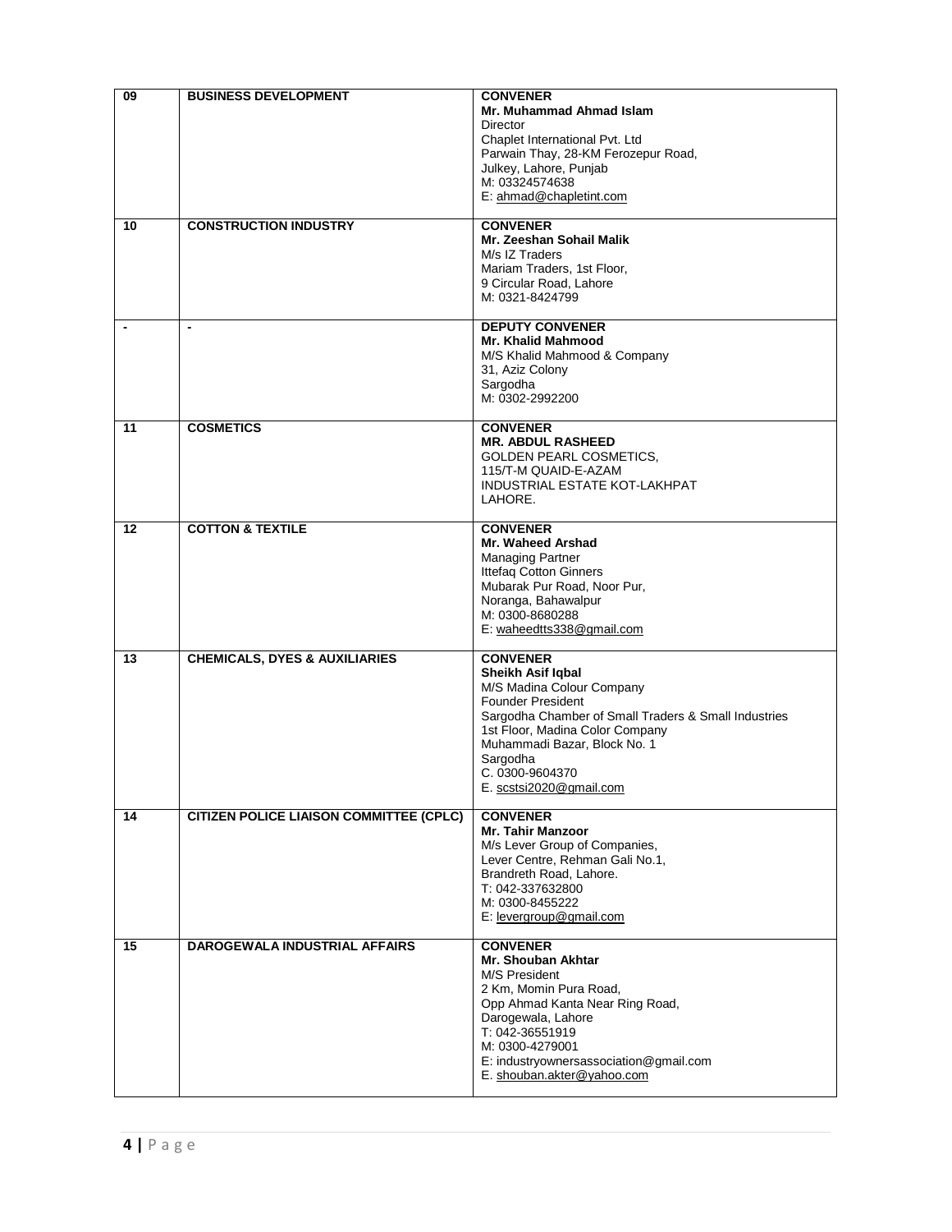| 09 | <b>BUSINESS DEVELOPMENT</b>                    | <b>CONVENER</b><br>Mr. Muhammad Ahmad Islam<br>Director<br>Chaplet International Pvt. Ltd<br>Parwain Thay, 28-KM Ferozepur Road,<br>Julkey, Lahore, Punjab                                                                                                                         |
|----|------------------------------------------------|------------------------------------------------------------------------------------------------------------------------------------------------------------------------------------------------------------------------------------------------------------------------------------|
|    |                                                | M: 03324574638<br>E: ahmad@chapletint.com                                                                                                                                                                                                                                          |
| 10 | <b>CONSTRUCTION INDUSTRY</b>                   | <b>CONVENER</b><br>Mr. Zeeshan Sohail Malik<br>M/s IZ Traders<br>Mariam Traders, 1st Floor,<br>9 Circular Road, Lahore<br>M: 0321-8424799                                                                                                                                          |
|    | $\overline{\phantom{a}}$                       | <b>DEPUTY CONVENER</b><br>Mr. Khalid Mahmood<br>M/S Khalid Mahmood & Company<br>31, Aziz Colony<br>Sargodha<br>M: 0302-2992200                                                                                                                                                     |
| 11 | <b>COSMETICS</b>                               | <b>CONVENER</b><br><b>MR. ABDUL RASHEED</b><br><b>GOLDEN PEARL COSMETICS,</b><br>115/T-M QUAID-E-AZAM<br>INDUSTRIAL ESTATE KOT-LAKHPAT<br>LAHORE.                                                                                                                                  |
| 12 | <b>COTTON &amp; TEXTILE</b>                    | <b>CONVENER</b><br>Mr. Waheed Arshad<br><b>Managing Partner</b><br>Ittefaq Cotton Ginners<br>Mubarak Pur Road, Noor Pur,<br>Noranga, Bahawalpur<br>M: 0300-8680288<br>E: waheedtts338@gmail.com                                                                                    |
| 13 | <b>CHEMICALS, DYES &amp; AUXILIARIES</b>       | <b>CONVENER</b><br>Sheikh Asif Iqbal<br>M/S Madina Colour Company<br><b>Founder President</b><br>Sargodha Chamber of Small Traders & Small Industries<br>1st Floor, Madina Color Company<br>Muhammadi Bazar, Block No. 1<br>Sargodha<br>C. 0300-9604370<br>E. scstsi2020@gmail.com |
| 14 | <b>CITIZEN POLICE LIAISON COMMITTEE (CPLC)</b> | <b>CONVENER</b><br><b>Mr. Tahir Manzoor</b><br>M/s Lever Group of Companies,<br>Lever Centre, Rehman Gali No.1,<br>Brandreth Road, Lahore.<br>T: 042-337632800<br>M: 0300-8455222<br>E: levergroup@gmail.com                                                                       |
| 15 | <b>DAROGEWALA INDUSTRIAL AFFAIRS</b>           | <b>CONVENER</b><br>Mr. Shouban Akhtar<br>M/S President<br>2 Km, Momin Pura Road,<br>Opp Ahmad Kanta Near Ring Road,<br>Darogewala, Lahore<br>T: 042-36551919<br>M: 0300-4279001<br>E: industryownersassociation@gmail.com<br>E. shouban.akter@yahoo.com                            |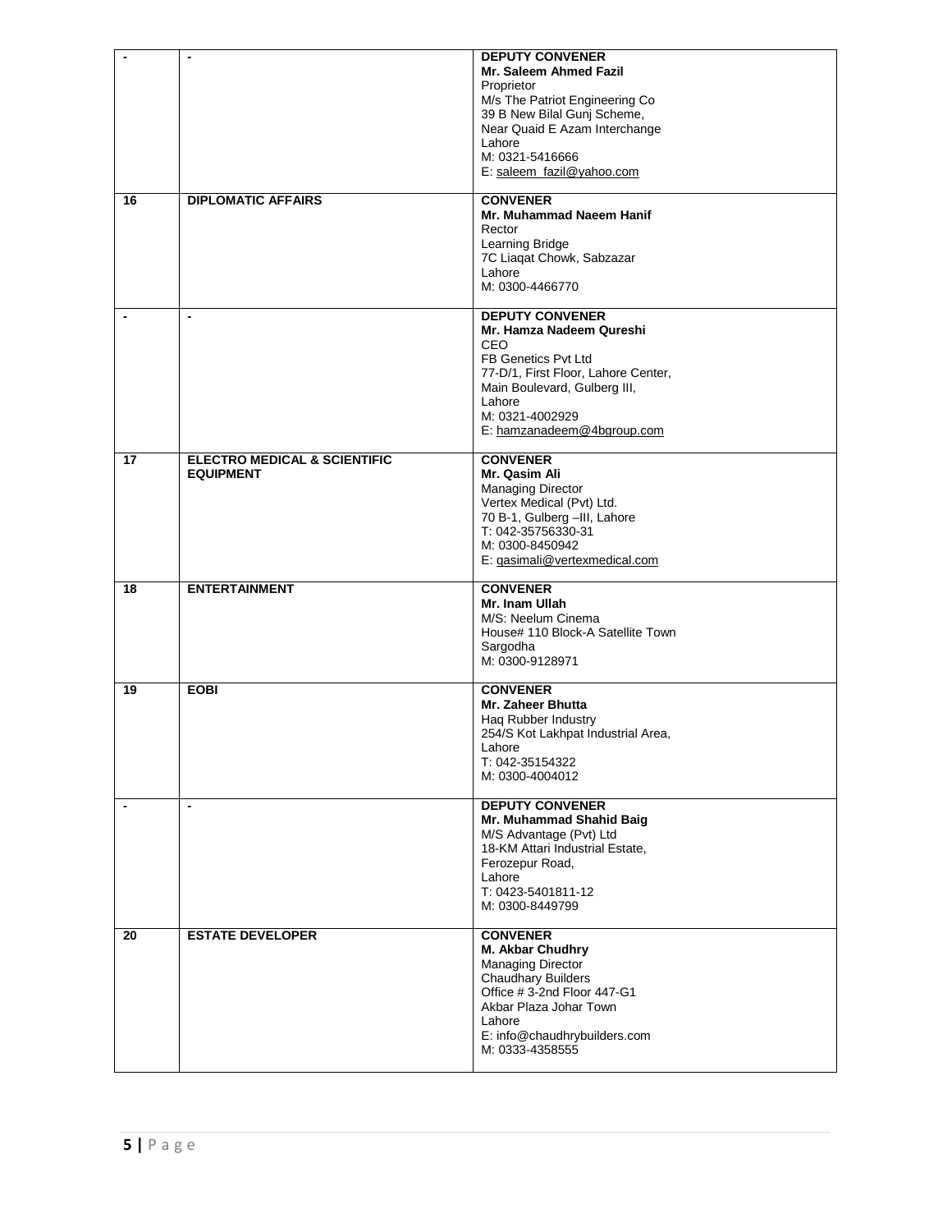|                | $\blacksquare$                                              | <b>DEPUTY CONVENER</b><br>Mr. Saleem Ahmed Fazil<br>Proprietor<br>M/s The Patriot Engineering Co<br>39 B New Bilal Gunj Scheme,<br>Near Quaid E Azam Interchange<br>Lahore<br>M: 0321-5416666<br>E: saleem_fazil@yahoo.com |
|----------------|-------------------------------------------------------------|----------------------------------------------------------------------------------------------------------------------------------------------------------------------------------------------------------------------------|
| 16             | <b>DIPLOMATIC AFFAIRS</b>                                   | <b>CONVENER</b><br>Mr. Muhammad Naeem Hanif<br>Rector<br>Learning Bridge<br>7C Liagat Chowk, Sabzazar<br>Lahore<br>M: 0300-4466770                                                                                         |
|                | $\blacksquare$                                              | <b>DEPUTY CONVENER</b><br>Mr. Hamza Nadeem Qureshi<br><b>CEO</b><br>FB Genetics Pvt Ltd<br>77-D/1, First Floor, Lahore Center,<br>Main Boulevard, Gulberg III,<br>Lahore<br>M: 0321-4002929<br>E: hamzanadeem@4bgroup.com  |
| 17             | <b>ELECTRO MEDICAL &amp; SCIENTIFIC</b><br><b>EQUIPMENT</b> | <b>CONVENER</b><br>Mr. Qasim Ali<br><b>Managing Director</b><br>Vertex Medical (Pvt) Ltd.<br>70 B-1, Gulberg -III, Lahore<br>T: 042-35756330-31<br>M: 0300-8450942<br>E: gasimali@vertexmedical.com                        |
| 18             | <b>ENTERTAINMENT</b>                                        | <b>CONVENER</b><br>Mr. Inam Ullah<br>M/S: Neelum Cinema<br>House# 110 Block-A Satellite Town<br>Sargodha<br>M: 0300-9128971                                                                                                |
| 19             | <b>EOBI</b>                                                 | <b>CONVENER</b><br>Mr. Zaheer Bhutta<br>Hag Rubber Industry<br>254/S Kot Lakhpat Industrial Area,<br>Lahore<br>T: 042-35154322<br>M: 0300-4004012                                                                          |
| $\blacksquare$ | $\blacksquare$                                              | <b>DEPUTY CONVENER</b><br>Mr. Muhammad Shahid Baig<br>M/S Advantage (Pvt) Ltd<br>18-KM Attari Industrial Estate,<br>Ferozepur Road,<br>Lahore<br>T: 0423-5401811-12<br>M: 0300-8449799                                     |
| 20             | <b>ESTATE DEVELOPER</b>                                     | <b>CONVENER</b><br>M. Akbar Chudhry<br><b>Managing Director</b><br>Chaudhary Builders<br>Office #3-2nd Floor 447-G1<br>Akbar Plaza Johar Town<br>Lahore<br>E: info@chaudhrybuilders.com<br>M: 0333-4358555                 |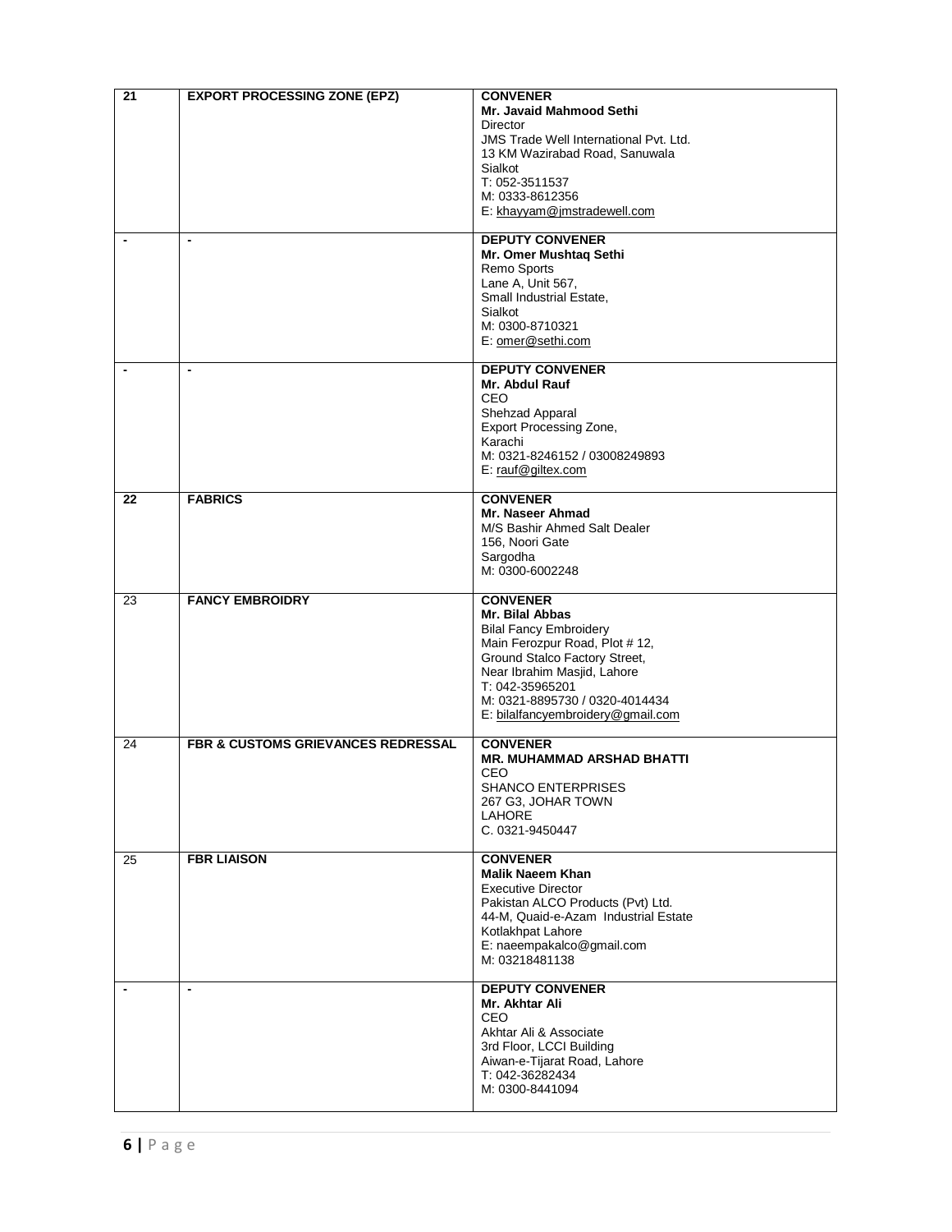| 21             | <b>EXPORT PROCESSING ZONE (EPZ)</b>           | <b>CONVENER</b><br>Mr. Javaid Mahmood Sethi<br>Director<br>JMS Trade Well International Pvt. Ltd.<br>13 KM Wazirabad Road, Sanuwala<br>Sialkot<br>T: 052-3511537<br>M: 0333-8612356<br>E: khayyam@jmstradewell.com                                             |
|----------------|-----------------------------------------------|----------------------------------------------------------------------------------------------------------------------------------------------------------------------------------------------------------------------------------------------------------------|
| $\blacksquare$ | $\blacksquare$                                | <b>DEPUTY CONVENER</b><br>Mr. Omer Mushtaq Sethi<br>Remo Sports<br>Lane A, Unit 567,<br>Small Industrial Estate,<br>Sialkot<br>M: 0300-8710321<br>E: omer@sethi.com                                                                                            |
|                | $\blacksquare$                                | <b>DEPUTY CONVENER</b><br>Mr. Abdul Rauf<br><b>CEO</b><br>Shehzad Apparal<br>Export Processing Zone,<br>Karachi<br>M: 0321-8246152 / 03008249893<br>E: rauf@giltex.com                                                                                         |
| 22             | <b>FABRICS</b>                                | <b>CONVENER</b><br>Mr. Naseer Ahmad<br>M/S Bashir Ahmed Salt Dealer<br>156, Noori Gate<br>Sargodha<br>M: 0300-6002248                                                                                                                                          |
| 23             | <b>FANCY EMBROIDRY</b>                        | <b>CONVENER</b><br>Mr. Bilal Abbas<br><b>Bilal Fancy Embroidery</b><br>Main Ferozpur Road, Plot #12,<br>Ground Stalco Factory Street,<br>Near Ibrahim Masjid, Lahore<br>T: 042-35965201<br>M: 0321-8895730 / 0320-4014434<br>E: bilalfancyembroidery@gmail.com |
| 24             | <b>FBR &amp; CUSTOMS GRIEVANCES REDRESSAL</b> | <b>CONVENER</b><br><b>MR. MUHAMMAD ARSHAD BHATTI</b><br>CEO<br><b>SHANCO ENTERPRISES</b><br>267 G3, JOHAR TOWN<br>LAHORE<br>C. 0321-9450447                                                                                                                    |
| 25             | <b>FBR LIAISON</b>                            | <b>CONVENER</b><br><b>Malik Naeem Khan</b><br><b>Executive Director</b><br>Pakistan ALCO Products (Pvt) Ltd.<br>44-M, Quaid-e-Azam Industrial Estate<br>Kotlakhpat Lahore<br>E: naeempakalco@gmail.com<br>M: 03218481138                                       |
|                | $\blacksquare$                                | <b>DEPUTY CONVENER</b><br>Mr. Akhtar Ali<br><b>CEO</b><br>Akhtar Ali & Associate<br>3rd Floor, LCCI Building<br>Aiwan-e-Tijarat Road, Lahore<br>T: 042-36282434<br>M: 0300-8441094                                                                             |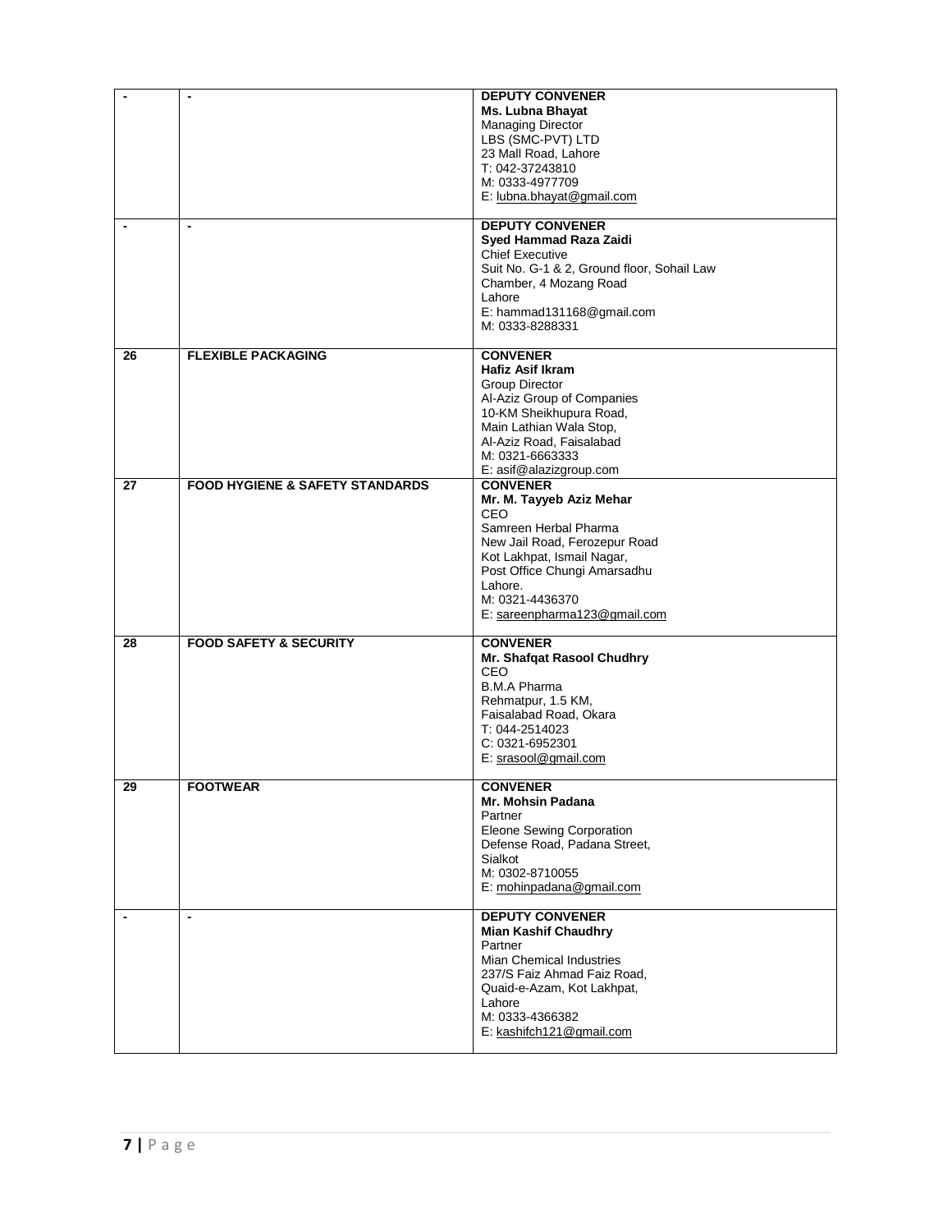|    | $\blacksquare$                             | <b>DEPUTY CONVENER</b><br><b>Ms. Lubna Bhayat</b><br><b>Managing Director</b><br>LBS (SMC-PVT) LTD<br>23 Mall Road, Lahore<br>T: 042-37243810<br>M: 0333-4977709<br>E: lubna.bhayat@gmail.com                                                   |
|----|--------------------------------------------|-------------------------------------------------------------------------------------------------------------------------------------------------------------------------------------------------------------------------------------------------|
| ٠  | $\overline{\phantom{a}}$                   | <b>DEPUTY CONVENER</b><br>Syed Hammad Raza Zaidi<br><b>Chief Executive</b><br>Suit No. G-1 & 2, Ground floor, Sohail Law<br>Chamber, 4 Mozang Road<br>Lahore<br>E: hammad131168@gmail.com<br>M: 0333-8288331                                    |
| 26 | <b>FLEXIBLE PACKAGING</b>                  | <b>CONVENER</b><br><b>Hafiz Asif Ikram</b><br>Group Director<br>Al-Aziz Group of Companies<br>10-KM Sheikhupura Road,<br>Main Lathian Wala Stop,<br>Al-Aziz Road. Faisalabad<br>M: 0321-6663333<br>E: asif@alazizgroup.com                      |
| 27 | <b>FOOD HYGIENE &amp; SAFETY STANDARDS</b> | <b>CONVENER</b><br>Mr. M. Tayyeb Aziz Mehar<br><b>CEO</b><br>Samreen Herbal Pharma<br>New Jail Road, Ferozepur Road<br>Kot Lakhpat, Ismail Nagar,<br>Post Office Chungi Amarsadhu<br>Lahore.<br>M: 0321-4436370<br>E: sareenpharma123@gmail.com |
| 28 | <b>FOOD SAFETY &amp; SECURITY</b>          | <b>CONVENER</b><br>Mr. Shafqat Rasool Chudhry<br><b>CEO</b><br><b>B.M.A Pharma</b><br>Rehmatpur, 1.5 KM,<br>Faisalabad Road, Okara<br>T: 044-2514023<br>C: 0321-6952301<br>E: srasool@gmail.com                                                 |
| 29 | <b>FOOTWEAR</b>                            | <b>CONVENER</b><br>Mr. Mohsin Padana<br>Partner<br>Eleone Sewing Corporation<br>Defense Road, Padana Street,<br>Sialkot<br>M: 0302-8710055<br>E: mohinpadana@gmail.com                                                                          |
| ٠  | $\overline{\phantom{a}}$                   | <b>DEPUTY CONVENER</b><br><b>Mian Kashif Chaudhry</b><br>Partner<br><b>Mian Chemical Industries</b><br>237/S Faiz Ahmad Faiz Road,<br>Quaid-e-Azam, Kot Lakhpat,<br>Lahore<br>M: 0333-4366382<br>E: kashifch121@gmail.com                       |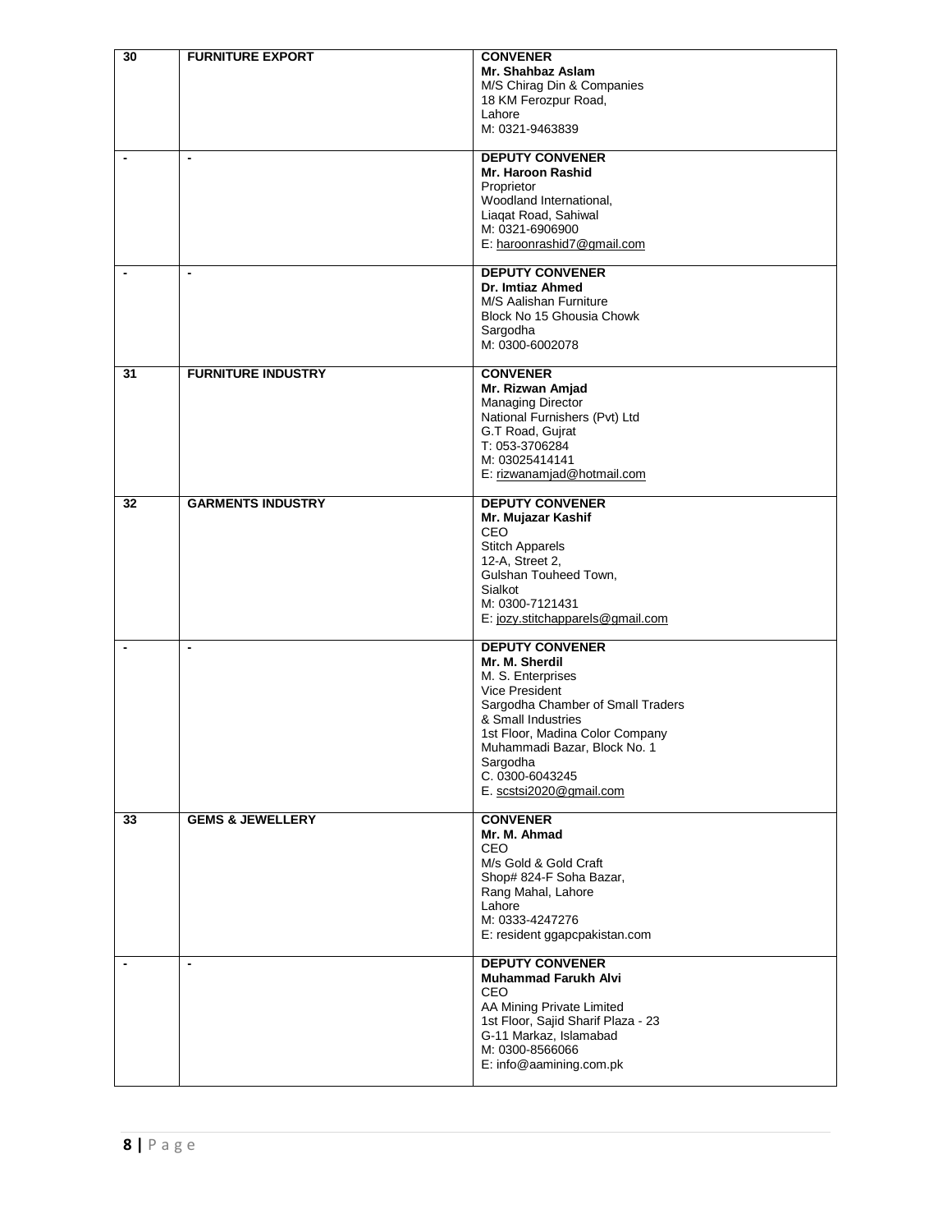| 30                       | <b>FURNITURE EXPORT</b>     | <b>CONVENER</b><br>Mr. Shahbaz Aslam<br>M/S Chirag Din & Companies<br>18 KM Ferozpur Road,<br>Lahore<br>M: 0321-9463839                                                                                                                                                        |
|--------------------------|-----------------------------|--------------------------------------------------------------------------------------------------------------------------------------------------------------------------------------------------------------------------------------------------------------------------------|
| $\blacksquare$           | $\overline{\phantom{a}}$    | <b>DEPUTY CONVENER</b><br>Mr. Haroon Rashid<br>Proprietor<br>Woodland International,<br>Liagat Road, Sahiwal<br>M: 0321-6906900<br>E: haroonrashid7@gmail.com                                                                                                                  |
| $\overline{\phantom{a}}$ | $\blacksquare$              | <b>DEPUTY CONVENER</b><br>Dr. Imtiaz Ahmed<br>M/S Aalishan Furniture<br>Block No 15 Ghousia Chowk<br>Sargodha<br>M: 0300-6002078                                                                                                                                               |
| 31                       | <b>FURNITURE INDUSTRY</b>   | <b>CONVENER</b><br>Mr. Rizwan Amjad<br><b>Managing Director</b><br>National Furnishers (Pvt) Ltd<br>G.T Road, Gujrat<br>T: 053-3706284<br>M: 03025414141<br>E: rizwanamjad@hotmail.com                                                                                         |
| 32                       | <b>GARMENTS INDUSTRY</b>    | <b>DEPUTY CONVENER</b><br>Mr. Mujazar Kashif<br><b>CEO</b><br><b>Stitch Apparels</b><br>12-A, Street 2,<br>Gulshan Touheed Town,<br>Sialkot<br>M: 0300-7121431<br>E: jozy.stitchapparels@gmail.com                                                                             |
| $\overline{\phantom{a}}$ | $\blacksquare$              | <b>DEPUTY CONVENER</b><br>Mr. M. Sherdil<br>M. S. Enterprises<br><b>Vice President</b><br>Sargodha Chamber of Small Traders<br>& Small Industries<br>1st Floor, Madina Color Company<br>Muhammadi Bazar, Block No. 1<br>Sargodha<br>C. 0300-6043245<br>E. scstsi2020@gmail.com |
| 33                       | <b>GEMS &amp; JEWELLERY</b> | <b>CONVENER</b><br>Mr. M. Ahmad<br>CEO<br>M/s Gold & Gold Craft<br>Shop# 824-F Soha Bazar,<br>Rang Mahal, Lahore<br>Lahore<br>M: 0333-4247276<br>E: resident ggapcpakistan.com                                                                                                 |
|                          | $\blacksquare$              | <b>DEPUTY CONVENER</b><br><b>Muhammad Farukh Alvi</b><br><b>CEO</b><br>AA Mining Private Limited<br>1st Floor, Sajid Sharif Plaza - 23<br>G-11 Markaz, Islamabad<br>M: 0300-8566066<br>E: info@aamining.com.pk                                                                 |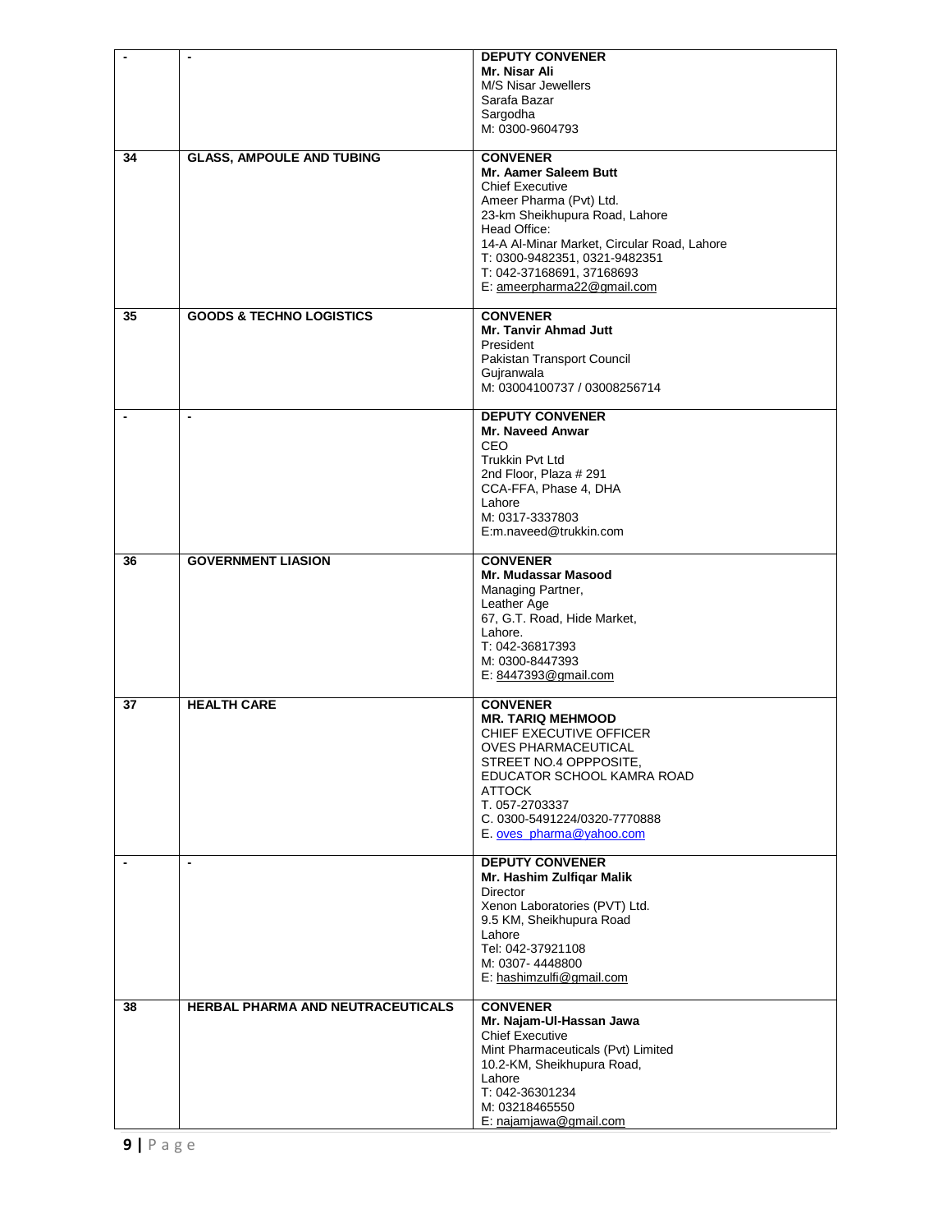|                | $\blacksquare$                      | <b>DEPUTY CONVENER</b>                      |
|----------------|-------------------------------------|---------------------------------------------|
|                |                                     | Mr. Nisar Ali                               |
|                |                                     | M/S Nisar Jewellers                         |
|                |                                     | Sarafa Bazar                                |
|                |                                     | Sargodha                                    |
|                |                                     | M: 0300-9604793                             |
|                |                                     |                                             |
| 34             | <b>GLASS, AMPOULE AND TUBING</b>    | <b>CONVENER</b>                             |
|                |                                     | Mr. Aamer Saleem Butt                       |
|                |                                     | <b>Chief Executive</b>                      |
|                |                                     | Ameer Pharma (Pvt) Ltd.                     |
|                |                                     | 23-km Sheikhupura Road, Lahore              |
|                |                                     | Head Office:                                |
|                |                                     | 14-A Al-Minar Market, Circular Road, Lahore |
|                |                                     | T: 0300-9482351, 0321-9482351               |
|                |                                     | T: 042-37168691, 37168693                   |
|                |                                     | E: ameerpharma22@gmail.com                  |
|                |                                     |                                             |
| 35             | <b>GOODS &amp; TECHNO LOGISTICS</b> | <b>CONVENER</b>                             |
|                |                                     | Mr. Tanvir Ahmad Jutt                       |
|                |                                     | President                                   |
|                |                                     | Pakistan Transport Council                  |
|                |                                     | Gujranwala                                  |
|                |                                     | M: 03004100737 / 03008256714                |
|                |                                     |                                             |
|                | $\blacksquare$                      | <b>DEPUTY CONVENER</b>                      |
|                |                                     | Mr. Naveed Anwar                            |
|                |                                     | CEO                                         |
|                |                                     | <b>Trukkin Pvt Ltd</b>                      |
|                |                                     | 2nd Floor, Plaza # 291                      |
|                |                                     | CCA-FFA, Phase 4, DHA                       |
|                |                                     | Lahore                                      |
|                |                                     | M: 0317-3337803                             |
|                |                                     | E:m.naveed@trukkin.com                      |
|                |                                     |                                             |
| 36             | <b>GOVERNMENT LIASION</b>           | <b>CONVENER</b>                             |
|                |                                     | Mr. Mudassar Masood                         |
|                |                                     | Managing Partner,                           |
|                |                                     | Leather Age<br>67, G.T. Road, Hide Market,  |
|                |                                     | Lahore.                                     |
|                |                                     | T: 042-36817393                             |
|                |                                     | M: 0300-8447393                             |
|                |                                     | E: 8447393@gmail.com                        |
|                |                                     |                                             |
| 37             | <b>HEALTH CARE</b>                  | <b>CONVENER</b>                             |
|                |                                     | <b>MR. TARIQ MEHMOOD</b>                    |
|                |                                     | CHIEF EXECUTIVE OFFICER                     |
|                |                                     | OVES PHARMACEUTICAL                         |
|                |                                     | STREET NO.4 OPPPOSITE,                      |
|                |                                     | EDUCATOR SCHOOL KAMRA ROAD                  |
|                |                                     | <b>ATTOCK</b>                               |
|                |                                     | T. 057-2703337                              |
|                |                                     | C. 0300-5491224/0320-7770888                |
|                |                                     | E. oves_pharma@yahoo.com                    |
|                |                                     |                                             |
| $\blacksquare$ | $\overline{\phantom{a}}$            | <b>DEPUTY CONVENER</b>                      |
|                |                                     | Mr. Hashim Zulfiqar Malik                   |
|                |                                     | Director                                    |
|                |                                     | Xenon Laboratories (PVT) Ltd.               |
|                |                                     | 9.5 KM, Sheikhupura Road                    |
|                |                                     | Lahore                                      |
|                |                                     | Tel: 042-37921108                           |
|                |                                     | M: 0307-4448800                             |
|                |                                     | E: hashimzulfi@gmail.com                    |
|                |                                     |                                             |
| 38             | HERBAL PHARMA AND NEUTRACEUTICALS   | <b>CONVENER</b>                             |
|                |                                     | Mr. Najam-Ul-Hassan Jawa                    |
|                |                                     | <b>Chief Executive</b>                      |
|                |                                     | Mint Pharmaceuticals (Pvt) Limited          |
|                |                                     | 10.2-KM, Sheikhupura Road,                  |
|                |                                     | Lahore                                      |
|                |                                     | T: 042-36301234                             |
|                |                                     | M: 03218465550                              |
|                |                                     | E: najamjawa@gmail.com                      |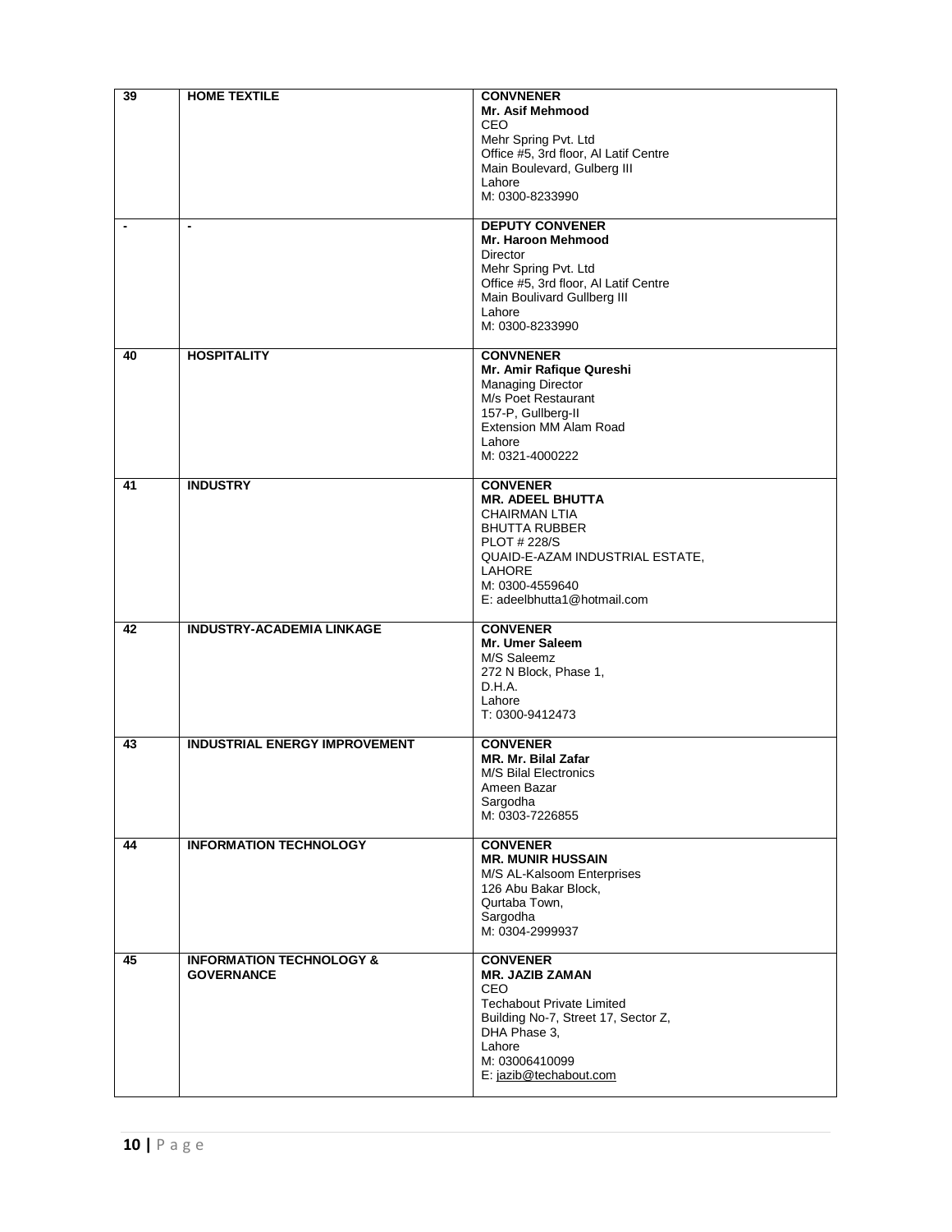| 39                       | <b>HOME TEXTILE</b>                                      | <b>CONVNENER</b><br><b>Mr. Asif Mehmood</b><br>CEO<br>Mehr Spring Pvt. Ltd<br>Office #5, 3rd floor, Al Latif Centre<br>Main Boulevard, Gulberg III<br>Lahore<br>M: 0300-8233990                                  |
|--------------------------|----------------------------------------------------------|------------------------------------------------------------------------------------------------------------------------------------------------------------------------------------------------------------------|
| $\overline{\phantom{a}}$ | $\overline{\phantom{a}}$                                 | <b>DEPUTY CONVENER</b><br><b>Mr. Haroon Mehmood</b><br>Director<br>Mehr Spring Pvt. Ltd<br>Office #5, 3rd floor, Al Latif Centre<br>Main Boulivard Gullberg III<br>Lahore<br>M: 0300-8233990                     |
| 40                       | <b>HOSPITALITY</b>                                       | <b>CONVNENER</b><br>Mr. Amir Rafique Qureshi<br>Managing Director<br>M/s Poet Restaurant<br>157-P, Gullberg-II<br>Extension MM Alam Road<br>Lahore<br>M: 0321-4000222                                            |
| 41                       | <b>INDUSTRY</b>                                          | <b>CONVENER</b><br><b>MR. ADEEL BHUTTA</b><br><b>CHAIRMAN LTIA</b><br><b>BHUTTA RUBBER</b><br><b>PLOT # 228/S</b><br>QUAID-E-AZAM INDUSTRIAL ESTATE,<br>LAHORE<br>M: 0300-4559640<br>E: adeelbhutta1@hotmail.com |
| 42                       | <b>INDUSTRY-ACADEMIA LINKAGE</b>                         | <b>CONVENER</b><br>Mr. Umer Saleem<br>M/S Saleemz<br>272 N Block, Phase 1,<br>D.H.A.<br>Lahore<br>T: 0300-9412473                                                                                                |
| 43                       | <b>INDUSTRIAL ENERGY IMPROVEMENT</b>                     | <b>CONVENER</b><br>MR. Mr. Bilal Zafar<br><b>M/S Bilal Electronics</b><br>Ameen Bazar<br>Sargodha<br>M: 0303-7226855                                                                                             |
| 44                       | <b>INFORMATION TECHNOLOGY</b>                            | <b>CONVENER</b><br><b>MR. MUNIR HUSSAIN</b><br>M/S AL-Kalsoom Enterprises<br>126 Abu Bakar Block,<br>Qurtaba Town.<br>Sargodha<br>M: 0304-2999937                                                                |
| 45                       | <b>INFORMATION TECHNOLOGY &amp;</b><br><b>GOVERNANCE</b> | <b>CONVENER</b><br><b>MR. JAZIB ZAMAN</b><br><b>CEO</b><br><b>Techabout Private Limited</b><br>Building No-7, Street 17, Sector Z,<br>DHA Phase 3,<br>Lahore<br>M: 03006410099<br>E: jazib@techabout.com         |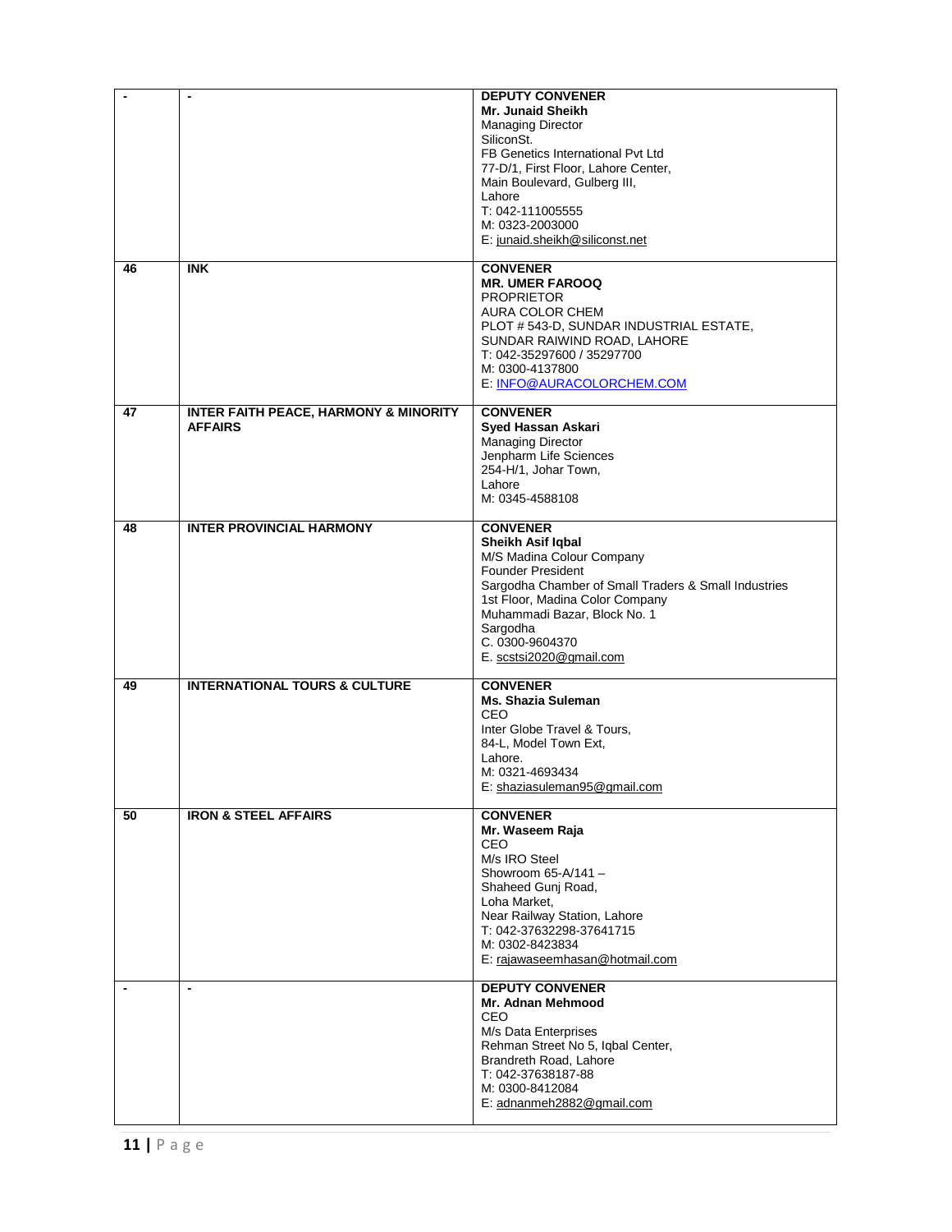|    |                                                                    | <b>DEPUTY CONVENER</b><br>Mr. Junaid Sheikh<br><b>Managing Director</b><br>SiliconSt.<br>FB Genetics International Pvt Ltd<br>77-D/1, First Floor, Lahore Center,<br>Main Boulevard, Gulberg III,<br>Lahore<br>T: 042-111005555<br>M: 0323-2003000<br>E: junaid.sheikh@siliconst.net |
|----|--------------------------------------------------------------------|--------------------------------------------------------------------------------------------------------------------------------------------------------------------------------------------------------------------------------------------------------------------------------------|
| 46 | <b>INK</b>                                                         | <b>CONVENER</b><br><b>MR. UMER FAROOQ</b><br><b>PROPRIETOR</b><br><b>AURA COLOR CHEM</b><br>PLOT #543-D, SUNDAR INDUSTRIAL ESTATE,<br>SUNDAR RAIWIND ROAD, LAHORE<br>T: 042-35297600 / 35297700<br>M: 0300-4137800<br>E: INFO@AURACOLORCHEM.COM                                      |
| 47 | <b>INTER FAITH PEACE, HARMONY &amp; MINORITY</b><br><b>AFFAIRS</b> | <b>CONVENER</b><br><b>Syed Hassan Askari</b><br><b>Managing Director</b><br>Jenpharm Life Sciences<br>254-H/1, Johar Town,<br>Lahore<br>M: 0345-4588108                                                                                                                              |
| 48 | <b>INTER PROVINCIAL HARMONY</b>                                    | <b>CONVENER</b><br>Sheikh Asif Iqbal<br>M/S Madina Colour Company<br><b>Founder President</b><br>Sargodha Chamber of Small Traders & Small Industries<br>1st Floor, Madina Color Company<br>Muhammadi Bazar, Block No. 1<br>Sargodha<br>C. 0300-9604370<br>E. scstsi2020@gmail.com   |
| 49 | <b>INTERNATIONAL TOURS &amp; CULTURE</b>                           | <b>CONVENER</b><br><b>Ms. Shazia Suleman</b><br><b>CEO</b><br>Inter Globe Travel & Tours,<br>84-L, Model Town Ext,<br>Lahore.<br>M: 0321-4693434<br>E: shaziasuleman95@gmail.com                                                                                                     |
| 50 | <b>IRON &amp; STEEL AFFAIRS</b>                                    | <b>CONVENER</b><br>Mr. Waseem Raja<br>CEO<br>M/s IRO Steel<br>Showroom $65-A/141-$<br>Shaheed Gunj Road,<br>Loha Market,<br>Near Railway Station, Lahore<br>T: 042-37632298-37641715<br>M: 0302-8423834<br>E: rajawaseemhasan@hotmail.com                                            |
|    | $\blacksquare$                                                     | <b>DEPUTY CONVENER</b><br>Mr. Adnan Mehmood<br><b>CEO</b><br>M/s Data Enterprises<br>Rehman Street No 5, Iqbal Center,<br>Brandreth Road, Lahore<br>T: 042-37638187-88<br>M: 0300-8412084<br>E: adnanmeh2882@gmail.com                                                               |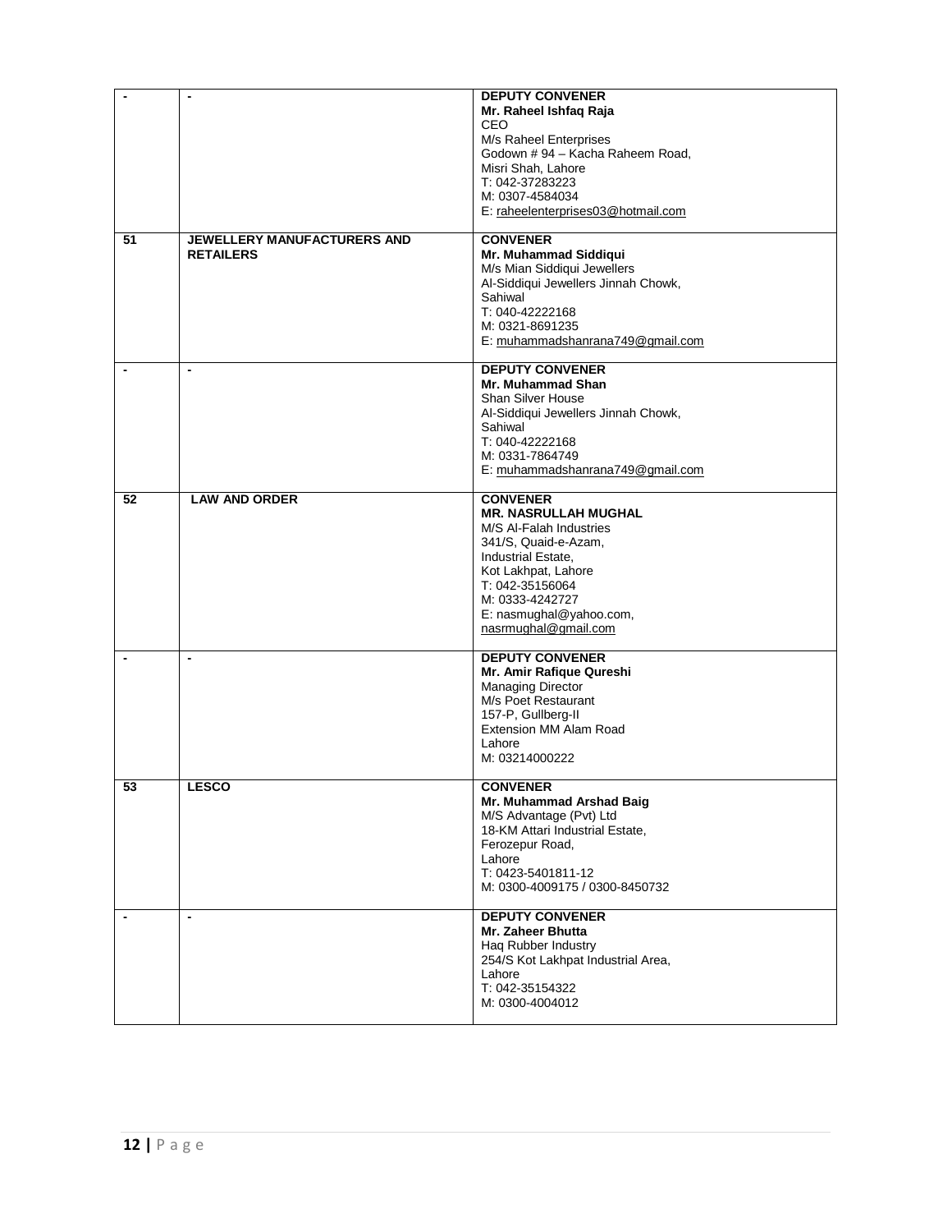|    |                                                        | <b>DEPUTY CONVENER</b><br>Mr. Raheel Ishfaq Raja<br>CEO<br>M/s Raheel Enterprises<br>Godown #94 - Kacha Raheem Road,<br>Misri Shah, Lahore<br>T: 042-37283223<br>M: 0307-4584034<br>E: raheelenterprises03@hotmail.com                  |
|----|--------------------------------------------------------|-----------------------------------------------------------------------------------------------------------------------------------------------------------------------------------------------------------------------------------------|
| 51 | <b>JEWELLERY MANUFACTURERS AND</b><br><b>RETAILERS</b> | <b>CONVENER</b><br>Mr. Muhammad Siddiqui<br>M/s Mian Siddiqui Jewellers<br>Al-Siddiqui Jewellers Jinnah Chowk,<br>Sahiwal<br>T: 040-42222168<br>M: 0321-8691235<br>E: muhammadshanrana749@gmail.com                                     |
|    | $\blacksquare$                                         | <b>DEPUTY CONVENER</b><br>Mr. Muhammad Shan<br><b>Shan Silver House</b><br>Al-Siddiqui Jewellers Jinnah Chowk,<br>Sahiwal<br>T: 040-42222168<br>M: 0331-7864749<br>E: muhammadshanrana749@gmail.com                                     |
| 52 | <b>LAW AND ORDER</b>                                   | <b>CONVENER</b><br><b>MR. NASRULLAH MUGHAL</b><br>M/S Al-Falah Industries<br>341/S, Quaid-e-Azam,<br>Industrial Estate,<br>Kot Lakhpat, Lahore<br>T: 042-35156064<br>M: 0333-4242727<br>E: nasmughal@yahoo.com,<br>nasrmughal@gmail.com |
|    | $\blacksquare$                                         | <b>DEPUTY CONVENER</b><br>Mr. Amir Rafique Qureshi<br><b>Managing Director</b><br>M/s Poet Restaurant<br>157-P, Gullberg-II<br><b>Extension MM Alam Road</b><br>Lahore<br>M: 03214000222                                                |
| 53 | <b>LESCO</b>                                           | <b>CONVENER</b><br>Mr. Muhammad Arshad Baig<br>M/S Advantage (Pvt) Ltd<br>18-KM Attari Industrial Estate,<br>Ferozepur Road,<br>Lahore<br>T: 0423-5401811-12<br>M: 0300-4009175 / 0300-8450732                                          |
|    | $\blacksquare$                                         | <b>DEPUTY CONVENER</b><br>Mr. Zaheer Bhutta<br>Hag Rubber Industry<br>254/S Kot Lakhpat Industrial Area,<br>Lahore<br>T: 042-35154322<br>M: 0300-4004012                                                                                |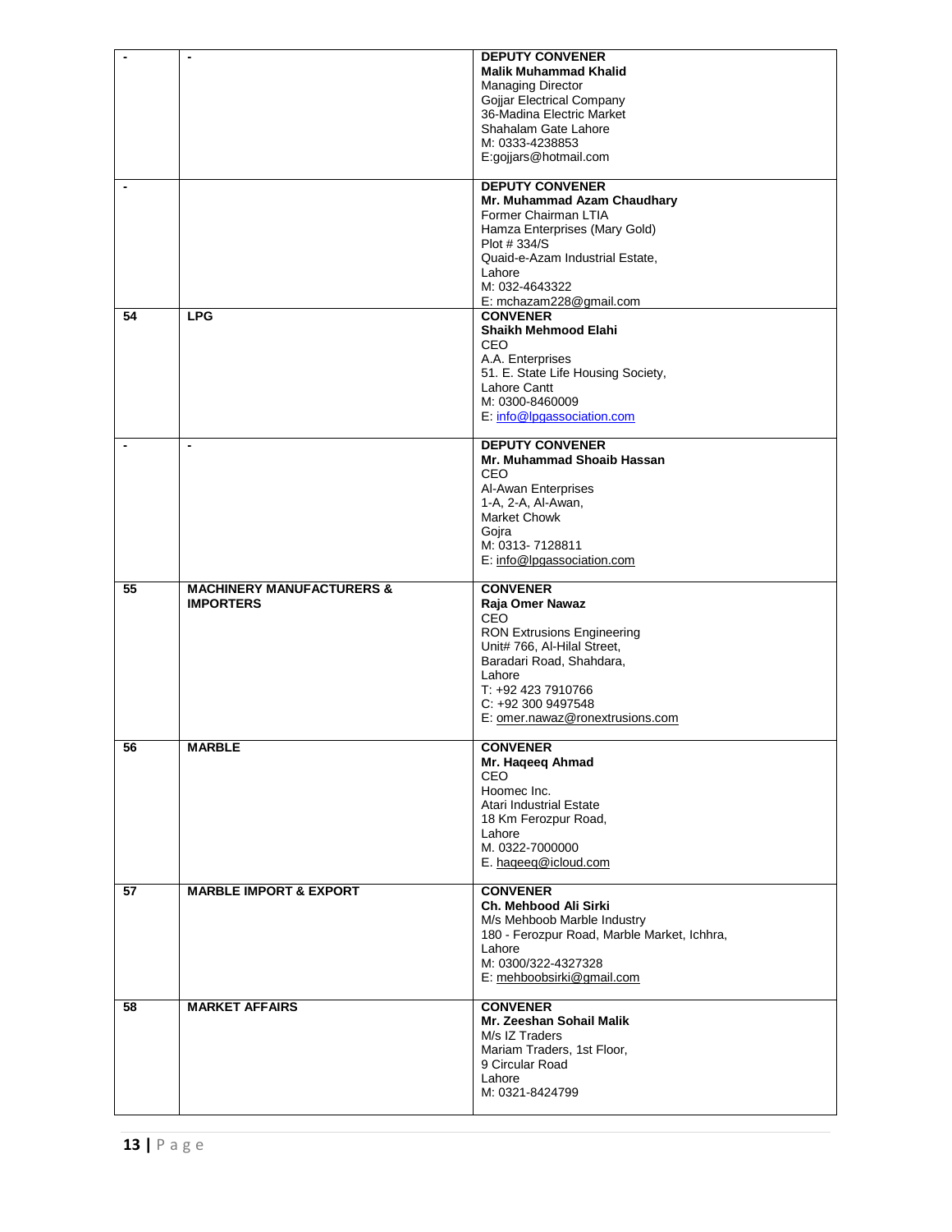|    |                                                          | <b>DEPUTY CONVENER</b>                      |
|----|----------------------------------------------------------|---------------------------------------------|
|    |                                                          | <b>Malik Muhammad Khalid</b>                |
|    |                                                          | <b>Managing Director</b>                    |
|    |                                                          | Gojjar Electrical Company                   |
|    |                                                          | 36-Madina Electric Market                   |
|    |                                                          | Shahalam Gate Lahore                        |
|    |                                                          | M: 0333-4238853                             |
|    |                                                          | E:gojjars@hotmail.com                       |
|    |                                                          |                                             |
|    |                                                          | <b>DEPUTY CONVENER</b>                      |
|    |                                                          | Mr. Muhammad Azam Chaudhary                 |
|    |                                                          | Former Chairman LTIA                        |
|    |                                                          | Hamza Enterprises (Mary Gold)               |
|    |                                                          | Plot #334/S                                 |
|    |                                                          | Quaid-e-Azam Industrial Estate,             |
|    |                                                          | Lahore                                      |
|    |                                                          | M: 032-4643322                              |
|    |                                                          |                                             |
| 54 | <b>LPG</b>                                               | E: mchazam228@gmail.com<br><b>CONVENER</b>  |
|    |                                                          |                                             |
|    |                                                          | Shaikh Mehmood Elahi                        |
|    |                                                          | <b>CEO</b>                                  |
|    |                                                          | A.A. Enterprises                            |
|    |                                                          | 51. E. State Life Housing Society,          |
|    |                                                          | Lahore Cantt                                |
|    |                                                          | M: 0300-8460009                             |
|    |                                                          | E: info@lpgassociation.com                  |
|    |                                                          |                                             |
|    |                                                          | <b>DEPUTY CONVENER</b>                      |
|    |                                                          | Mr. Muhammad Shoaib Hassan                  |
|    |                                                          | <b>CEO</b>                                  |
|    |                                                          | Al-Awan Enterprises                         |
|    |                                                          | 1-A, 2-A, Al-Awan,                          |
|    |                                                          | Market Chowk                                |
|    |                                                          | Goira                                       |
|    |                                                          | M: 0313-7128811                             |
|    |                                                          | E: info@lpgassociation.com                  |
|    |                                                          |                                             |
|    |                                                          |                                             |
| 55 |                                                          |                                             |
|    | <b>MACHINERY MANUFACTURERS &amp;</b><br><b>IMPORTERS</b> | <b>CONVENER</b>                             |
|    |                                                          | Raja Omer Nawaz<br>CEO                      |
|    |                                                          |                                             |
|    |                                                          | <b>RON Extrusions Engineering</b>           |
|    |                                                          | Unit# 766, Al-Hilal Street,                 |
|    |                                                          | Baradari Road, Shahdara,<br>Lahore          |
|    |                                                          | T: +92 423 7910766                          |
|    |                                                          |                                             |
|    |                                                          | C: +92 300 9497548                          |
|    |                                                          | E: omer.nawaz@ronextrusions.com             |
|    |                                                          |                                             |
| 56 | <b>MARBLE</b>                                            | <b>CONVENER</b>                             |
|    |                                                          | Mr. Haqeeq Ahmad                            |
|    |                                                          | <b>CEO</b>                                  |
|    |                                                          | Hoomec Inc.                                 |
|    |                                                          | Atari Industrial Estate                     |
|    |                                                          | 18 Km Ferozpur Road,                        |
|    |                                                          | Lahore                                      |
|    |                                                          | M. 0322-7000000                             |
|    |                                                          | E. haqeeq@icloud.com                        |
|    |                                                          |                                             |
| 57 | <b>MARBLE IMPORT &amp; EXPORT</b>                        | <b>CONVENER</b>                             |
|    |                                                          | Ch. Mehbood Ali Sirki                       |
|    |                                                          | M/s Mehboob Marble Industry                 |
|    |                                                          | 180 - Ferozpur Road, Marble Market, Ichhra, |
|    |                                                          | Lahore                                      |
|    |                                                          | M: 0300/322-4327328                         |
|    |                                                          | E: mehboobsirki@gmail.com                   |
|    |                                                          |                                             |
| 58 | <b>MARKET AFFAIRS</b>                                    | <b>CONVENER</b>                             |
|    |                                                          | Mr. Zeeshan Sohail Malik                    |
|    |                                                          | M/s IZ Traders                              |
|    |                                                          | Mariam Traders, 1st Floor,                  |
|    |                                                          | 9 Circular Road                             |
|    |                                                          | Lahore                                      |
|    |                                                          | M: 0321-8424799                             |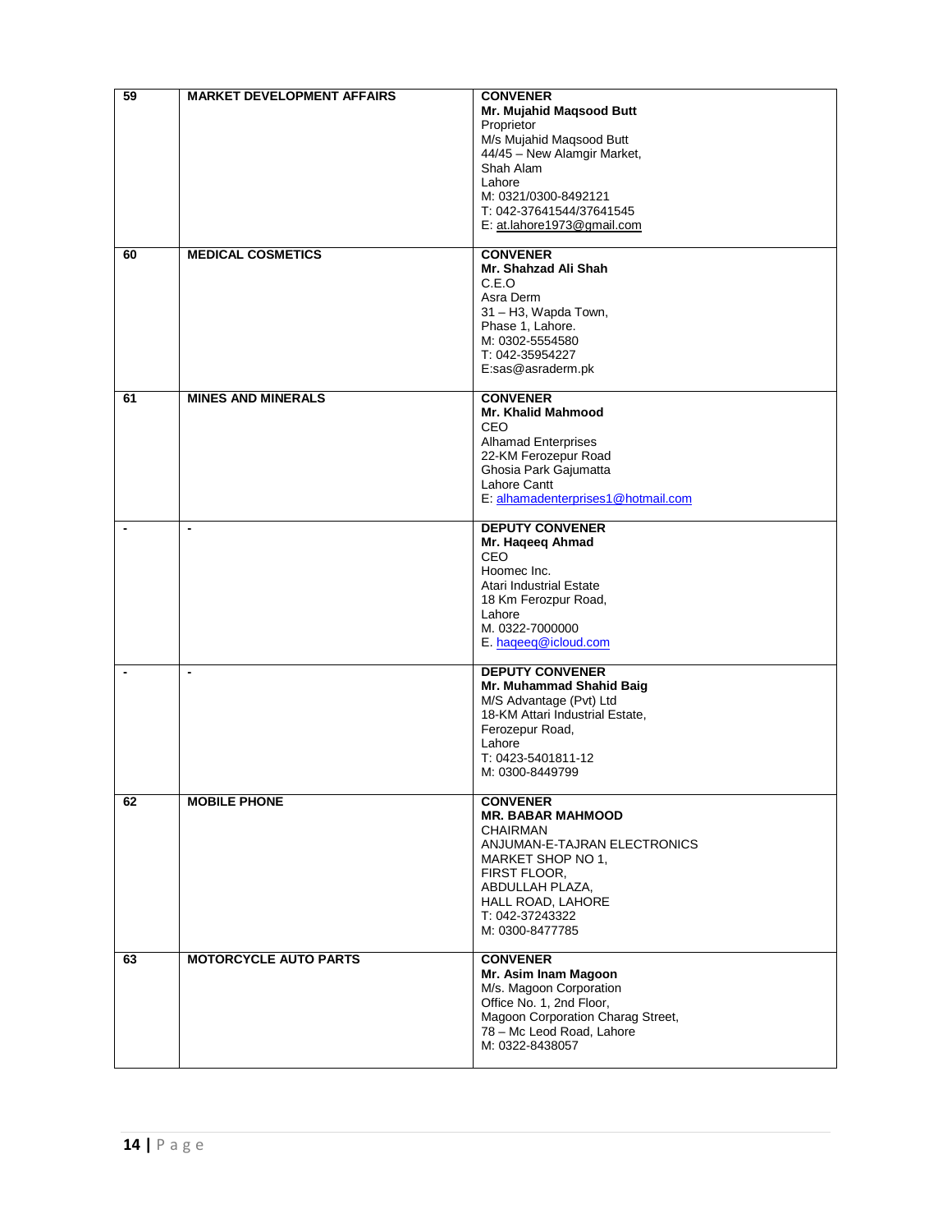| 59                       | <b>MARKET DEVELOPMENT AFFAIRS</b> | <b>CONVENER</b><br>Mr. Mujahid Maqsood Butt<br>Proprietor<br>M/s Mujahid Maqsood Butt<br>44/45 - New Alamgir Market,<br>Shah Alam<br>Lahore<br>M: 0321/0300-8492121<br>T: 042-37641544/37641545<br>E: at.lahore1973@gmail.com |
|--------------------------|-----------------------------------|-------------------------------------------------------------------------------------------------------------------------------------------------------------------------------------------------------------------------------|
| 60                       | <b>MEDICAL COSMETICS</b>          | <b>CONVENER</b><br>Mr. Shahzad Ali Shah<br>C.E.O<br>Asra Derm<br>31 - H3, Wapda Town,<br>Phase 1, Lahore.<br>M: 0302-5554580<br>T: 042-35954227<br>E:sas@asraderm.pk                                                          |
| 61                       | <b>MINES AND MINERALS</b>         | <b>CONVENER</b><br>Mr. Khalid Mahmood<br><b>CEO</b><br><b>Alhamad Enterprises</b><br>22-KM Ferozepur Road<br>Ghosia Park Gajumatta<br>Lahore Cantt<br>E: alhamadenterprises1@hotmail.com                                      |
| $\overline{\phantom{a}}$ | $\blacksquare$                    | <b>DEPUTY CONVENER</b><br>Mr. Haqeeq Ahmad<br>CEO<br>Hoomec Inc.<br>Atari Industrial Estate<br>18 Km Ferozpur Road,<br>Lahore<br>M. 0322-7000000<br>E. hageeq@icloud.com                                                      |
| $\blacksquare$           | $\overline{\phantom{a}}$          | <b>DEPUTY CONVENER</b><br>Mr. Muhammad Shahid Baig<br>M/S Advantage (Pvt) Ltd<br>18-KM Attari Industrial Estate,<br>Ferozepur Road,<br>Lahore<br>T: 0423-5401811-12<br>M: 0300-8449799                                        |
| 62                       | <b>MOBILE PHONE</b>               | <b>CONVENER</b><br><b>MR. BABAR MAHMOOD</b><br><b>CHAIRMAN</b><br>ANJUMAN-E-TAJRAN ELECTRONICS<br>MARKET SHOP NO 1,<br>FIRST FLOOR,<br>ABDULLAH PLAZA,<br>HALL ROAD, LAHORE<br>T: 042-37243322<br>M: 0300-8477785             |
| 63                       | <b>MOTORCYCLE AUTO PARTS</b>      | <b>CONVENER</b><br>Mr. Asim Inam Magoon<br>M/s. Magoon Corporation<br>Office No. 1, 2nd Floor,<br>Magoon Corporation Charag Street,<br>78 - Mc Leod Road, Lahore<br>M: 0322-8438057                                           |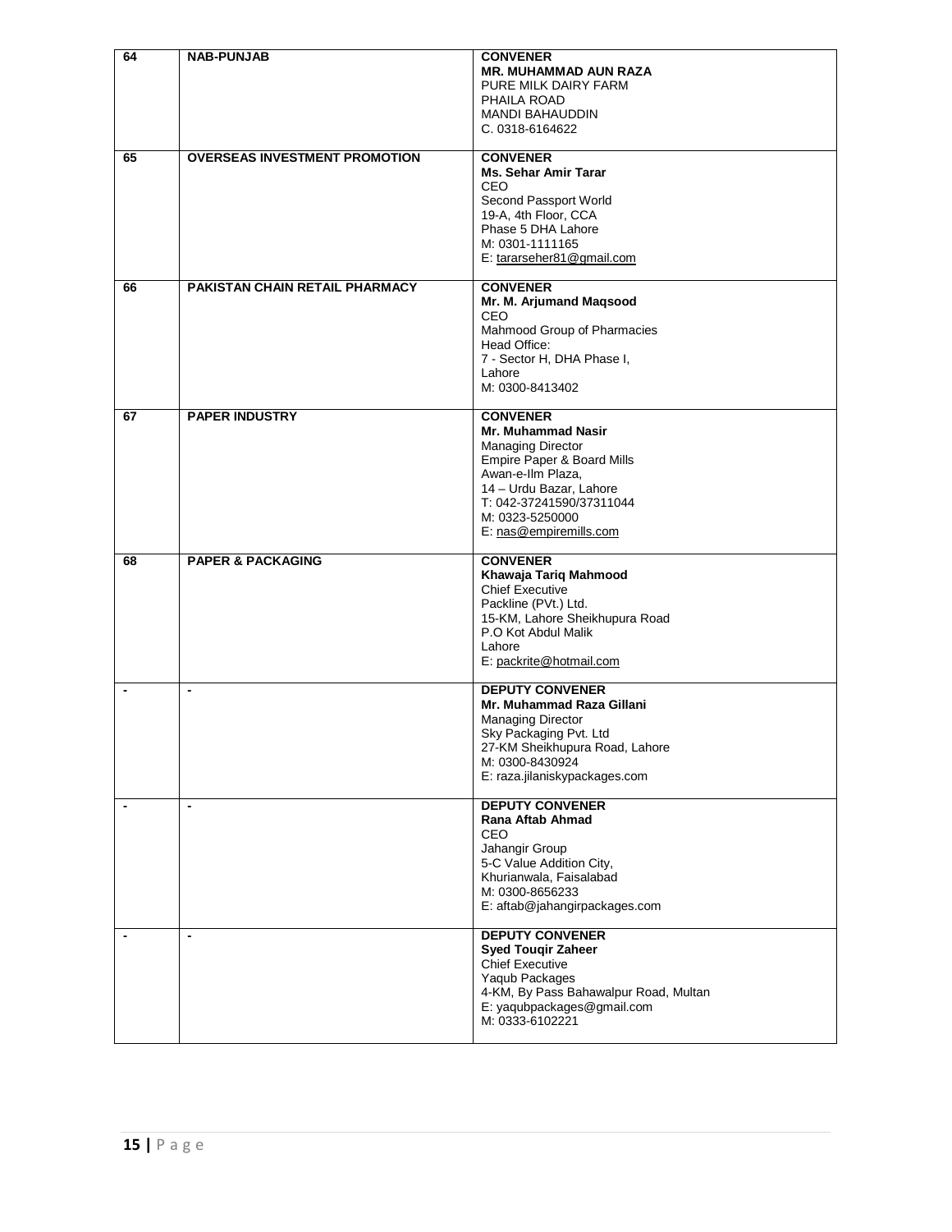| 64                       | <b>NAB-PUNJAB</b>                     | <b>CONVENER</b><br><b>MR. MUHAMMAD AUN RAZA</b><br>PURE MILK DAIRY FARM<br>PHAILA ROAD<br><b>MANDI BAHAUDDIN</b><br>C. 0318-6164622                                                                                      |
|--------------------------|---------------------------------------|--------------------------------------------------------------------------------------------------------------------------------------------------------------------------------------------------------------------------|
| 65                       | <b>OVERSEAS INVESTMENT PROMOTION</b>  | <b>CONVENER</b><br><b>Ms. Sehar Amir Tarar</b><br><b>CEO</b><br>Second Passport World<br>19-A, 4th Floor, CCA<br>Phase 5 DHA Lahore<br>M: 0301-1111165<br>E: tararseher81@gmail.com                                      |
| 66                       | <b>PAKISTAN CHAIN RETAIL PHARMACY</b> | <b>CONVENER</b><br>Mr. M. Arjumand Maqsood<br>CEO<br>Mahmood Group of Pharmacies<br>Head Office:<br>7 - Sector H, DHA Phase I,<br>Lahore<br>M: 0300-8413402                                                              |
| 67                       | <b>PAPER INDUSTRY</b>                 | <b>CONVENER</b><br>Mr. Muhammad Nasir<br><b>Managing Director</b><br>Empire Paper & Board Mills<br>Awan-e-Ilm Plaza,<br>14 - Urdu Bazar, Lahore<br>T: 042-37241590/37311044<br>M: 0323-5250000<br>E: nas@empiremills.com |
| 68                       | <b>PAPER &amp; PACKAGING</b>          | <b>CONVENER</b><br>Khawaja Tariq Mahmood<br><b>Chief Executive</b><br>Packline (PVt.) Ltd.<br>15-KM, Lahore Sheikhupura Road<br>P.O Kot Abdul Malik<br>Lahore<br>E: packrite@hotmail.com                                 |
| $\overline{\phantom{a}}$ | $\blacksquare$                        | <b>DEPUTY CONVENER</b><br>Mr. Muhammad Raza Gillani<br><b>Managing Director</b><br>Sky Packaging Pvt. Ltd<br>27-KM Sheikhupura Road, Lahore<br>M: 0300-8430924<br>E: raza.jilaniskypackages.com                          |
|                          | $\blacksquare$                        | <b>DEPUTY CONVENER</b><br>Rana Aftab Ahmad<br>CEO<br>Jahangir Group<br>5-C Value Addition City,<br>Khurianwala, Faisalabad<br>M: 0300-8656233<br>E: aftab@jahangirpackages.com                                           |
| $\blacksquare$           | $\blacksquare$                        | <b>DEPUTY CONVENER</b><br><b>Syed Touqir Zaheer</b><br><b>Chief Executive</b><br>Yaqub Packages<br>4-KM, By Pass Bahawalpur Road, Multan<br>E: yaqubpackages@gmail.com<br>M: 0333-6102221                                |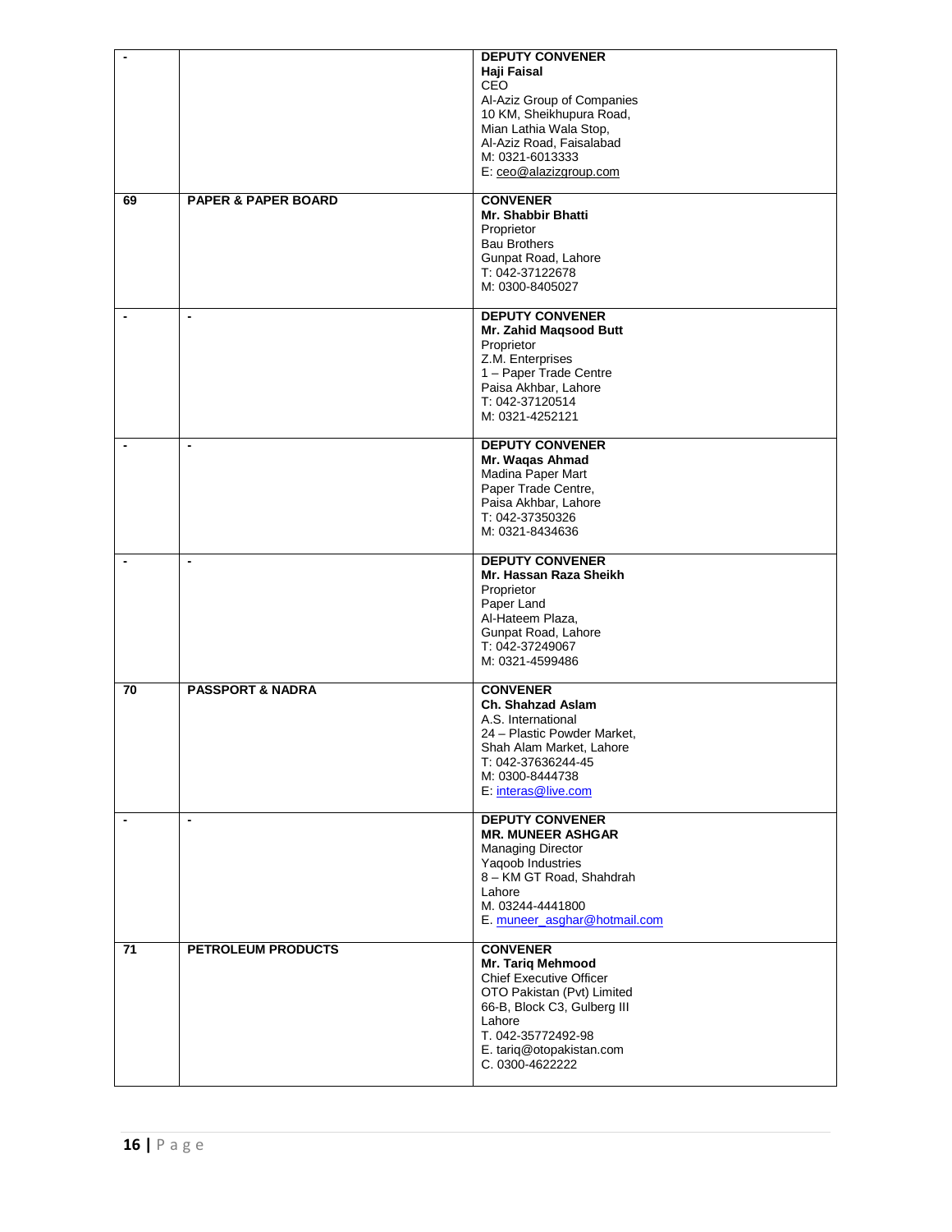| $\overline{\phantom{a}}$ |                                | <b>DEPUTY CONVENER</b><br>Haji Faisal<br>CEO<br>Al-Aziz Group of Companies<br>10 KM, Sheikhupura Road,<br>Mian Lathia Wala Stop,<br>Al-Aziz Road, Faisalabad<br>M: 0321-6013333<br>E: ceo@alazizgroup.com   |
|--------------------------|--------------------------------|-------------------------------------------------------------------------------------------------------------------------------------------------------------------------------------------------------------|
| 69                       | <b>PAPER &amp; PAPER BOARD</b> | <b>CONVENER</b><br><b>Mr. Shabbir Bhatti</b><br>Proprietor<br><b>Bau Brothers</b><br>Gunpat Road, Lahore<br>T: 042-37122678<br>M: 0300-8405027                                                              |
| $\overline{\phantom{a}}$ | $\blacksquare$                 | <b>DEPUTY CONVENER</b><br>Mr. Zahid Magsood Butt<br>Proprietor<br>Z.M. Enterprises<br>1 - Paper Trade Centre<br>Paisa Akhbar, Lahore<br>T: 042-37120514<br>M: 0321-4252121                                  |
|                          | $\overline{\phantom{a}}$       | <b>DEPUTY CONVENER</b><br>Mr. Waqas Ahmad<br>Madina Paper Mart<br>Paper Trade Centre,<br>Paisa Akhbar, Lahore<br>T: 042-37350326<br>M: 0321-8434636                                                         |
| $\overline{\phantom{a}}$ | $\overline{\phantom{a}}$       | <b>DEPUTY CONVENER</b><br>Mr. Hassan Raza Sheikh<br>Proprietor<br>Paper Land<br>Al-Hateem Plaza,<br>Gunpat Road, Lahore<br>T: 042-37249067<br>M: 0321-4599486                                               |
| 70                       | <b>PASSPORT &amp; NADRA</b>    | <b>CONVENER</b><br>Ch. Shahzad Aslam<br>A.S. International<br>24 - Plastic Powder Market,<br>Shah Alam Market, Lahore<br>T: 042-37636244-45<br>M: 0300-8444738<br>E: interas@live.com                       |
| $\blacksquare$           | $\overline{\phantom{a}}$       | <b>DEPUTY CONVENER</b><br><b>MR. MUNEER ASHGAR</b><br><b>Managing Director</b><br>Yaqoob Industries<br>8 - KM GT Road, Shahdrah<br>Lahore<br>M. 03244-4441800<br>E. muneer_asghar@hotmail.com               |
| 71                       | <b>PETROLEUM PRODUCTS</b>      | <b>CONVENER</b><br>Mr. Tariq Mehmood<br>Chief Executive Officer<br>OTO Pakistan (Pvt) Limited<br>66-B, Block C3, Gulberg III<br>Lahore<br>T. 042-35772492-98<br>E. tariq@otopakistan.com<br>C. 0300-4622222 |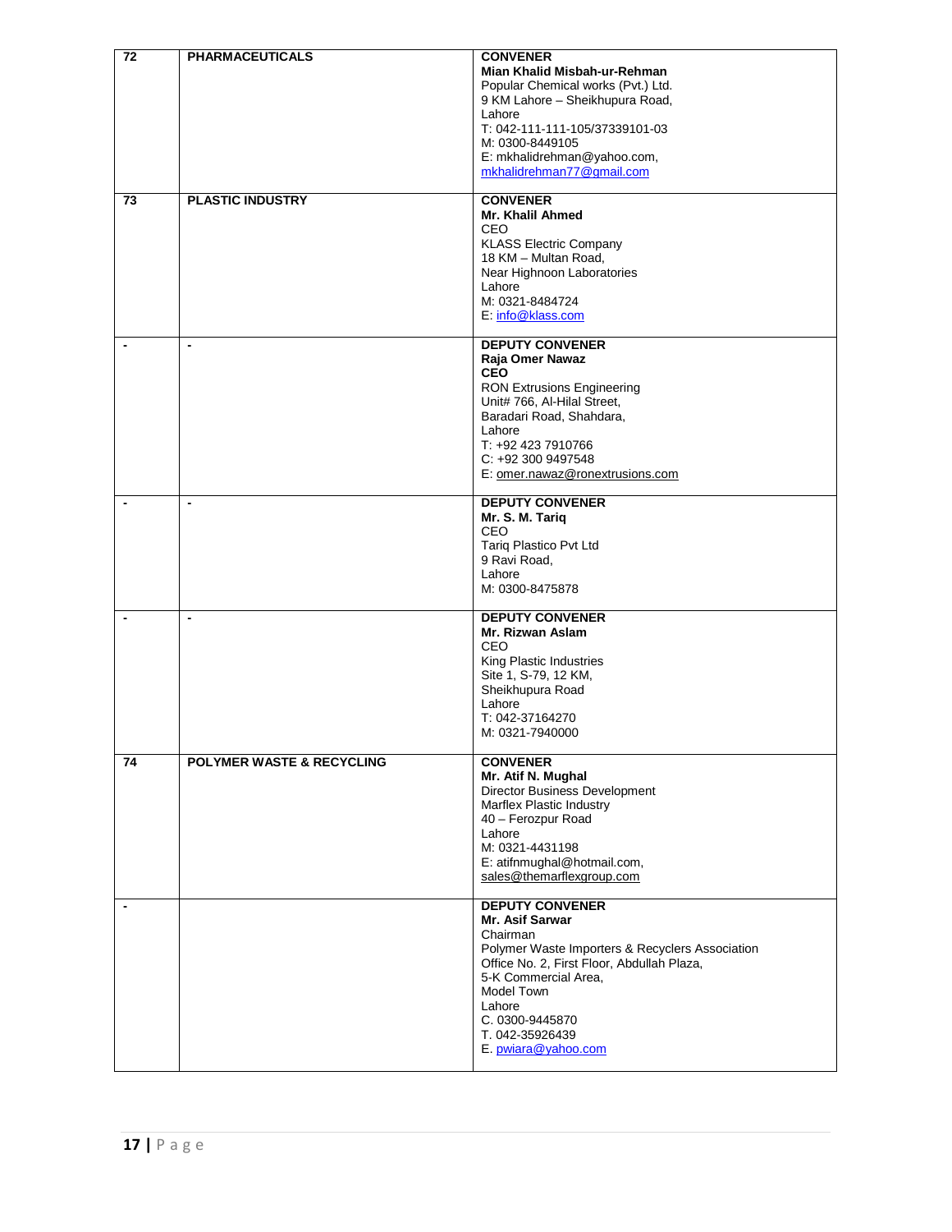| 72                       | <b>PHARMACEUTICALS</b>               | <b>CONVENER</b><br>Mian Khalid Misbah-ur-Rehman<br>Popular Chemical works (Pvt.) Ltd.<br>9 KM Lahore - Sheikhupura Road,<br>Lahore<br>T: 042-111-111-105/37339101-03<br>M: 0300-8449105<br>E: mkhalidrehman@yahoo.com,<br>mkhalidrehman77@gmail.com                 |
|--------------------------|--------------------------------------|---------------------------------------------------------------------------------------------------------------------------------------------------------------------------------------------------------------------------------------------------------------------|
| 73                       | <b>PLASTIC INDUSTRY</b>              | <b>CONVENER</b><br>Mr. Khalil Ahmed<br>CEO<br><b>KLASS Electric Company</b><br>18 KM - Multan Road,<br>Near Highnoon Laboratories<br>Lahore<br>M: 0321-8484724<br>E: info@klass.com                                                                                 |
| $\overline{\phantom{a}}$ | $\blacksquare$                       | <b>DEPUTY CONVENER</b><br>Raja Omer Nawaz<br><b>CEO</b><br><b>RON Extrusions Engineering</b><br>Unit# 766, Al-Hilal Street,<br>Baradari Road, Shahdara,<br>Lahore<br>T: +92 423 7910766<br>$C: +923009497548$<br>E: omer.nawaz@ronextrusions.com                    |
|                          | $\overline{\phantom{a}}$             | <b>DEPUTY CONVENER</b><br>Mr. S. M. Tariq<br>CEO<br>Tariq Plastico Pvt Ltd<br>9 Ravi Road,<br>Lahore<br>M: 0300-8475878                                                                                                                                             |
| $\overline{\phantom{a}}$ | $\blacksquare$                       | <b>DEPUTY CONVENER</b><br>Mr. Rizwan Aslam<br>CEO<br>King Plastic Industries<br>Site 1, S-79, 12 KM,<br>Sheikhupura Road<br>Lahore<br>T: 042-37164270<br>M: 0321-7940000                                                                                            |
| 74                       | <b>POLYMER WASTE &amp; RECYCLING</b> | <b>CONVENER</b><br>Mr. Atif N. Mughal<br>Director Business Development<br>Marflex Plastic Industry<br>40 - Ferozpur Road<br>Lahore<br>M: 0321-4431198<br>E: atifnmughal@hotmail.com,<br>sales@themarflexgroup.com                                                   |
|                          |                                      | <b>DEPUTY CONVENER</b><br>Mr. Asif Sarwar<br>Chairman<br>Polymer Waste Importers & Recyclers Association<br>Office No. 2, First Floor, Abdullah Plaza,<br>5-K Commercial Area,<br>Model Town<br>Lahore<br>C. 0300-9445870<br>T. 042-35926439<br>E. pwiara@yahoo.com |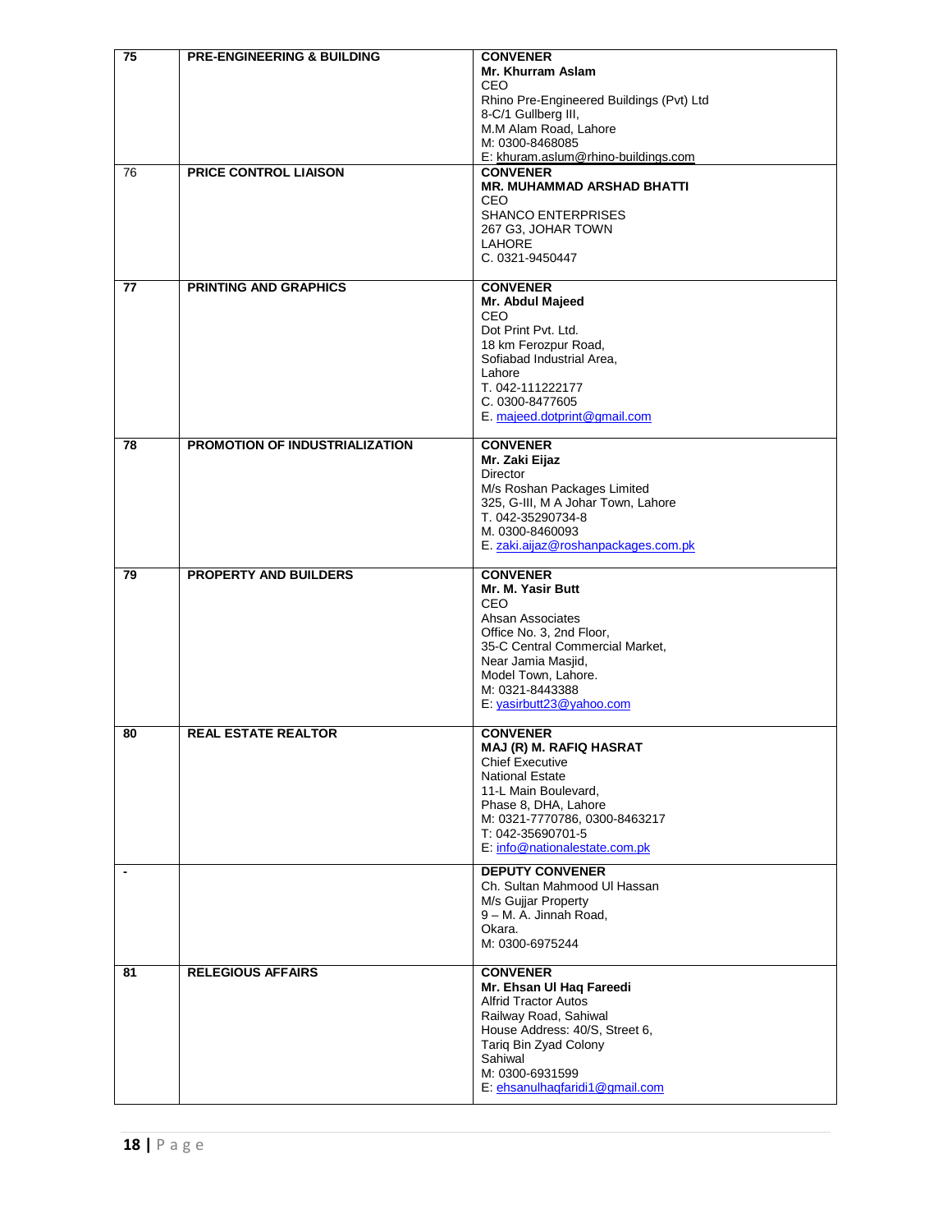| $\overline{75}$          | <b>PRE-ENGINEERING &amp; BUILDING</b> | <b>CONVENER</b>                                        |
|--------------------------|---------------------------------------|--------------------------------------------------------|
|                          |                                       | Mr. Khurram Aslam                                      |
|                          |                                       | CEO                                                    |
|                          |                                       | Rhino Pre-Engineered Buildings (Pvt) Ltd               |
|                          |                                       | 8-C/1 Gullberg III,                                    |
|                          |                                       | M.M Alam Road, Lahore<br>M: 0300-8468085               |
|                          |                                       | E: khuram.aslum@rhino-buildings.com                    |
| 76                       | <b>PRICE CONTROL LIAISON</b>          | <b>CONVENER</b>                                        |
|                          |                                       | <b>MR. MUHAMMAD ARSHAD BHATTI</b>                      |
|                          |                                       | <b>CEO</b>                                             |
|                          |                                       | <b>SHANCO ENTERPRISES</b>                              |
|                          |                                       | 267 G3, JOHAR TOWN                                     |
|                          |                                       | <b>LAHORE</b>                                          |
|                          |                                       | C. 0321-9450447                                        |
|                          |                                       |                                                        |
| 77                       | <b>PRINTING AND GRAPHICS</b>          | <b>CONVENER</b>                                        |
|                          |                                       | Mr. Abdul Majeed<br><b>CEO</b>                         |
|                          |                                       | Dot Print Pvt. Ltd.                                    |
|                          |                                       | 18 km Ferozpur Road,                                   |
|                          |                                       | Sofiabad Industrial Area,                              |
|                          |                                       | Lahore                                                 |
|                          |                                       | T. 042-111222177                                       |
|                          |                                       | C. 0300-8477605                                        |
|                          |                                       | E. majeed.dotprint@gmail.com                           |
|                          |                                       |                                                        |
| 78                       | PROMOTION OF INDUSTRIALIZATION        | <b>CONVENER</b>                                        |
|                          |                                       | Mr. Zaki Eijaz                                         |
|                          |                                       | Director<br>M/s Roshan Packages Limited                |
|                          |                                       | 325, G-III, M A Johar Town, Lahore                     |
|                          |                                       | T. 042-35290734-8                                      |
|                          |                                       | M. 0300-8460093                                        |
|                          |                                       | E. zaki.aijaz@roshanpackages.com.pk                    |
|                          |                                       |                                                        |
| 79                       | <b>PROPERTY AND BUILDERS</b>          | <b>CONVENER</b>                                        |
|                          |                                       | Mr. M. Yasir Butt                                      |
|                          |                                       | <b>CEO</b>                                             |
|                          |                                       | Ahsan Associates<br>Office No. 3, 2nd Floor,           |
|                          |                                       | 35-C Central Commercial Market,                        |
|                          |                                       | Near Jamia Masjid,                                     |
|                          |                                       | Model Town, Lahore.                                    |
|                          |                                       | M: 0321-8443388                                        |
|                          |                                       | E: yasirbutt23@yahoo.com                               |
|                          |                                       |                                                        |
| 80                       | <b>REAL ESTATE REALTOR</b>            | <b>CONVENER</b>                                        |
|                          |                                       | MAJ (R) M. RAFIQ HASRAT                                |
|                          |                                       | <b>Chief Executive</b>                                 |
|                          |                                       | <b>National Estate</b><br>11-L Main Boulevard,         |
|                          |                                       | Phase 8, DHA, Lahore                                   |
|                          |                                       | M: 0321-7770786, 0300-8463217                          |
|                          |                                       | T: 042-35690701-5                                      |
|                          |                                       | E: info@nationalestate.com.pk                          |
|                          |                                       |                                                        |
| $\overline{\phantom{a}}$ |                                       | <b>DEPUTY CONVENER</b><br>Ch. Sultan Mahmood UI Hassan |
|                          |                                       | M/s Gujjar Property                                    |
|                          |                                       | 9 - M. A. Jinnah Road,                                 |
|                          |                                       | Okara.                                                 |
|                          |                                       | M: 0300-6975244                                        |
|                          |                                       |                                                        |
| 81                       | <b>RELEGIOUS AFFAIRS</b>              | <b>CONVENER</b>                                        |
|                          |                                       | Mr. Ehsan UI Hag Fareedi                               |
|                          |                                       | <b>Alfrid Tractor Autos</b>                            |
|                          |                                       | Railway Road, Sahiwal                                  |
|                          |                                       | House Address: 40/S, Street 6,                         |
|                          |                                       | Tariq Bin Zyad Colony                                  |
|                          |                                       | Sahiwal<br>M: 0300-6931599                             |
|                          |                                       |                                                        |
|                          |                                       | E: ehsanulhaqfaridi1@gmail.com                         |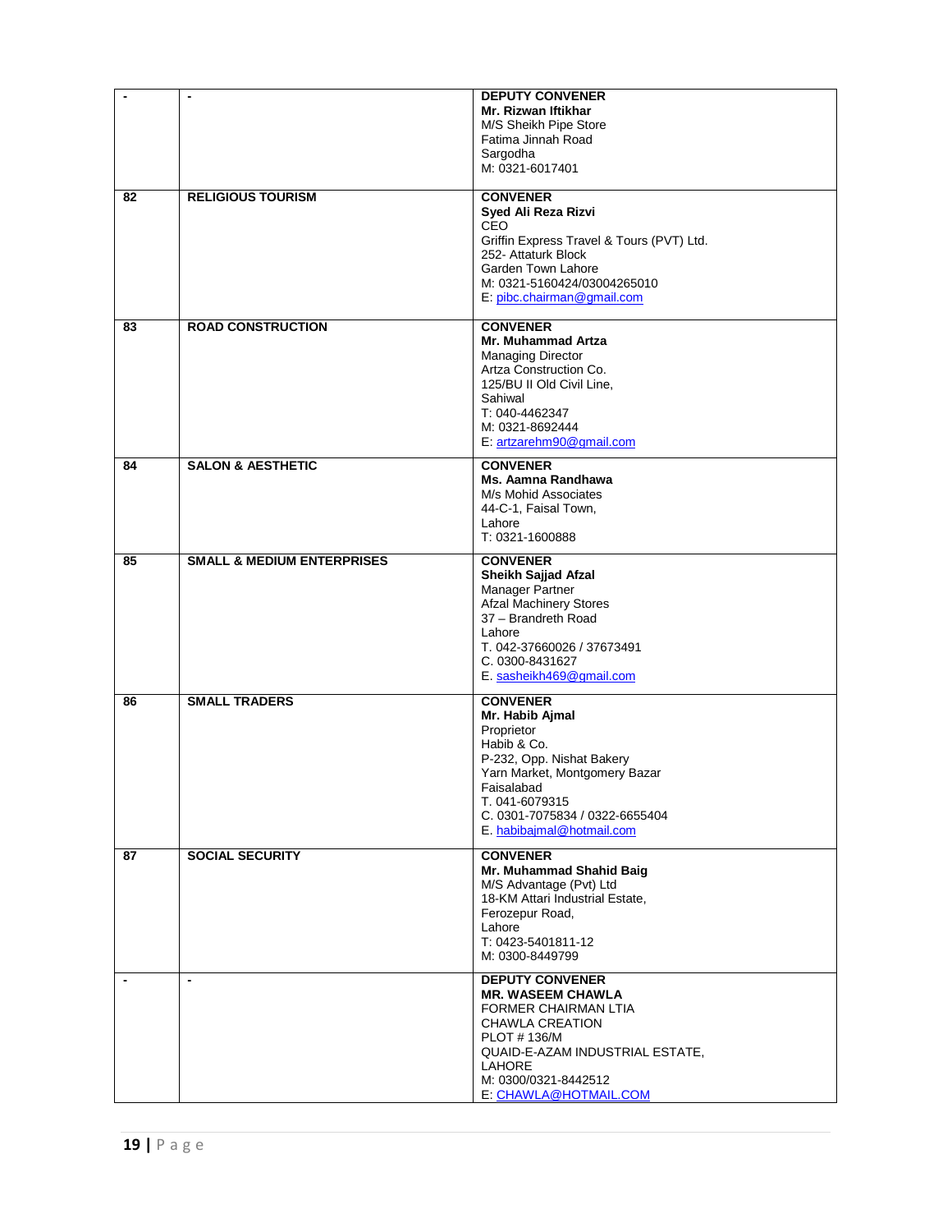| $\overline{\phantom{a}}$ | $\blacksquare$                        | <b>DEPUTY CONVENER</b><br>Mr. Rizwan Iftikhar<br>M/S Sheikh Pipe Store<br>Fatima Jinnah Road<br>Sargodha<br>M: 0321-6017401 |
|--------------------------|---------------------------------------|-----------------------------------------------------------------------------------------------------------------------------|
| 82                       | <b>RELIGIOUS TOURISM</b>              | <b>CONVENER</b><br>Syed Ali Reza Rizvi                                                                                      |
|                          |                                       | <b>CEO</b><br>Griffin Express Travel & Tours (PVT) Ltd.<br>252- Attaturk Block                                              |
|                          |                                       | Garden Town Lahore<br>M: 0321-5160424/03004265010                                                                           |
|                          |                                       | E: pibc.chairman@gmail.com                                                                                                  |
| 83                       | <b>ROAD CONSTRUCTION</b>              | <b>CONVENER</b><br>Mr. Muhammad Artza                                                                                       |
|                          |                                       | <b>Managing Director</b>                                                                                                    |
|                          |                                       | Artza Construction Co.<br>125/BU II Old Civil Line,                                                                         |
|                          |                                       | Sahiwal                                                                                                                     |
|                          |                                       | T: 040-4462347<br>M: 0321-8692444                                                                                           |
|                          |                                       | E: artzarehm90@gmail.com                                                                                                    |
| 84                       | <b>SALON &amp; AESTHETIC</b>          | <b>CONVENER</b>                                                                                                             |
|                          |                                       | Ms. Aamna Randhawa                                                                                                          |
|                          |                                       | M/s Mohid Associates<br>44-C-1, Faisal Town,                                                                                |
|                          |                                       | Lahore                                                                                                                      |
|                          |                                       | T: 0321-1600888                                                                                                             |
| 85                       | <b>SMALL &amp; MEDIUM ENTERPRISES</b> | <b>CONVENER</b><br>Sheikh Sajjad Afzal                                                                                      |
|                          |                                       | Manager Partner                                                                                                             |
|                          |                                       | <b>Afzal Machinery Stores</b><br>37 - Brandreth Road                                                                        |
|                          |                                       | Lahore                                                                                                                      |
|                          |                                       | T. 042-37660026 / 37673491                                                                                                  |
|                          |                                       | C. 0300-8431627<br>E. sasheikh469@gmail.com                                                                                 |
| 86                       | <b>SMALL TRADERS</b>                  | <b>CONVENER</b>                                                                                                             |
|                          |                                       | Mr. Habib Ajmal<br>Proprietor                                                                                               |
|                          |                                       | Habib & Co.                                                                                                                 |
|                          |                                       | P-232, Opp. Nishat Bakery<br>Yarn Market, Montgomery Bazar                                                                  |
|                          |                                       | Faisalabad                                                                                                                  |
|                          |                                       | T. 041-6079315                                                                                                              |
|                          |                                       |                                                                                                                             |
| 87                       |                                       | C. 0301-7075834 / 0322-6655404<br>E. habibajmal@hotmail.com                                                                 |
|                          | <b>SOCIAL SECURITY</b>                | <b>CONVENER</b>                                                                                                             |
|                          |                                       | Mr. Muhammad Shahid Baig                                                                                                    |
|                          |                                       | M/S Advantage (Pvt) Ltd<br>18-KM Attari Industrial Estate,                                                                  |
|                          |                                       | Ferozepur Road,                                                                                                             |
|                          |                                       | Lahore<br>T: 0423-5401811-12                                                                                                |
|                          |                                       | M: 0300-8449799                                                                                                             |
|                          | $\blacksquare$                        | <b>DEPUTY CONVENER</b>                                                                                                      |
|                          |                                       | <b>MR. WASEEM CHAWLA</b><br>FORMER CHAIRMAN LTIA                                                                            |
|                          |                                       | CHAWLA CREATION                                                                                                             |
|                          |                                       | PLOT #136/M                                                                                                                 |
|                          |                                       | QUAID-E-AZAM INDUSTRIAL ESTATE,<br>LAHORE<br>M: 0300/0321-8442512                                                           |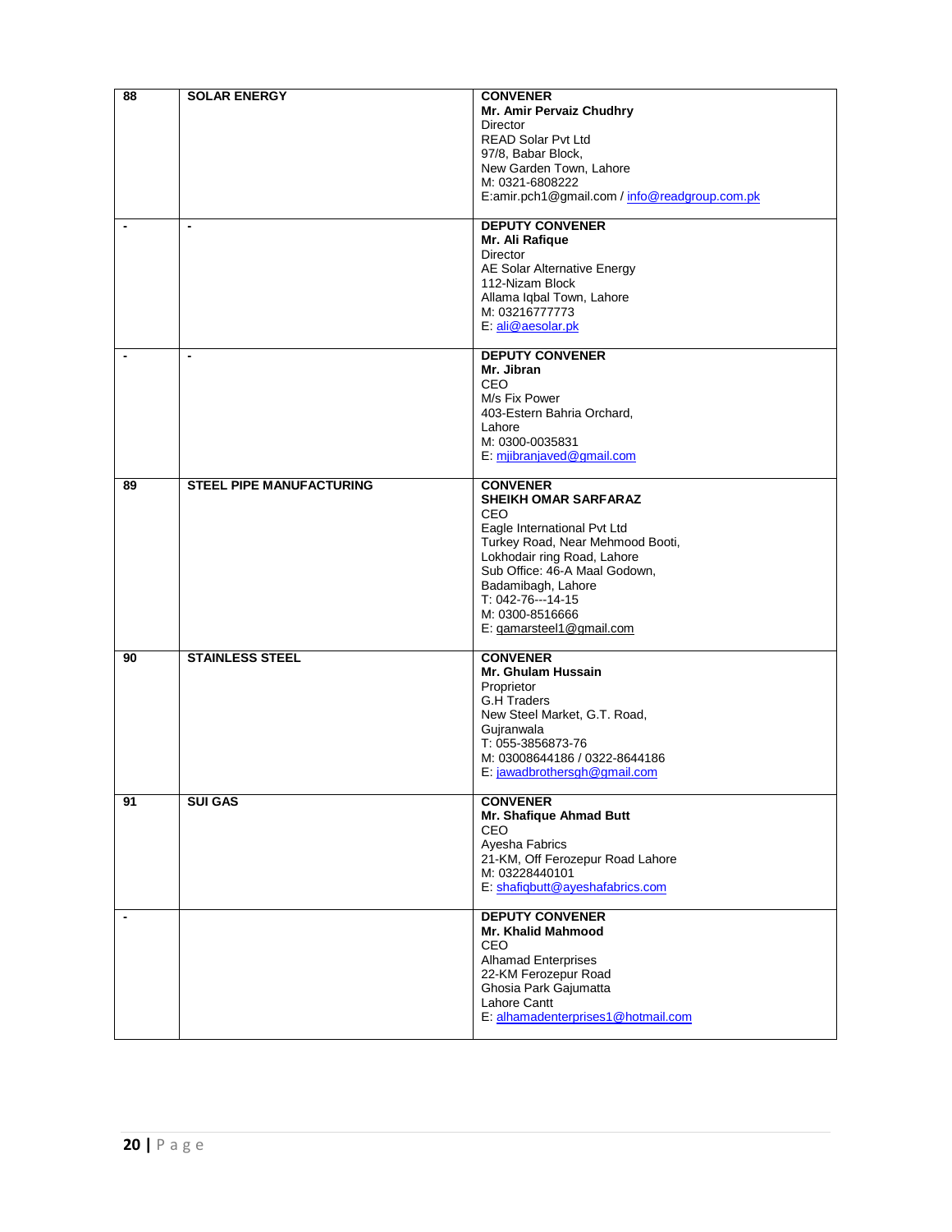| 88             | <b>SOLAR ENERGY</b>             | <b>CONVENER</b>                                    |
|----------------|---------------------------------|----------------------------------------------------|
|                |                                 | Mr. Amir Pervaiz Chudhry                           |
|                |                                 | Director                                           |
|                |                                 | <b>READ Solar Pvt Ltd</b><br>97/8, Babar Block,    |
|                |                                 | New Garden Town, Lahore                            |
|                |                                 | M: 0321-6808222                                    |
|                |                                 | E:amir.pch1@gmail.com / info@readgroup.com.pk      |
|                |                                 |                                                    |
| $\blacksquare$ | $\blacksquare$                  | <b>DEPUTY CONVENER</b>                             |
|                |                                 | Mr. Ali Rafique                                    |
|                |                                 | Director                                           |
|                |                                 | AE Solar Alternative Energy<br>112-Nizam Block     |
|                |                                 | Allama Iqbal Town, Lahore                          |
|                |                                 | M: 03216777773                                     |
|                |                                 | E: ali@aesolar.pk                                  |
|                |                                 |                                                    |
| $\blacksquare$ | $\blacksquare$                  | <b>DEPUTY CONVENER</b>                             |
|                |                                 | Mr. Jibran                                         |
|                |                                 | CEO                                                |
|                |                                 | M/s Fix Power                                      |
|                |                                 | 403-Estern Bahria Orchard,<br>Lahore               |
|                |                                 | M: 0300-0035831                                    |
|                |                                 | E: mijbranjaved@gmail.com                          |
|                |                                 |                                                    |
| 89             | <b>STEEL PIPE MANUFACTURING</b> | <b>CONVENER</b>                                    |
|                |                                 | <b>SHEIKH OMAR SARFARAZ</b>                        |
|                |                                 | CEO                                                |
|                |                                 | Eagle International Pvt Ltd                        |
|                |                                 | Turkey Road, Near Mehmood Booti,                   |
|                |                                 | Lokhodair ring Road, Lahore                        |
|                |                                 | Sub Office: 46-A Maal Godown,                      |
|                |                                 | Badamibagh, Lahore                                 |
|                |                                 | T: 042-76---14-15                                  |
|                |                                 | M: 0300-8516666                                    |
|                |                                 | E: gamarsteel1@gmail.com                           |
| 90             | <b>STAINLESS STEEL</b>          | <b>CONVENER</b>                                    |
|                |                                 | Mr. Ghulam Hussain                                 |
|                |                                 | Proprietor                                         |
|                |                                 | <b>G.H Traders</b>                                 |
|                |                                 | New Steel Market, G.T. Road,<br>Gujranwala         |
|                |                                 | T: 055-3856873-76                                  |
|                |                                 | M: 03008644186 / 0322-8644186                      |
|                |                                 | E: jawadbrothersgh@gmail.com                       |
|                |                                 |                                                    |
| 91             | <b>SUI GAS</b>                  | <b>CONVENER</b>                                    |
|                |                                 | Mr. Shafique Ahmad Butt                            |
|                |                                 | CEO                                                |
|                |                                 | Ayesha Fabrics<br>21-KM, Off Ferozepur Road Lahore |
|                |                                 | M: 03228440101                                     |
|                |                                 | E: shafiqbutt@ayeshafabrics.com                    |
|                |                                 |                                                    |
| $\blacksquare$ |                                 | <b>DEPUTY CONVENER</b>                             |
|                |                                 | Mr. Khalid Mahmood                                 |
|                |                                 | CEO                                                |
|                |                                 | <b>Alhamad Enterprises</b>                         |
|                |                                 | 22-KM Ferozepur Road                               |
|                |                                 | Ghosia Park Gajumatta                              |
|                |                                 | Lahore Cantt                                       |
|                |                                 | E: alhamadenterprises1@hotmail.com                 |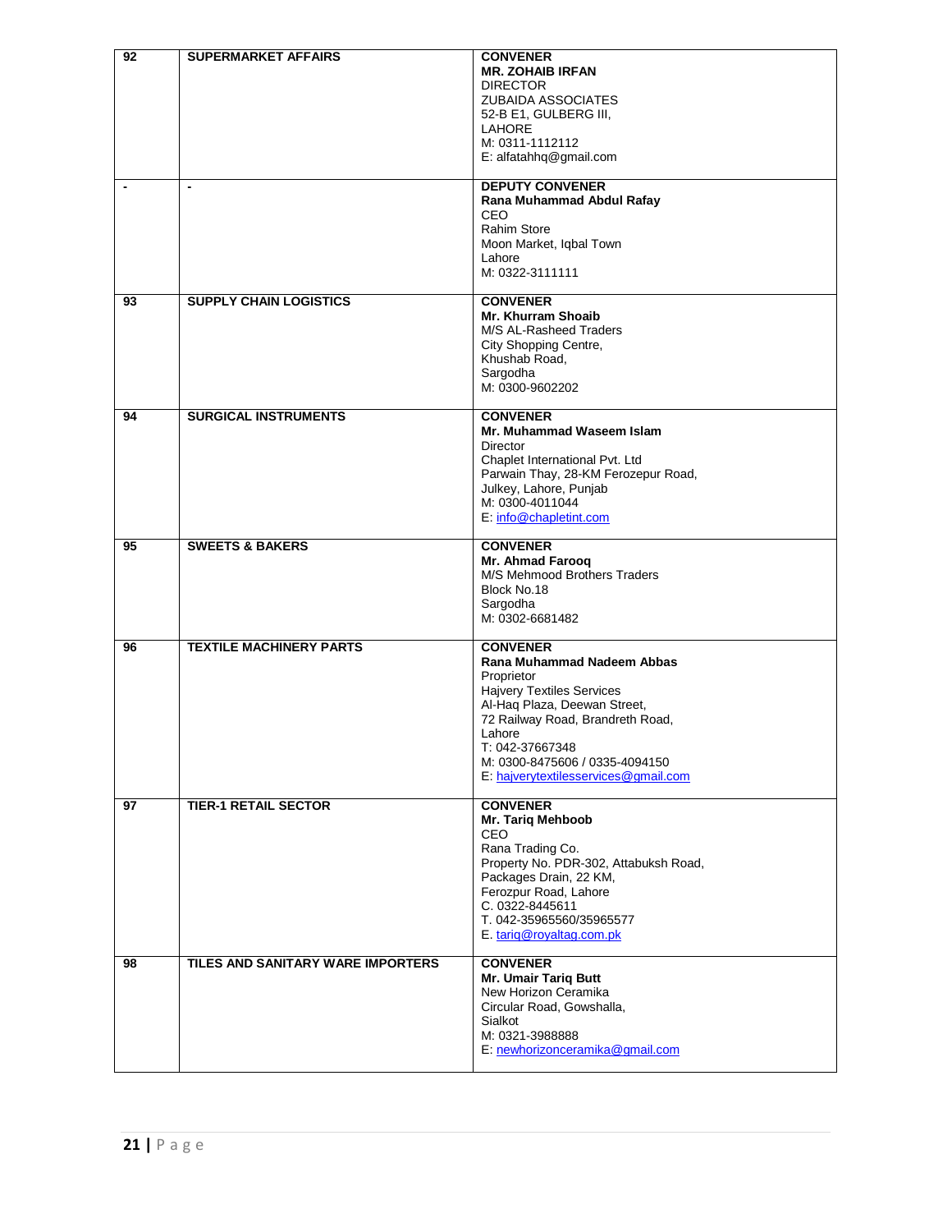| 92                       | <b>SUPERMARKET AFFAIRS</b>        | <b>CONVENER</b><br><b>MR. ZOHAIB IRFAN</b><br><b>DIRECTOR</b><br><b>ZUBAIDA ASSOCIATES</b><br>52-B E1, GULBERG III,<br><b>LAHORE</b><br>M: 0311-1112112<br>E: alfatahhq@gmail.com                                                                                          |
|--------------------------|-----------------------------------|----------------------------------------------------------------------------------------------------------------------------------------------------------------------------------------------------------------------------------------------------------------------------|
| $\overline{\phantom{a}}$ | $\blacksquare$                    | <b>DEPUTY CONVENER</b><br>Rana Muhammad Abdul Rafay<br><b>CEO</b><br><b>Rahim Store</b><br>Moon Market, Iqbal Town<br>Lahore<br>M: 0322-3111111                                                                                                                            |
| 93                       | <b>SUPPLY CHAIN LOGISTICS</b>     | <b>CONVENER</b><br>Mr. Khurram Shoaib<br>M/S AL-Rasheed Traders<br>City Shopping Centre,<br>Khushab Road,<br>Sargodha<br>M: 0300-9602202                                                                                                                                   |
| 94                       | <b>SURGICAL INSTRUMENTS</b>       | <b>CONVENER</b><br>Mr. Muhammad Waseem Islam<br><b>Director</b><br>Chaplet International Pvt. Ltd<br>Parwain Thay, 28-KM Ferozepur Road,<br>Julkey, Lahore, Punjab<br>M: 0300-4011044<br>E: info@chapletint.com                                                            |
| 95                       | <b>SWEETS &amp; BAKERS</b>        | <b>CONVENER</b><br>Mr. Ahmad Farooq<br>M/S Mehmood Brothers Traders<br>Block No.18<br>Sargodha<br>M: 0302-6681482                                                                                                                                                          |
| 96                       | <b>TEXTILE MACHINERY PARTS</b>    | <b>CONVENER</b><br>Rana Muhammad Nadeem Abbas<br>Proprietor<br><b>Hajvery Textiles Services</b><br>Al-Haq Plaza, Deewan Street,<br>72 Railway Road, Brandreth Road,<br>Lahore<br>T: 042-37667348<br>M: 0300-8475606 / 0335-4094150<br>E: hajverytextilesservices@gmail.com |
| 97                       | <b>TIER-1 RETAIL SECTOR</b>       | <b>CONVENER</b><br>Mr. Tariq Mehboob<br>CEO<br>Rana Trading Co.<br>Property No. PDR-302, Attabuksh Road,<br>Packages Drain, 22 KM,<br>Ferozpur Road, Lahore<br>C. 0322-8445611<br>T. 042-35965560/35965577<br>E. tarig@royaltag.com.pk                                     |
| 98                       | TILES AND SANITARY WARE IMPORTERS | <b>CONVENER</b><br>Mr. Umair Tariq Butt<br>New Horizon Ceramika<br>Circular Road, Gowshalla,<br>Sialkot<br>M: 0321-3988888<br>E: newhorizonceramika@gmail.com                                                                                                              |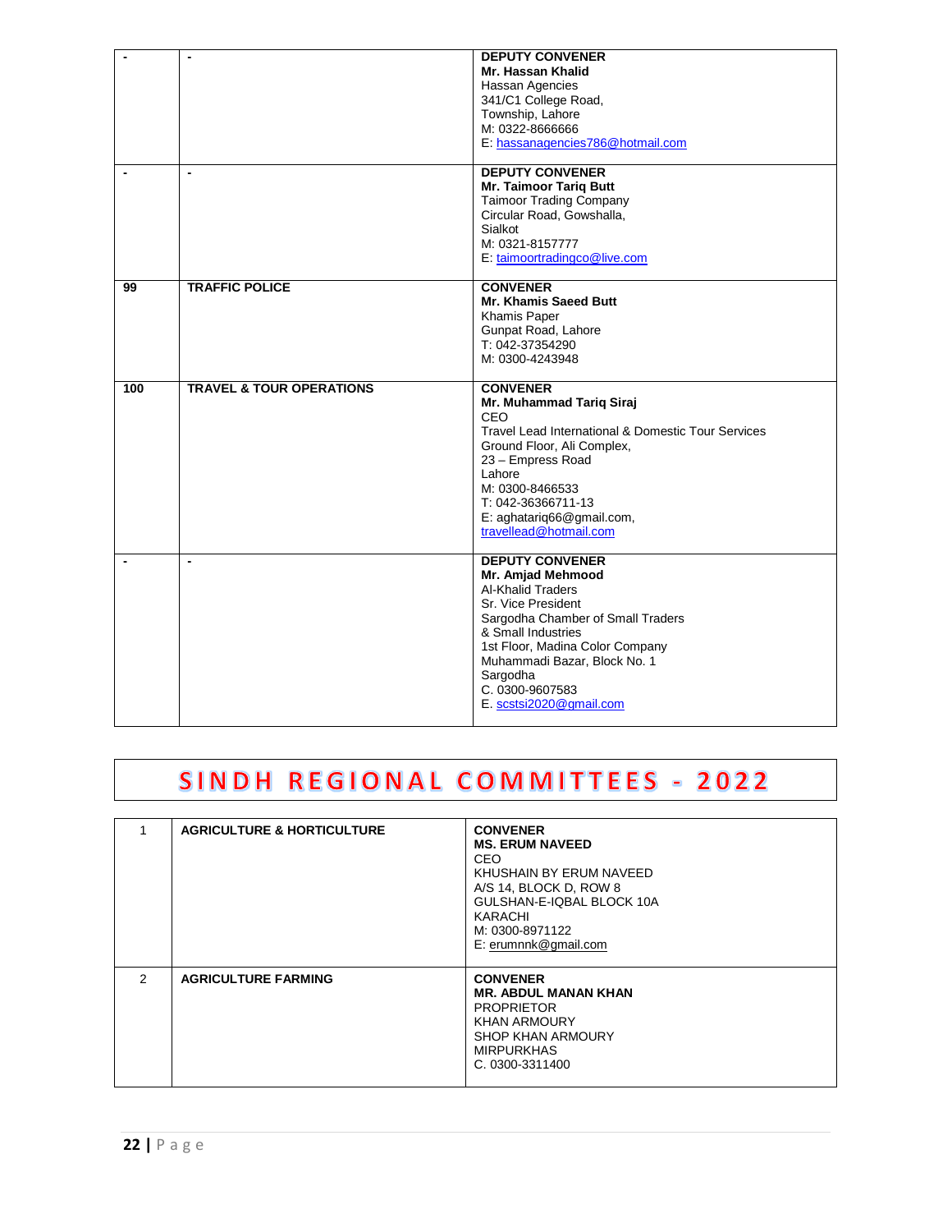|     | $\blacksquare$                      | <b>DEPUTY CONVENER</b><br>Mr. Hassan Khalid<br>Hassan Agencies<br>341/C1 College Road,<br>Township, Lahore<br>M: 0322-8666666<br>E: hassanagencies786@hotmail.com                                                                                                                     |
|-----|-------------------------------------|---------------------------------------------------------------------------------------------------------------------------------------------------------------------------------------------------------------------------------------------------------------------------------------|
|     | $\blacksquare$                      | <b>DEPUTY CONVENER</b><br><b>Mr. Taimoor Tariq Butt</b><br><b>Taimoor Trading Company</b><br>Circular Road, Gowshalla,<br>Sialkot<br>M: 0321-8157777<br>E: taimoortradingco@live.com                                                                                                  |
| 99  | <b>TRAFFIC POLICE</b>               | <b>CONVENER</b><br>Mr. Khamis Saeed Butt<br>Khamis Paper<br>Gunpat Road, Lahore<br>T: 042-37354290<br>M: 0300-4243948                                                                                                                                                                 |
| 100 | <b>TRAVEL &amp; TOUR OPERATIONS</b> | <b>CONVENER</b><br>Mr. Muhammad Tariq Siraj<br>CEO<br>Travel Lead International & Domestic Tour Services<br>Ground Floor, Ali Complex,<br>23 - Empress Road<br>Lahore<br>M: 0300-8466533<br>T: 042-36366711-13<br>E: aghatariq66@gmail.com,<br>travellead@hotmail.com                 |
|     | $\blacksquare$                      | <b>DEPUTY CONVENER</b><br>Mr. Amjad Mehmood<br><b>Al-Khalid Traders</b><br>Sr. Vice President<br>Sargodha Chamber of Small Traders<br>& Small Industries<br>1st Floor, Madina Color Company<br>Muhammadi Bazar, Block No. 1<br>Sargodha<br>C. 0300-9607583<br>E. scstsi2020@gmail.com |

### SINDH REGIONAL COMMITTEES - 2022

|   | <b>AGRICULTURE &amp; HORTICULTURE</b> | <b>CONVENER</b><br><b>MS. ERUM NAVEED</b><br>CEO<br>KHUSHAIN BY ERUM NAVEED<br>A/S 14, BLOCK D, ROW 8<br>GULSHAN-E-IOBAL BLOCK 10A<br>KARACHI<br>M: 0300-8971122<br>E: erumnnk@gmail.com |
|---|---------------------------------------|------------------------------------------------------------------------------------------------------------------------------------------------------------------------------------------|
| 2 | <b>AGRICULTURE FARMING</b>            | <b>CONVENER</b><br><b>MR. ABDUL MANAN KHAN</b><br><b>PROPRIETOR</b><br><b>KHAN ARMOURY</b><br><b>SHOP KHAN ARMOURY</b><br><b>MIRPURKHAS</b><br>C. 0300-3311400                           |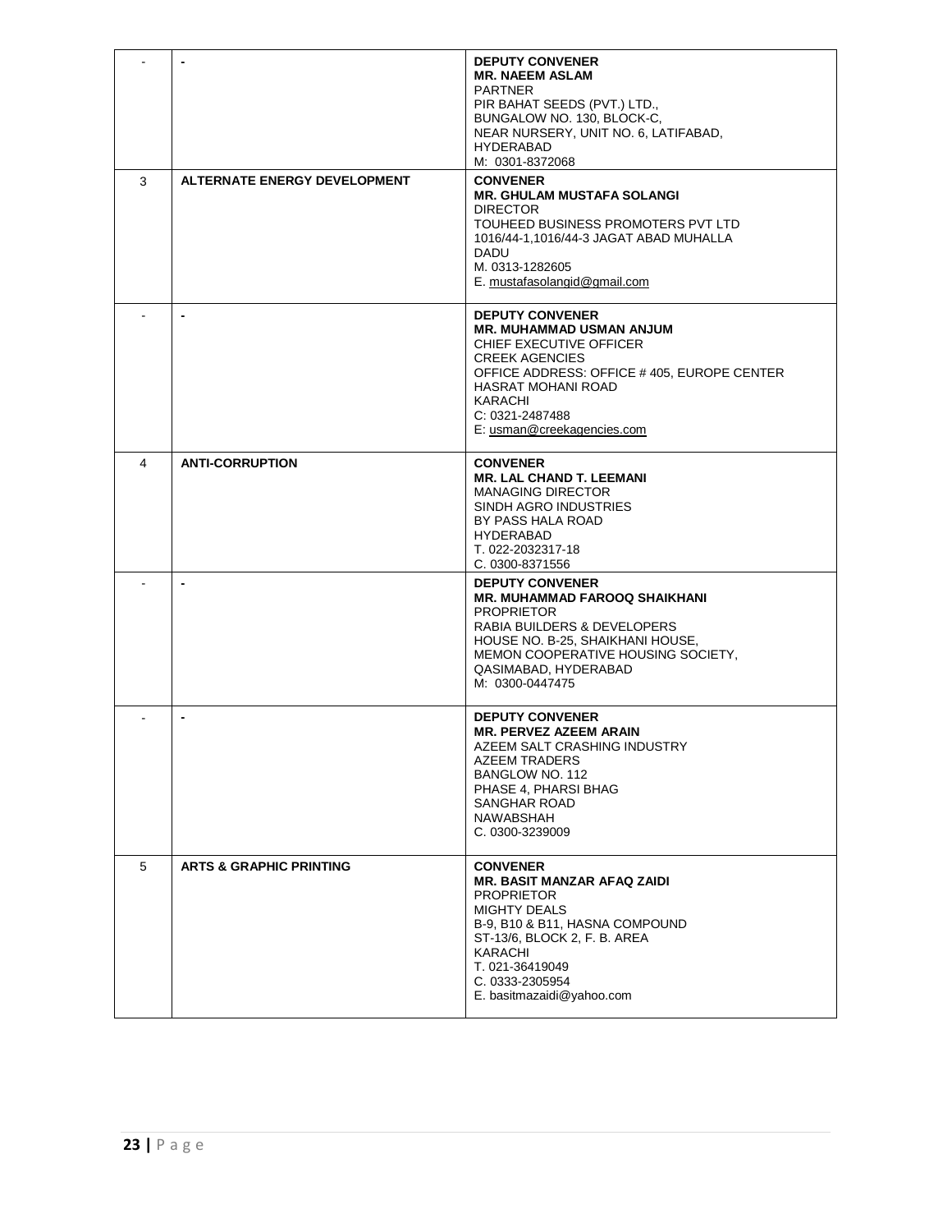|   |                                     | <b>DEPUTY CONVENER</b><br><b>MR. NAEEM ASLAM</b><br><b>PARTNER</b><br>PIR BAHAT SEEDS (PVT.) LTD.,<br>BUNGALOW NO. 130, BLOCK-C,<br>NEAR NURSERY, UNIT NO. 6, LATIFABAD,                                                                          |
|---|-------------------------------------|---------------------------------------------------------------------------------------------------------------------------------------------------------------------------------------------------------------------------------------------------|
|   |                                     | <b>HYDERABAD</b><br>M: 0301-8372068                                                                                                                                                                                                               |
| 3 | <b>ALTERNATE ENERGY DEVELOPMENT</b> | <b>CONVENER</b><br><b>MR. GHULAM MUSTAFA SOLANGI</b><br><b>DIRECTOR</b><br>TOUHEED BUSINESS PROMOTERS PVT LTD<br>1016/44-1,1016/44-3 JAGAT ABAD MUHALLA<br>DADU<br>M. 0313-1282605<br>E. mustafasolangid@gmail.com                                |
|   | $\blacksquare$                      | <b>DEPUTY CONVENER</b><br><b>MR. MUHAMMAD USMAN ANJUM</b><br>CHIEF EXECUTIVE OFFICER<br><b>CREEK AGENCIES</b><br>OFFICE ADDRESS: OFFICE #405, EUROPE CENTER<br>HASRAT MOHANI ROAD<br>KARACHI<br>C: 0321-2487488<br>E: usman@creekagencies.com     |
| 4 | <b>ANTI-CORRUPTION</b>              | <b>CONVENER</b><br><b>MR. LAL CHAND T. LEEMANI</b><br><b>MANAGING DIRECTOR</b><br>SINDH AGRO INDUSTRIES<br>BY PASS HALA ROAD<br><b>HYDERABAD</b><br>T. 022-2032317-18<br>C. 0300-8371556                                                          |
|   |                                     | <b>DEPUTY CONVENER</b><br><b>MR. MUHAMMAD FAROOQ SHAIKHANI</b><br><b>PROPRIETOR</b><br>RABIA BUILDERS & DEVELOPERS<br>HOUSE NO. B-25, SHAIKHANI HOUSE,<br>MEMON COOPERATIVE HOUSING SOCIETY,<br>QASIMABAD, HYDERABAD<br>M: 0300-0447475           |
|   |                                     | <b>DEPUTY CONVENER</b><br><b>MR. PERVEZ AZEEM ARAIN</b><br>AZEEM SALT CRASHING INDUSTRY<br>AZEEM TRADERS<br>BANGLOW NO. 112<br>PHASE 4, PHARSI BHAG<br>SANGHAR ROAD<br>NAWABSHAH<br>C. 0300-3239009                                               |
| 5 | <b>ARTS &amp; GRAPHIC PRINTING</b>  | <b>CONVENER</b><br><b>MR. BASIT MANZAR AFAQ ZAIDI</b><br><b>PROPRIETOR</b><br><b>MIGHTY DEALS</b><br>B-9, B10 & B11, HASNA COMPOUND<br>ST-13/6, BLOCK 2, F. B. AREA<br>KARACHI<br>T. 021-36419049<br>C. 0333-2305954<br>E. basitmazaidi@yahoo.com |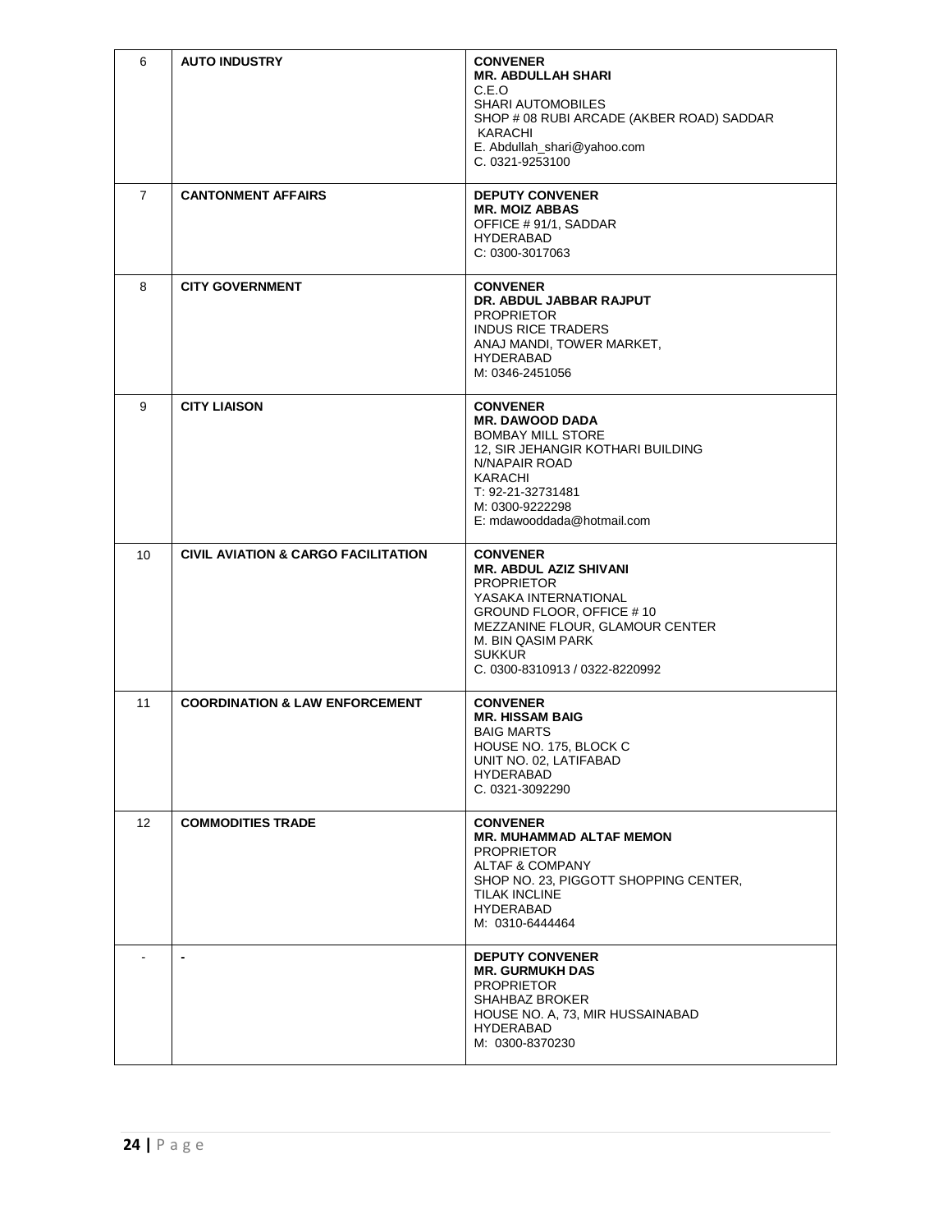| 6              | <b>AUTO INDUSTRY</b>                           | <b>CONVENER</b><br><b>MR. ABDULLAH SHARI</b><br>C.E.O<br><b>SHARI AUTOMOBILES</b><br>SHOP # 08 RUBI ARCADE (AKBER ROAD) SADDAR<br>KARACHI<br>E. Abdullah_shari@yahoo.com<br>C. 0321-9253100                                          |
|----------------|------------------------------------------------|--------------------------------------------------------------------------------------------------------------------------------------------------------------------------------------------------------------------------------------|
| $\overline{7}$ | <b>CANTONMENT AFFAIRS</b>                      | <b>DEPUTY CONVENER</b><br><b>MR. MOIZ ABBAS</b><br>OFFICE #91/1, SADDAR<br><b>HYDERABAD</b><br>C: 0300-3017063                                                                                                                       |
| 8              | <b>CITY GOVERNMENT</b>                         | <b>CONVENER</b><br>DR. ABDUL JABBAR RAJPUT<br><b>PROPRIETOR</b><br><b>INDUS RICE TRADERS</b><br>ANAJ MANDI, TOWER MARKET,<br><b>HYDERABAD</b><br>M: 0346-2451056                                                                     |
| 9              | <b>CITY LIAISON</b>                            | <b>CONVENER</b><br><b>MR. DAWOOD DADA</b><br><b>BOMBAY MILL STORE</b><br>12, SIR JEHANGIR KOTHARI BUILDING<br>N/NAPAIR ROAD<br>KARACHI<br>T: 92-21-32731481<br>M: 0300-9222298<br>E: mdawooddada@hotmail.com                         |
| 10             | <b>CIVIL AVIATION &amp; CARGO FACILITATION</b> | <b>CONVENER</b><br><b>MR. ABDUL AZIZ SHIVANI</b><br><b>PROPRIETOR</b><br>YASAKA INTERNATIONAL<br>GROUND FLOOR, OFFICE #10<br>MEZZANINE FLOUR, GLAMOUR CENTER<br>M. BIN QASIM PARK<br><b>SUKKUR</b><br>C. 0300-8310913 / 0322-8220992 |
| 11             | <b>COORDINATION &amp; LAW ENFORCEMENT</b>      | <b>CONVENER</b><br><b>MR. HISSAM BAIG</b><br><b>BAIG MARTS</b><br>HOUSE NO. 175, BLOCK C<br>UNIT NO. 02, LATIFABAD<br><b>HYDERABAD</b><br>C. 0321-3092290                                                                            |
| 12             | <b>COMMODITIES TRADE</b>                       | <b>CONVENER</b><br><b>MR. MUHAMMAD ALTAF MEMON</b><br><b>PROPRIETOR</b><br><b>ALTAF &amp; COMPANY</b><br>SHOP NO. 23, PIGGOTT SHOPPING CENTER,<br>TILAK INCLINE<br><b>HYDERABAD</b><br>M: 0310-6444464                               |
|                | $\blacksquare$                                 | <b>DEPUTY CONVENER</b><br><b>MR. GURMUKH DAS</b><br><b>PROPRIETOR</b><br><b>SHAHBAZ BROKER</b><br>HOUSE NO. A, 73, MIR HUSSAINABAD<br>HYDERABAD<br>M: 0300-8370230                                                                   |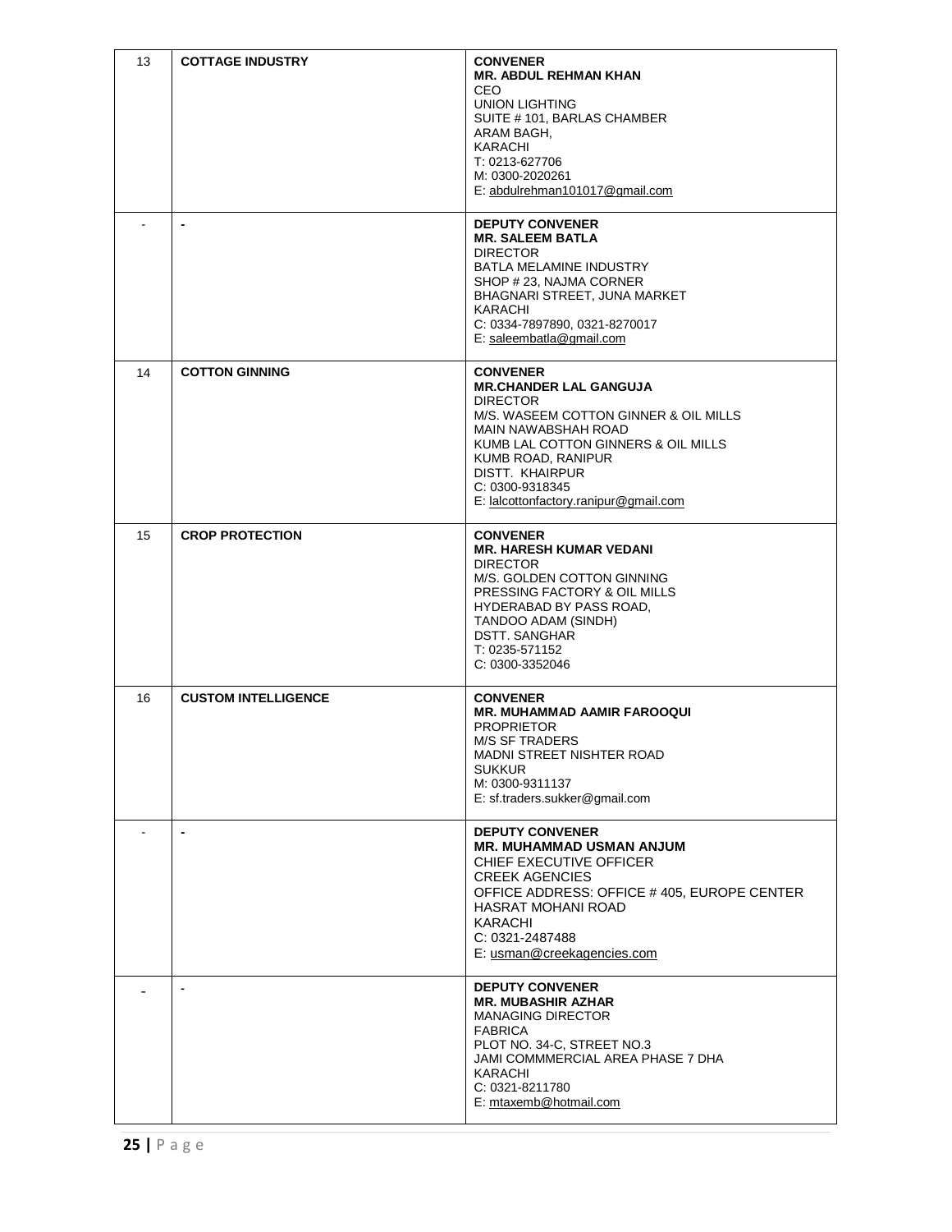| 13 | <b>COTTAGE INDUSTRY</b>    | <b>CONVENER</b><br><b>MR. ABDUL REHMAN KHAN</b><br><b>CEO</b><br><b>UNION LIGHTING</b><br>SUITE #101, BARLAS CHAMBER<br>ARAM BAGH,<br>KARACHI<br>T: 0213-627706<br>M: 0300-2020261<br>E: abdulrehman101017@gmail.com                                                                          |
|----|----------------------------|-----------------------------------------------------------------------------------------------------------------------------------------------------------------------------------------------------------------------------------------------------------------------------------------------|
|    | $\blacksquare$             | <b>DEPUTY CONVENER</b><br><b>MR. SALEEM BATLA</b><br><b>DIRECTOR</b><br><b>BATLA MELAMINE INDUSTRY</b><br>SHOP # 23, NAJMA CORNER<br>BHAGNARI STREET, JUNA MARKET<br>KARACHI<br>C: 0334-7897890, 0321-8270017<br>E: saleembatla@gmail.com                                                     |
| 14 | <b>COTTON GINNING</b>      | <b>CONVENER</b><br><b>MR.CHANDER LAL GANGUJA</b><br><b>DIRECTOR</b><br>M/S. WASEEM COTTON GINNER & OIL MILLS<br><b>MAIN NAWABSHAH ROAD</b><br>KUMB LAL COTTON GINNERS & OIL MILLS<br>KUMB ROAD, RANIPUR<br><b>DISTT. KHAIRPUR</b><br>C: 0300-9318345<br>E: lalcottonfactory.ranipur@gmail.com |
| 15 | <b>CROP PROTECTION</b>     | <b>CONVENER</b><br><b>MR. HARESH KUMAR VEDANI</b><br><b>DIRECTOR</b><br>M/S. GOLDEN COTTON GINNING<br>PRESSING FACTORY & OIL MILLS<br>HYDERABAD BY PASS ROAD,<br>TANDOO ADAM (SINDH)<br>DSTT. SANGHAR<br>$T: 0235 - 571152$<br>C: 0300-3352046                                                |
| 16 | <b>CUSTOM INTELLIGENCE</b> | <b>CONVENER</b><br><b>MR. MUHAMMAD AAMIR FAROOQUI</b><br><b>PROPRIETOR</b><br><b>M/S SF TRADERS</b><br><b>MADNI STREET NISHTER ROAD</b><br><b>SUKKUR</b><br>M: 0300-9311137<br>E: sf.traders.sukker@gmail.com                                                                                 |
|    | $\blacksquare$             | <b>DEPUTY CONVENER</b><br><b>MR. MUHAMMAD USMAN ANJUM</b><br>CHIEF EXECUTIVE OFFICER<br><b>CREEK AGENCIES</b><br>OFFICE ADDRESS: OFFICE #405, EUROPE CENTER<br>HASRAT MOHANI ROAD<br>KARACHI<br>C: 0321-2487488<br>E: usman@creekagencies.com                                                 |
|    |                            | <b>DEPUTY CONVENER</b><br><b>MR. MUBASHIR AZHAR</b><br><b>MANAGING DIRECTOR</b><br><b>FABRICA</b><br>PLOT NO. 34-C, STREET NO.3<br>JAMI COMMMERCIAL AREA PHASE 7 DHA<br><b>KARACHI</b><br>C: 0321-8211780<br>E: mtaxemb@hotmail.com                                                           |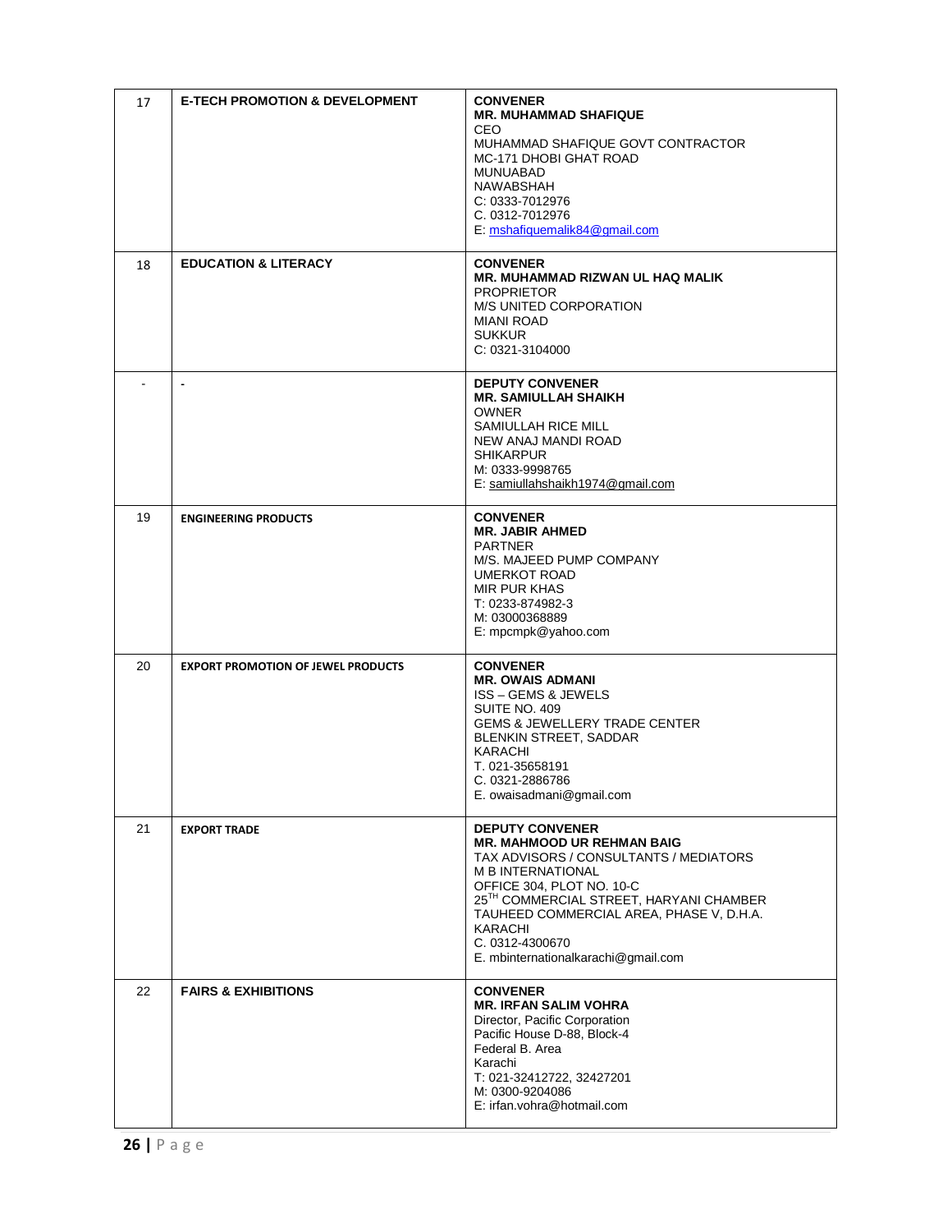| 17 | <b>E-TECH PROMOTION &amp; DEVELOPMENT</b> | <b>CONVENER</b><br><b>MR. MUHAMMAD SHAFIQUE</b><br>CFO<br>MUHAMMAD SHAFIQUE GOVT CONTRACTOR<br>MC-171 DHOBI GHAT ROAD<br>MUNUABAD<br>NAWABSHAH<br>C: 0333-7012976<br>C. 0312-7012976<br>E: mshafiquemalik84@gmail.com                                                                                                                  |
|----|-------------------------------------------|----------------------------------------------------------------------------------------------------------------------------------------------------------------------------------------------------------------------------------------------------------------------------------------------------------------------------------------|
| 18 | <b>EDUCATION &amp; LITERACY</b>           | <b>CONVENER</b><br><b>MR. MUHAMMAD RIZWAN UL HAQ MALIK</b><br><b>PROPRIETOR</b><br><b>M/S UNITED CORPORATION</b><br><b>MIANI ROAD</b><br><b>SUKKUR</b><br>C: 0321-3104000                                                                                                                                                              |
|    |                                           | <b>DEPUTY CONVENER</b><br><b>MR. SAMIULLAH SHAIKH</b><br><b>OWNER</b><br>SAMIULLAH RICE MILL<br>NEW ANAJ MANDI ROAD<br><b>SHIKARPUR</b><br>M: 0333-9998765<br>E: samiullahshaikh1974@gmail.com                                                                                                                                         |
| 19 | <b>ENGINEERING PRODUCTS</b>               | <b>CONVENER</b><br><b>MR. JABIR AHMED</b><br><b>PARTNER</b><br>M/S. MAJEED PUMP COMPANY<br><b>UMERKOT ROAD</b><br><b>MIR PUR KHAS</b><br>T: 0233-874982-3<br>M: 03000368889<br>E: mpcmpk@yahoo.com                                                                                                                                     |
| 20 | <b>EXPORT PROMOTION OF JEWEL PRODUCTS</b> | <b>CONVENER</b><br><b>MR. OWAIS ADMANI</b><br><b>ISS - GEMS &amp; JEWELS</b><br>SUITE NO. 409<br><b>GEMS &amp; JEWELLERY TRADE CENTER</b><br>BLENKIN STREET, SADDAR<br>KARACHI<br>T. 021-35658191<br>C. 0321-2886786<br>E. owaisadmani@gmail.com                                                                                       |
| 21 | <b>EXPORT TRADE</b>                       | <b>DEPUTY CONVENER</b><br><b>MR. MAHMOOD UR REHMAN BAIG</b><br>TAX ADVISORS / CONSULTANTS / MEDIATORS<br><b>M B INTERNATIONAL</b><br>OFFICE 304, PLOT NO. 10-C<br>25 <sup>TH</sup> COMMERCIAL STREET, HARYANI CHAMBER<br>TAUHEED COMMERCIAL AREA, PHASE V, D.H.A.<br>KARACHI<br>C. 0312-4300670<br>E. mbinternationalkarachi@gmail.com |
| 22 | <b>FAIRS &amp; EXHIBITIONS</b>            | <b>CONVENER</b><br><b>MR. IRFAN SALIM VOHRA</b><br>Director, Pacific Corporation<br>Pacific House D-88, Block-4<br>Federal B. Area<br>Karachi<br>T: 021-32412722, 32427201<br>M: 0300-9204086<br>E: irfan.vohra@hotmail.com                                                                                                            |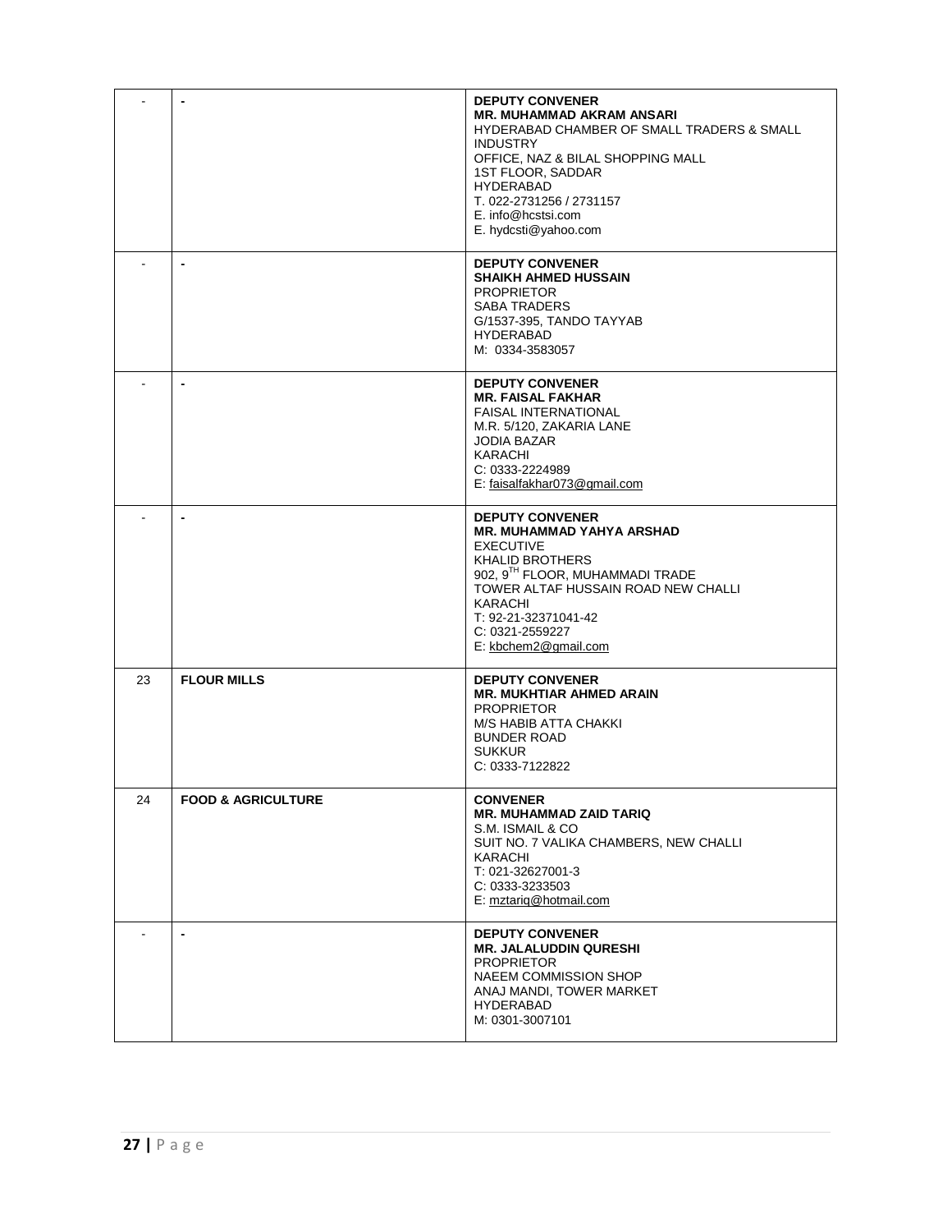|    |                               | <b>DEPUTY CONVENER</b><br><b>MR. MUHAMMAD AKRAM ANSARI</b><br>HYDERABAD CHAMBER OF SMALL TRADERS & SMALL<br><b>INDUSTRY</b><br>OFFICE, NAZ & BILAL SHOPPING MALL<br>1ST FLOOR, SADDAR<br><b>HYDERABAD</b><br>T. 022-2731256 / 2731157<br>E. info@hcstsi.com<br>E. hydcsti@yahoo.com |
|----|-------------------------------|-------------------------------------------------------------------------------------------------------------------------------------------------------------------------------------------------------------------------------------------------------------------------------------|
|    | $\overline{a}$                | <b>DEPUTY CONVENER</b><br><b>SHAIKH AHMED HUSSAIN</b><br><b>PROPRIETOR</b><br><b>SABA TRADERS</b><br>G/1537-395, TANDO TAYYAB<br><b>HYDERABAD</b><br>M: 0334-3583057                                                                                                                |
|    | ٠                             | <b>DEPUTY CONVENER</b><br><b>MR. FAISAL FAKHAR</b><br><b>FAISAL INTERNATIONAL</b><br>M.R. 5/120, ZAKARIA LANE<br><b>JODIA BAZAR</b><br>KARACHI<br>C: 0333-2224989<br>E: faisalfakhar073@gmail.com                                                                                   |
|    | $\blacksquare$                | <b>DEPUTY CONVENER</b><br>MR. MUHAMMAD YAHYA ARSHAD<br><b>EXECUTIVE</b><br><b>KHALID BROTHERS</b><br>902, 9TH FLOOR, MUHAMMADI TRADE<br>TOWER ALTAF HUSSAIN ROAD NEW CHALLI<br>KARACHI<br>T: 92-21-32371041-42<br>C: 0321-2559227<br>E: kbchem2@gmail.com                           |
| 23 | <b>FLOUR MILLS</b>            | <b>DEPUTY CONVENER</b><br><b>MR. MUKHTIAR AHMED ARAIN</b><br><b>PROPRIETOR</b><br>M/S HABIB ATTA CHAKKI<br><b>BUNDER ROAD</b><br><b>SUKKUR</b><br>C: 0333-7122822                                                                                                                   |
| 24 | <b>FOOD &amp; AGRICULTURE</b> | <b>CONVENER</b><br><b>MR. MUHAMMAD ZAID TARIQ</b><br>S.M. ISMAIL & CO<br>SUIT NO. 7 VALIKA CHAMBERS, NEW CHALLI<br>KARACHI<br>T: 021-32627001-3<br>C: 0333-3233503<br>E: mztariq@hotmail.com                                                                                        |
|    | ٠                             | <b>DEPUTY CONVENER</b><br><b>MR. JALALUDDIN QURESHI</b><br><b>PROPRIETOR</b><br>NAEEM COMMISSION SHOP<br>ANAJ MANDI, TOWER MARKET<br><b>HYDERABAD</b><br>M: 0301-3007101                                                                                                            |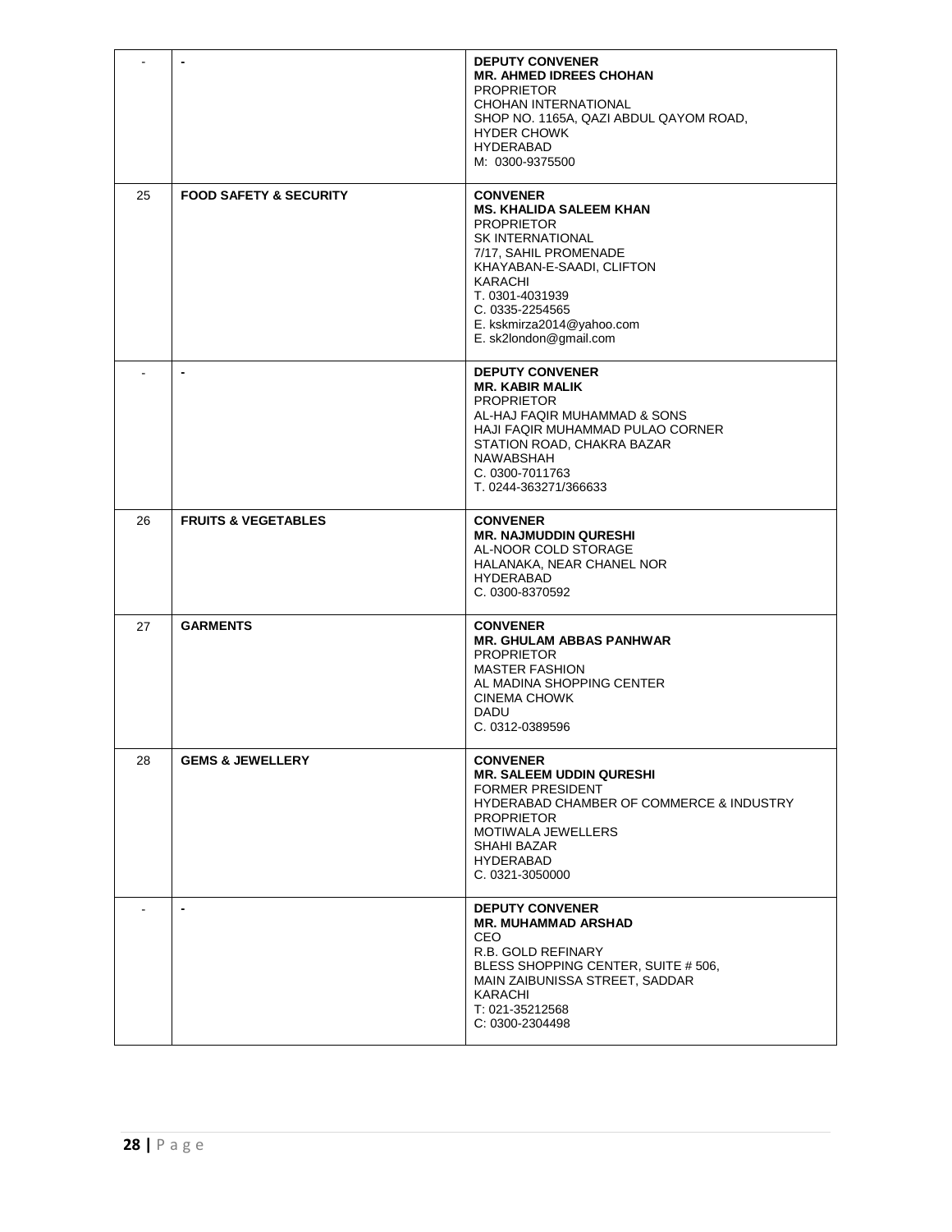|    |                                   | <b>DEPUTY CONVENER</b><br><b>MR. AHMED IDREES CHOHAN</b><br><b>PROPRIETOR</b><br>CHOHAN INTERNATIONAL<br>SHOP NO. 1165A, QAZI ABDUL QAYOM ROAD,<br><b>HYDER CHOWK</b><br><b>HYDERABAD</b><br>M: 0300-9375500                                                    |
|----|-----------------------------------|-----------------------------------------------------------------------------------------------------------------------------------------------------------------------------------------------------------------------------------------------------------------|
| 25 | <b>FOOD SAFETY &amp; SECURITY</b> | <b>CONVENER</b><br><b>MS. KHALIDA SALEEM KHAN</b><br><b>PROPRIETOR</b><br><b>SK INTERNATIONAL</b><br>7/17, SAHIL PROMENADE<br>KHAYABAN-E-SAADI, CLIFTON<br>KARACHI<br>T. 0301-4031939<br>C. 0335-2254565<br>E. kskmirza2014@yahoo.com<br>E. sk2london@gmail.com |
|    |                                   | <b>DEPUTY CONVENER</b><br><b>MR. KABIR MALIK</b><br><b>PROPRIETOR</b><br>AL-HAJ FAQIR MUHAMMAD & SONS<br>HAJI FAQIR MUHAMMAD PULAO CORNER<br>STATION ROAD, CHAKRA BAZAR<br><b>NAWABSHAH</b><br>C. 0300-7011763<br>T. 0244-363271/366633                         |
| 26 | <b>FRUITS &amp; VEGETABLES</b>    | <b>CONVENER</b><br><b>MR. NAJMUDDIN QURESHI</b><br>AL-NOOR COLD STORAGE<br>HALANAKA, NEAR CHANEL NOR<br><b>HYDERABAD</b><br>C. 0300-8370592                                                                                                                     |
| 27 | <b>GARMENTS</b>                   | <b>CONVENER</b><br><b>MR. GHULAM ABBAS PANHWAR</b><br><b>PROPRIETOR</b><br><b>MASTER FASHION</b><br>AL MADINA SHOPPING CENTER<br>CINEMA CHOWK<br><b>DADU</b><br>C. 0312-0389596                                                                                 |
| 28 | <b>GEMS &amp; JEWELLERY</b>       | <b>CONVENER</b><br><b>MR. SALEEM UDDIN QURESHI</b><br><b>FORMER PRESIDENT</b><br><b>HYDERABAD CHAMBER OF COMMERCE &amp; INDUSTRY</b><br><b>PROPRIETOR</b><br>MOTIWALA JEWELLERS<br>SHAHI BAZAR<br>HYDERABAD<br>C. 0321-3050000                                  |
|    | $\blacksquare$                    | <b>DEPUTY CONVENER</b><br><b>MR. MUHAMMAD ARSHAD</b><br><b>CEO</b><br>R.B. GOLD REFINARY<br>BLESS SHOPPING CENTER, SUITE # 506,<br>MAIN ZAIBUNISSA STREET, SADDAR<br>KARACHI<br>T: 021-35212568<br>C: 0300-2304498                                              |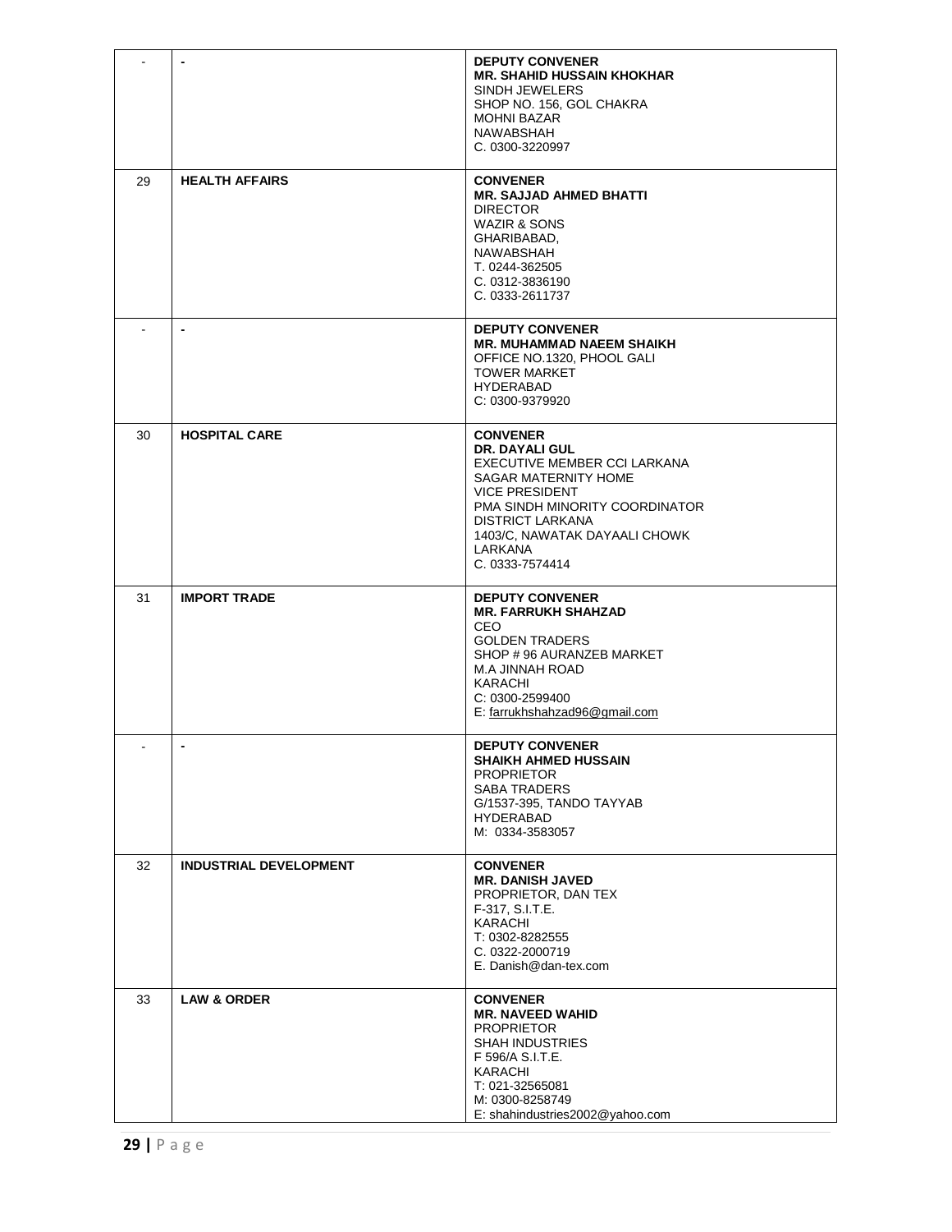|    | $\blacksquare$                | <b>DEPUTY CONVENER</b><br><b>MR. SHAHID HUSSAIN KHOKHAR</b><br>SINDH JEWELERS<br>SHOP NO. 156, GOL CHAKRA<br><b>MOHNI BAZAR</b><br>NAWABSHAH<br>C. 0300-3220997                                                                                       |
|----|-------------------------------|-------------------------------------------------------------------------------------------------------------------------------------------------------------------------------------------------------------------------------------------------------|
| 29 | <b>HEALTH AFFAIRS</b>         | <b>CONVENER</b><br><b>MR. SAJJAD AHMED BHATTI</b><br><b>DIRECTOR</b><br><b>WAZIR &amp; SONS</b><br>GHARIBABAD.<br>NAWABSHAH<br>T. 0244-362505<br>C. 0312-3836190<br>C. 0333-2611737                                                                   |
|    | $\blacksquare$                | <b>DEPUTY CONVENER</b><br><b>MR. MUHAMMAD NAEEM SHAIKH</b><br>OFFICE NO.1320, PHOOL GALI<br><b>TOWER MARKET</b><br><b>HYDERABAD</b><br>C: 0300-9379920                                                                                                |
| 30 | <b>HOSPITAL CARE</b>          | <b>CONVENER</b><br><b>DR. DAYALI GUL</b><br>EXECUTIVE MEMBER CCI LARKANA<br>SAGAR MATERNITY HOME<br><b>VICE PRESIDENT</b><br>PMA SINDH MINORITY COORDINATOR<br><b>DISTRICT LARKANA</b><br>1403/C, NAWATAK DAYAALI CHOWK<br>LARKANA<br>C. 0333-7574414 |
| 31 | <b>IMPORT TRADE</b>           | <b>DEPUTY CONVENER</b><br><b>MR. FARRUKH SHAHZAD</b><br><b>CEO</b><br><b>GOLDEN TRADERS</b><br>SHOP #96 AURANZEB MARKET<br>M.A JINNAH ROAD<br>KARACHI<br>C: 0300-2599400<br>E: farrukhshahzad96@gmail.com                                             |
|    |                               | <b>DEPUTY CONVENER</b><br><b>SHAIKH AHMED HUSSAIN</b><br><b>PROPRIETOR</b><br><b>SABA TRADERS</b><br>G/1537-395, TANDO TAYYAB<br><b>HYDERABAD</b><br>M: 0334-3583057                                                                                  |
| 32 | <b>INDUSTRIAL DEVELOPMENT</b> | <b>CONVENER</b><br><b>MR. DANISH JAVED</b><br>PROPRIETOR, DAN TEX<br>F-317, S.I.T.E.<br><b>KARACHI</b><br>T: 0302-8282555<br>C. 0322-2000719<br>E. Danish@dan-tex.com                                                                                 |
| 33 | <b>LAW &amp; ORDER</b>        | <b>CONVENER</b><br><b>MR. NAVEED WAHID</b><br><b>PROPRIETOR</b><br><b>SHAH INDUSTRIES</b><br>F 596/A S.I.T.E.<br>KARACHI<br>T: 021-32565081<br>M: 0300-8258749<br>E: shahindustries2002@yahoo.com                                                     |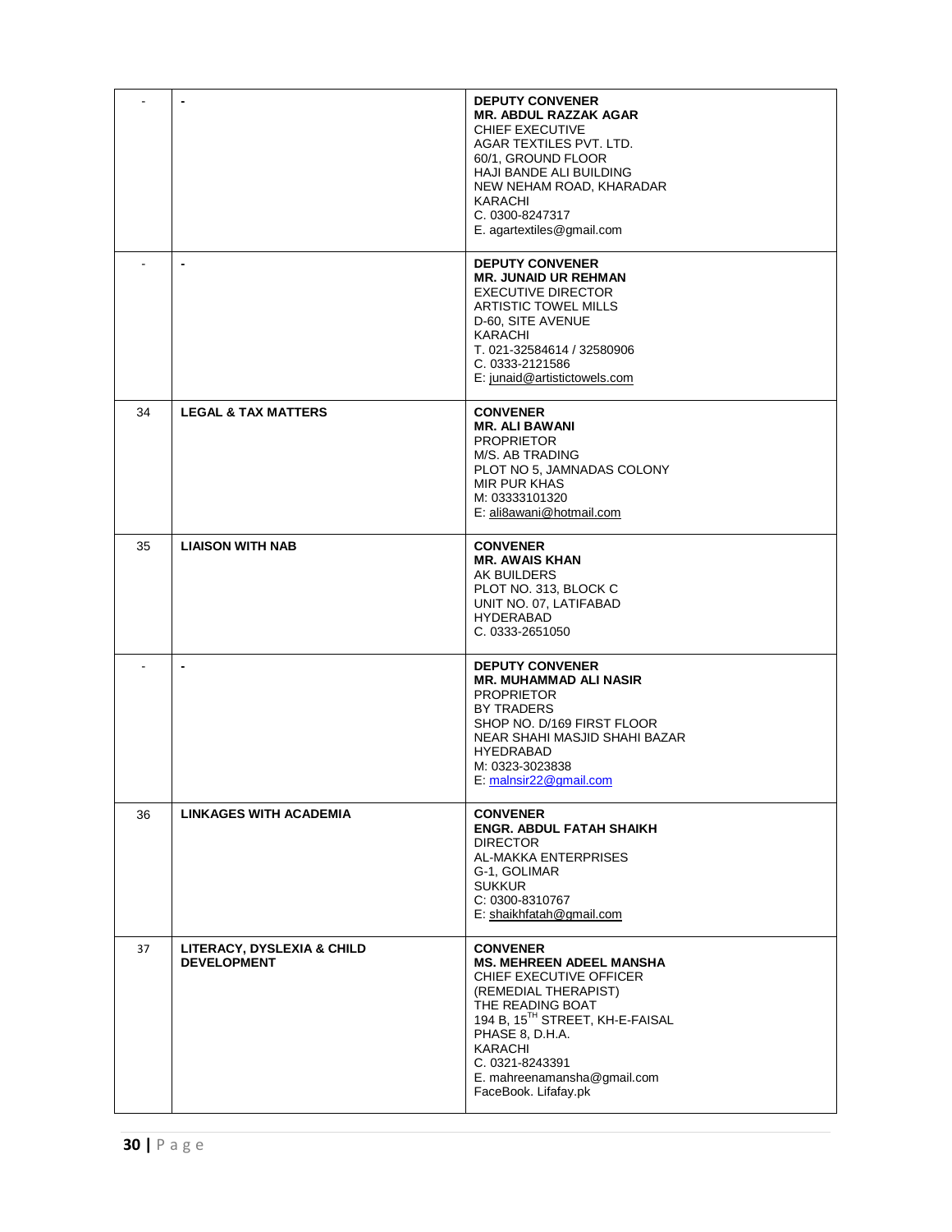|    |                                                  | <b>DEPUTY CONVENER</b><br><b>MR. ABDUL RAZZAK AGAR</b><br>CHIEF EXECUTIVE<br>AGAR TEXTILES PVT. LTD.<br>60/1, GROUND FLOOR<br><b>HAJI BANDE ALI BUILDING</b><br>NEW NEHAM ROAD, KHARADAR<br>KARACHI<br>C. 0300-8247317<br>E. agartextiles@gmail.com                  |
|----|--------------------------------------------------|----------------------------------------------------------------------------------------------------------------------------------------------------------------------------------------------------------------------------------------------------------------------|
|    |                                                  | <b>DEPUTY CONVENER</b><br><b>MR. JUNAID UR REHMAN</b><br><b>EXECUTIVE DIRECTOR</b><br>ARTISTIC TOWEL MILLS<br>D-60, SITE AVENUE<br>KARACHI<br>T. 021-32584614 / 32580906<br>C. 0333-2121586<br>E: junaid@artistictowels.com                                          |
| 34 | <b>LEGAL &amp; TAX MATTERS</b>                   | <b>CONVENER</b><br><b>MR. ALI BAWANI</b><br><b>PROPRIETOR</b><br>M/S. AB TRADING<br>PLOT NO 5, JAMNADAS COLONY<br>MIR PUR KHAS<br>M: 03333101320<br>E: ali8awani@hotmail.com                                                                                         |
| 35 | <b>LIAISON WITH NAB</b>                          | <b>CONVENER</b><br><b>MR. AWAIS KHAN</b><br>AK BUILDERS<br>PLOT NO. 313, BLOCK C<br>UNIT NO. 07, LATIFABAD<br><b>HYDERABAD</b><br>C. 0333-2651050                                                                                                                    |
|    | $\blacksquare$                                   | <b>DEPUTY CONVENER</b><br><b>MR. MUHAMMAD ALI NASIR</b><br><b>PROPRIETOR</b><br>BY TRADERS<br>SHOP NO. D/169 FIRST FLOOR<br>NEAR SHAHI MASJID SHAHI BAZAR<br><b>HYEDRABAD</b><br>M: 0323-3023838<br>E: malnsir22@gmail.com                                           |
| 36 | LINKAGES WITH ACADEMIA                           | <b>CONVENER</b><br><b>ENGR. ABDUL FATAH SHAIKH</b><br><b>DIRECTOR</b><br>AL-MAKKA ENTERPRISES<br>G-1, GOLIMAR<br><b>SUKKUR</b><br>C: 0300-8310767<br>E: shaikhfatah@gmail.com                                                                                        |
| 37 | LITERACY, DYSLEXIA & CHILD<br><b>DEVELOPMENT</b> | <b>CONVENER</b><br><b>MS. MEHREEN ADEEL MANSHA</b><br>CHIEF EXECUTIVE OFFICER<br>(REMEDIAL THERAPIST)<br>THE READING BOAT<br>194 B, 15TH STREET, KH-E-FAISAL<br>PHASE 8, D.H.A.<br>KARACHI<br>C. 0321-8243391<br>E. mahreenamansha@gmail.com<br>FaceBook. Lifafay.pk |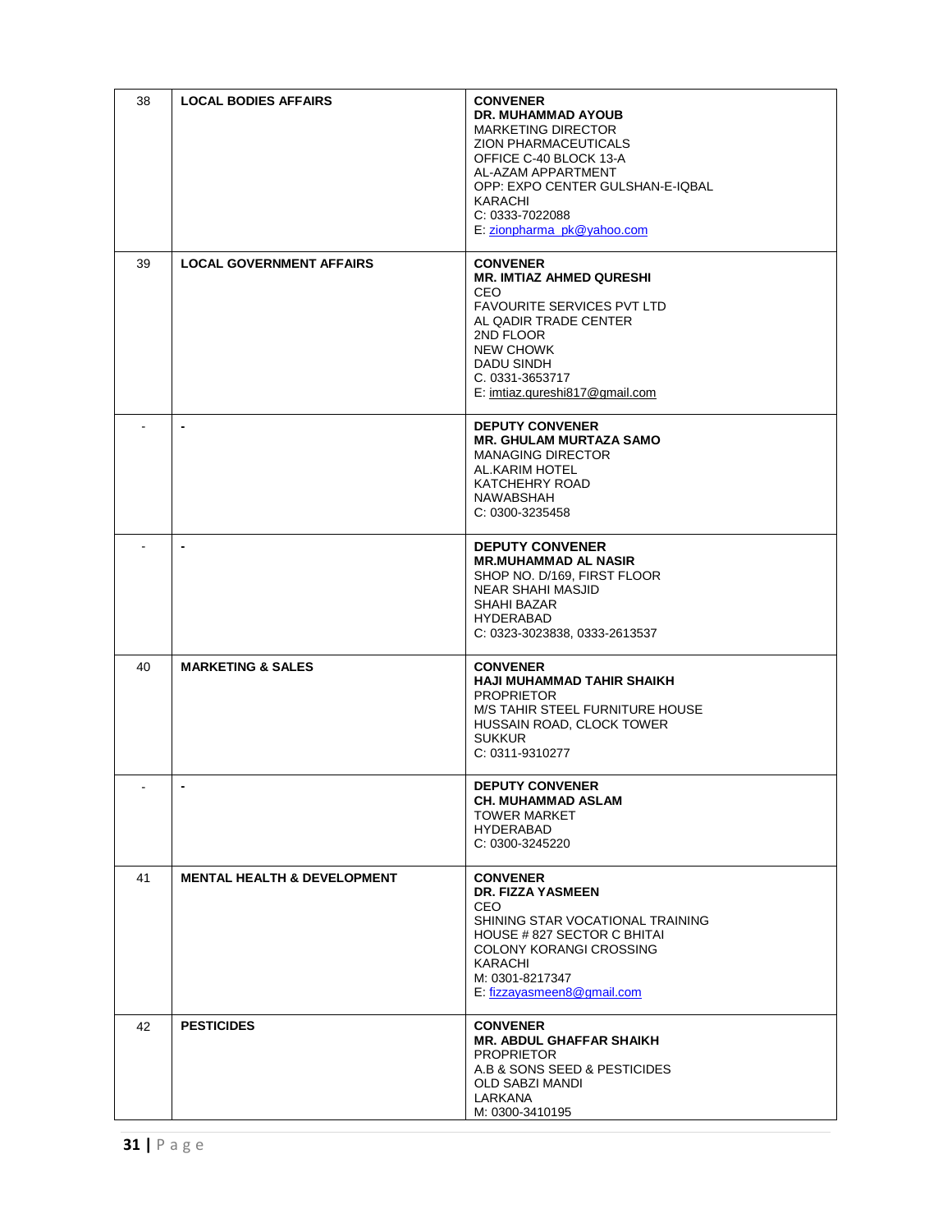| 38 | <b>LOCAL BODIES AFFAIRS</b>            | <b>CONVENER</b><br>DR. MUHAMMAD AYOUB<br><b>MARKETING DIRECTOR</b><br>ZION PHARMACEUTICALS<br>OFFICE C-40 BLOCK 13-A<br>AL-AZAM APPARTMENT<br>OPP: EXPO CENTER GULSHAN-E-IOBAL<br>KARACHI<br>C: 0333-7022088<br>E: zionpharma_pk@yahoo.com |
|----|----------------------------------------|--------------------------------------------------------------------------------------------------------------------------------------------------------------------------------------------------------------------------------------------|
| 39 | <b>LOCAL GOVERNMENT AFFAIRS</b>        | <b>CONVENER</b><br><b>MR. IMTIAZ AHMED QURESHI</b><br><b>CEO</b><br><b>FAVOURITE SERVICES PVT LTD</b><br>AL QADIR TRADE CENTER<br>2ND FLOOR<br><b>NEW CHOWK</b><br>DADU SINDH<br>C. 0331-3653717<br>E: imtiaz.qureshi817@gmail.com         |
|    | $\blacksquare$                         | <b>DEPUTY CONVENER</b><br><b>MR. GHULAM MURTAZA SAMO</b><br><b>MANAGING DIRECTOR</b><br>AL.KARIM HOTEL<br><b>KATCHEHRY ROAD</b><br>NAWABSHAH<br>C: 0300-3235458                                                                            |
|    |                                        | <b>DEPUTY CONVENER</b><br><b>MR.MUHAMMAD AL NASIR</b><br>SHOP NO. D/169, FIRST FLOOR<br><b>NEAR SHAHI MASJID</b><br>SHAHI BAZAR<br><b>HYDERABAD</b><br>C: 0323-3023838, 0333-2613537                                                       |
| 40 | <b>MARKETING &amp; SALES</b>           | <b>CONVENER</b><br><b>HAJI MUHAMMAD TAHIR SHAIKH</b><br><b>PROPRIETOR</b><br>M/S TAHIR STEEL FURNITURE HOUSE<br>HUSSAIN ROAD, CLOCK TOWER<br><b>SUKKUR</b><br>C: 0311-9310277                                                              |
|    | $\blacksquare$                         | <b>DEPUTY CONVENER</b><br><b>CH. MUHAMMAD ASLAM</b><br><b>TOWER MARKET</b><br><b>HYDERABAD</b><br>C: 0300-3245220                                                                                                                          |
| 41 | <b>MENTAL HEALTH &amp; DEVELOPMENT</b> | <b>CONVENER</b><br><b>DR. FIZZA YASMEEN</b><br>CEO.<br>SHINING STAR VOCATIONAL TRAINING<br>HOUSE #827 SECTOR C BHITAI<br><b>COLONY KORANGI CROSSING</b><br>KARACHI<br>M: 0301-8217347<br>E: fizzayasmeen8@gmail.com                        |
| 42 | <b>PESTICIDES</b>                      | <b>CONVENER</b><br><b>MR. ABDUL GHAFFAR SHAIKH</b><br><b>PROPRIETOR</b><br>A.B & SONS SEED & PESTICIDES<br>OLD SABZI MANDI<br>LARKANA<br>M: 0300-3410195                                                                                   |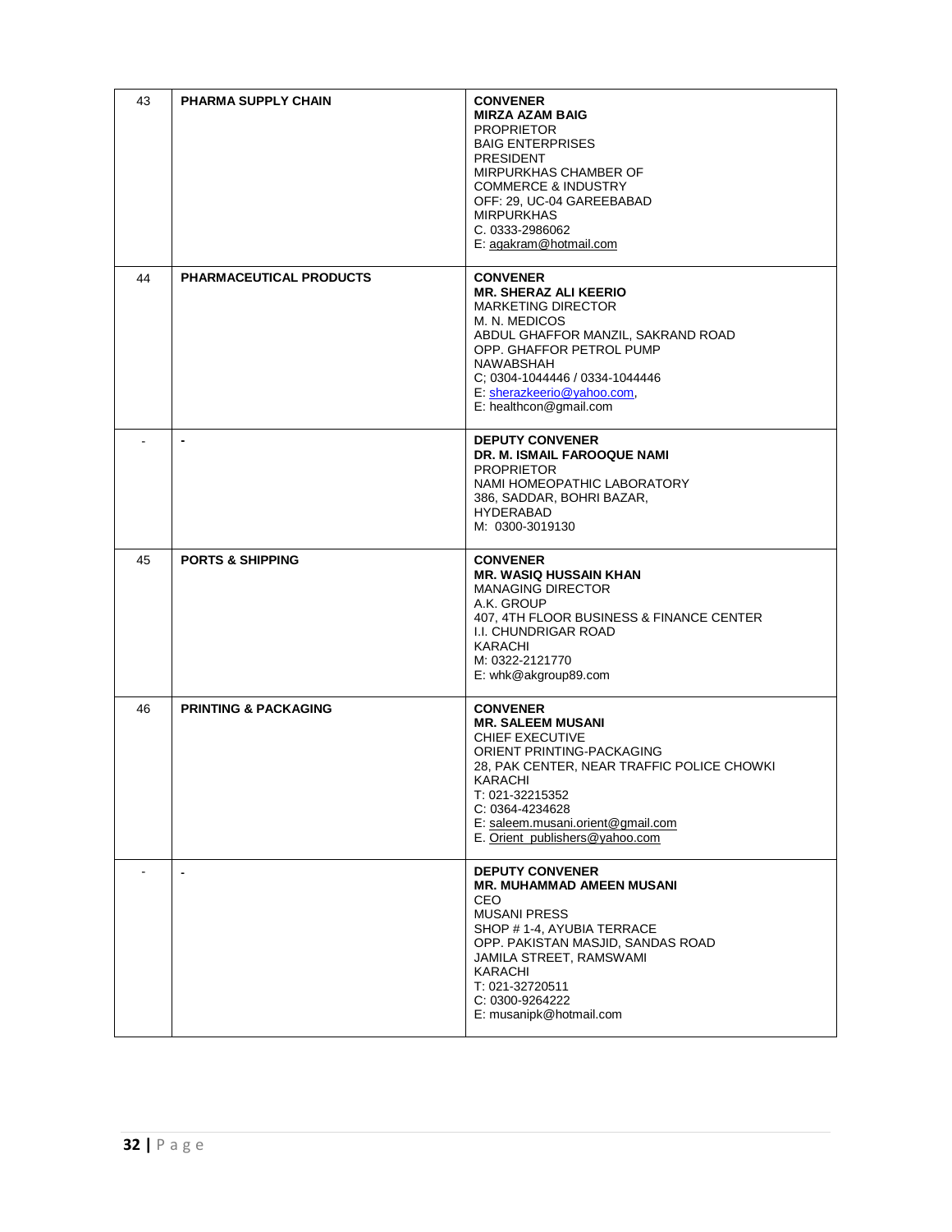| 43 | <b>PHARMA SUPPLY CHAIN</b>      | <b>CONVENER</b><br><b>MIRZA AZAM BAIG</b><br><b>PROPRIETOR</b><br><b>BAIG ENTERPRISES</b><br><b>PRESIDENT</b><br>MIRPURKHAS CHAMBER OF<br><b>COMMERCE &amp; INDUSTRY</b><br>OFF: 29, UC-04 GAREEBABAD<br><b>MIRPURKHAS</b><br>C. 0333-2986062<br>E: agakram@hotmail.com |
|----|---------------------------------|-------------------------------------------------------------------------------------------------------------------------------------------------------------------------------------------------------------------------------------------------------------------------|
| 44 | <b>PHARMACEUTICAL PRODUCTS</b>  | <b>CONVENER</b><br><b>MR. SHERAZ ALI KEERIO</b><br><b>MARKETING DIRECTOR</b><br>M. N. MEDICOS<br>ABDUL GHAFFOR MANZIL, SAKRAND ROAD<br>OPP. GHAFFOR PETROL PUMP<br>NAWABSHAH<br>C: 0304-1044446 / 0334-1044446<br>E: sherazkeerio@yahoo.com,<br>E: healthcon@gmail.com  |
|    | $\blacksquare$                  | <b>DEPUTY CONVENER</b><br>DR. M. ISMAIL FAROOQUE NAMI<br><b>PROPRIETOR</b><br>NAMI HOMEOPATHIC LABORATORY<br>386, SADDAR, BOHRI BAZAR,<br><b>HYDERABAD</b><br>M: 0300-3019130                                                                                           |
| 45 | <b>PORTS &amp; SHIPPING</b>     | <b>CONVENER</b><br><b>MR. WASIQ HUSSAIN KHAN</b><br><b>MANAGING DIRECTOR</b><br>A.K. GROUP<br>407, 4TH FLOOR BUSINESS & FINANCE CENTER<br>I.I. CHUNDRIGAR ROAD<br>KARACHI<br>M: 0322-2121770<br>E: whk@akgroup89.com                                                    |
| 46 | <b>PRINTING &amp; PACKAGING</b> | <b>CONVENER</b><br><b>MR. SALEEM MUSANI</b><br>CHIEF EXECUTIVE<br>ORIENT PRINTING-PACKAGING<br>28, PAK CENTER, NEAR TRAFFIC POLICE CHOWKI<br>KARACHI<br>T: 021-32215352<br>C: 0364-4234628<br>E: saleem.musani.orient@gmail.com<br>E. Orient_publishers@yahoo.com       |
|    |                                 | <b>DEPUTY CONVENER</b><br><b>MR. MUHAMMAD AMEEN MUSANI</b><br>CEO<br><b>MUSANI PRESS</b><br>SHOP # 1-4, AYUBIA TERRACE<br>OPP. PAKISTAN MASJID, SANDAS ROAD<br>JAMILA STREET, RAMSWAMI<br>KARACHI<br>T: 021-32720511<br>C: 0300-9264222<br>E: musanipk@hotmail.com      |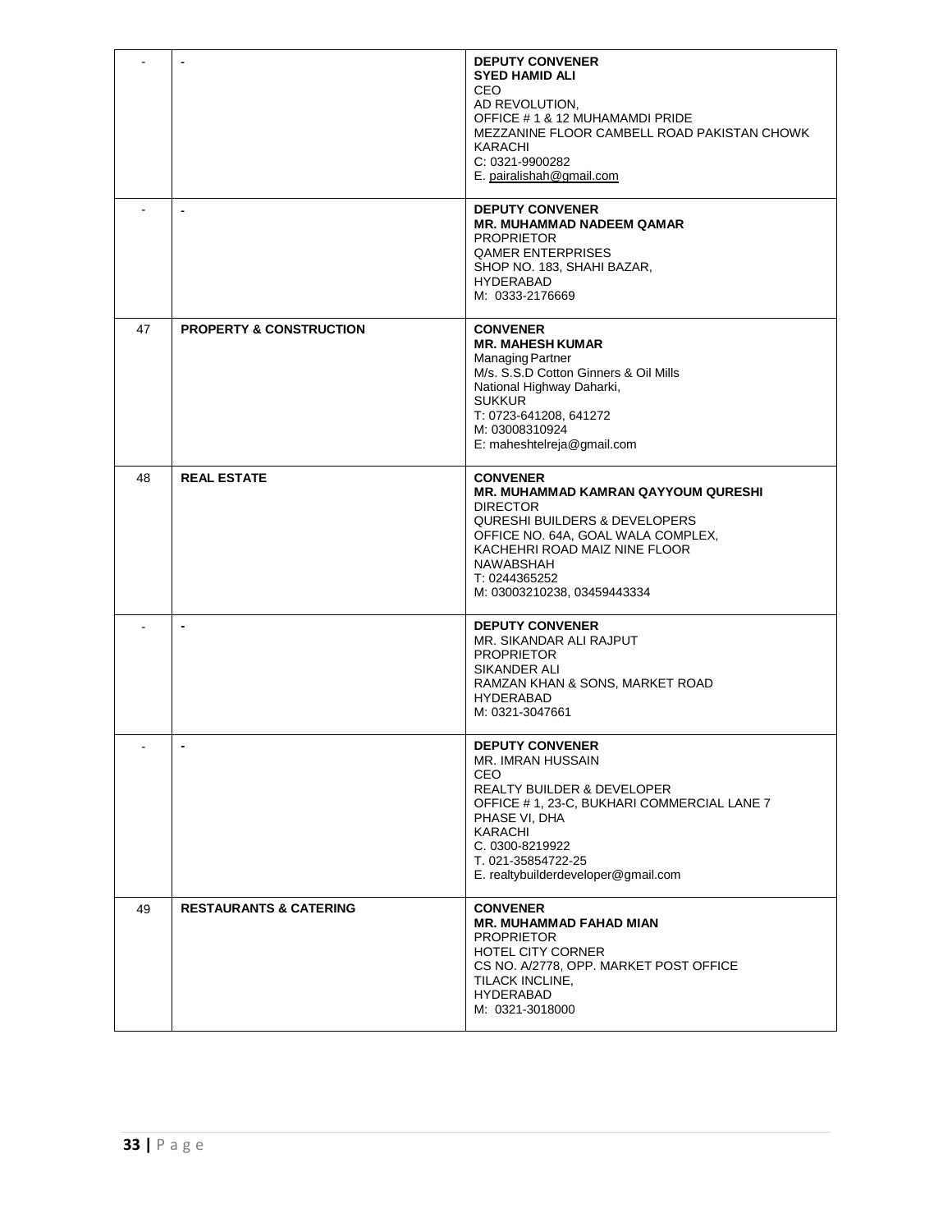|    |                                    | <b>DEPUTY CONVENER</b><br><b>SYED HAMID ALI</b><br><b>CEO</b><br>AD REVOLUTION,<br>OFFICE # 1 & 12 MUHAMAMDI PRIDE<br>MEZZANINE FLOOR CAMBELL ROAD PAKISTAN CHOWK<br>KARACHI<br>C: 0321-9900282<br>E. pairalishah@gmail.com                                      |
|----|------------------------------------|------------------------------------------------------------------------------------------------------------------------------------------------------------------------------------------------------------------------------------------------------------------|
|    | $\blacksquare$                     | <b>DEPUTY CONVENER</b><br><b>MR. MUHAMMAD NADEEM QAMAR</b><br><b>PROPRIETOR</b><br><b>QAMER ENTERPRISES</b><br>SHOP NO. 183, SHAHI BAZAR,<br><b>HYDERABAD</b><br>M: 0333-2176669                                                                                 |
| 47 | <b>PROPERTY &amp; CONSTRUCTION</b> | <b>CONVENER</b><br><b>MR. MAHESH KUMAR</b><br><b>Managing Partner</b><br>M/s. S.S.D Cotton Ginners & Oil Mills<br>National Highway Daharki,<br><b>SUKKUR</b><br>T: 0723-641208, 641272<br>M: 03008310924<br>E: maheshtelreja@gmail.com                           |
| 48 | <b>REAL ESTATE</b>                 | <b>CONVENER</b><br><b>MR. MUHAMMAD KAMRAN QAYYOUM QURESHI</b><br><b>DIRECTOR</b><br><b>QURESHI BUILDERS &amp; DEVELOPERS</b><br>OFFICE NO. 64A, GOAL WALA COMPLEX,<br>KACHEHRI ROAD MAIZ NINE FLOOR<br>NAWABSHAH<br>T: 0244365252<br>M: 03003210238, 03459443334 |
|    |                                    | <b>DEPUTY CONVENER</b><br>MR. SIKANDAR ALI RAJPUT<br><b>PROPRIETOR</b><br>SIKANDER ALI<br>RAMZAN KHAN & SONS, MARKET ROAD<br><b>HYDERABAD</b><br>M: 0321-3047661                                                                                                 |
|    | $\blacksquare$                     | <b>DEPUTY CONVENER</b><br>MR. IMRAN HUSSAIN<br>CEO.<br><b>REALTY BUILDER &amp; DEVELOPER</b><br>OFFICE # 1, 23-C, BUKHARI COMMERCIAL LANE 7<br>PHASE VI, DHA<br>KARACHI<br>C. 0300-8219922<br>T. 021-35854722-25<br>E. realtybuilderdeveloper@gmail.com          |
| 49 | <b>RESTAURANTS &amp; CATERING</b>  | <b>CONVENER</b><br><b>MR. MUHAMMAD FAHAD MIAN</b><br><b>PROPRIETOR</b><br><b>HOTEL CITY CORNER</b><br>CS NO. A/2778, OPP. MARKET POST OFFICE<br>TILACK INCLINE,<br><b>HYDERABAD</b><br>M: 0321-3018000                                                           |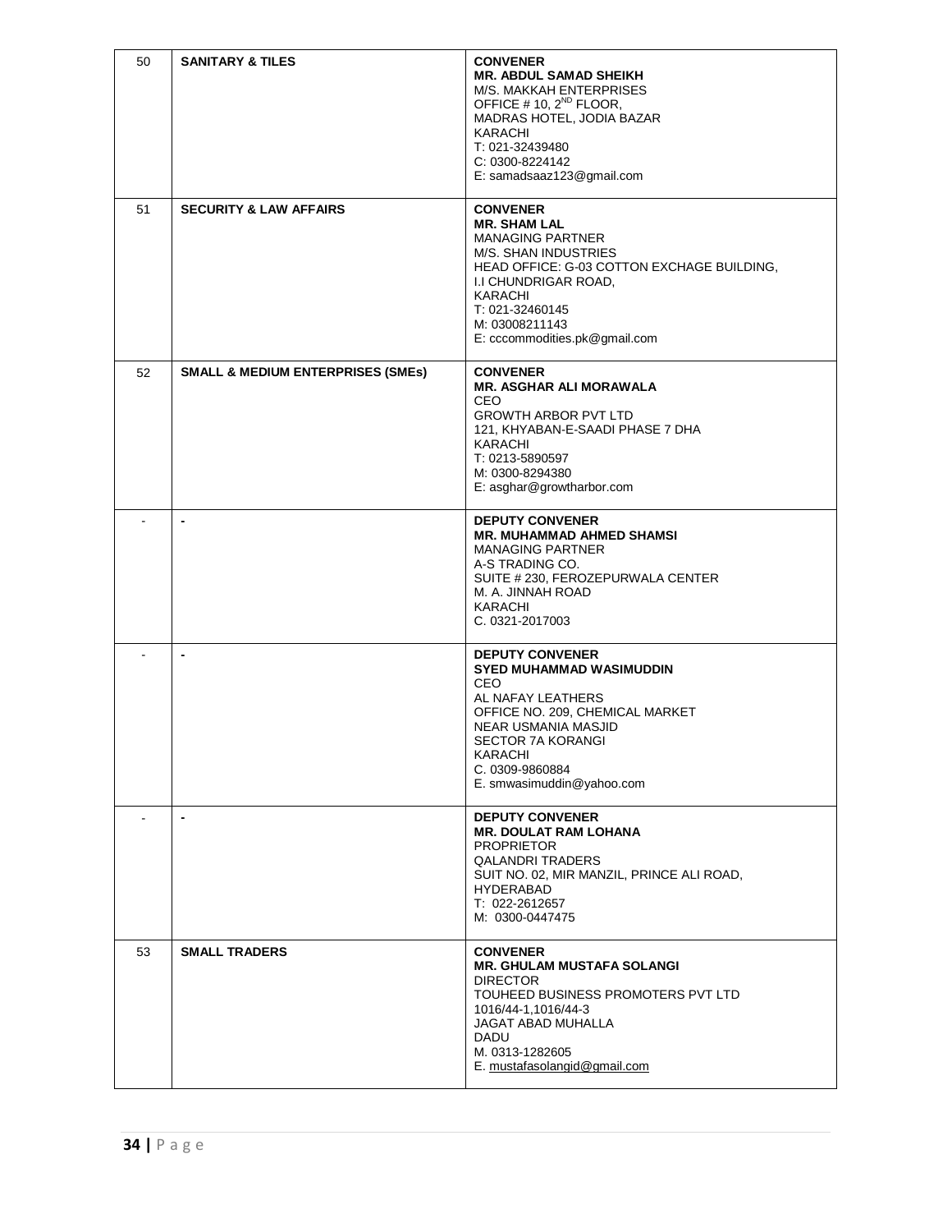| 50 | <b>SANITARY &amp; TILES</b>                  | <b>CONVENER</b><br><b>MR. ABDUL SAMAD SHEIKH</b><br>M/S. MAKKAH ENTERPRISES<br>OFFICE # 10, 2 <sup>ND</sup> FLOOR,<br>MADRAS HOTEL, JODIA BAZAR<br>KARACHI<br>T: 021-32439480<br>C: 0300-8224142<br>E: samadsaaz123@gmail.com                        |
|----|----------------------------------------------|------------------------------------------------------------------------------------------------------------------------------------------------------------------------------------------------------------------------------------------------------|
| 51 | <b>SECURITY &amp; LAW AFFAIRS</b>            | <b>CONVENER</b><br><b>MR. SHAM LAL</b><br><b>MANAGING PARTNER</b><br>M/S. SHAN INDUSTRIES<br>HEAD OFFICE: G-03 COTTON EXCHAGE BUILDING,<br>I.I CHUNDRIGAR ROAD,<br>KARACHI<br>T: 021-32460145<br>M: 03008211143<br>E: cccommodities.pk@gmail.com     |
| 52 | <b>SMALL &amp; MEDIUM ENTERPRISES (SMEs)</b> | <b>CONVENER</b><br><b>MR. ASGHAR ALI MORAWALA</b><br><b>CEO</b><br><b>GROWTH ARBOR PVT LTD</b><br>121, KHYABAN-E-SAADI PHASE 7 DHA<br><b>KARACHI</b><br>T: 0213-5890597<br>M: 0300-8294380<br>E: asghar@growtharbor.com                              |
|    | $\blacksquare$                               | <b>DEPUTY CONVENER</b><br><b>MR. MUHAMMAD AHMED SHAMSI</b><br><b>MANAGING PARTNER</b><br>A-S TRADING CO.<br>SUITE # 230, FEROZEPURWALA CENTER<br>M. A. JINNAH ROAD<br>KARACHI<br>C. 0321-2017003                                                     |
|    |                                              | <b>DEPUTY CONVENER</b><br>SYED MUHAMMAD WASIMUDDIN<br><b>CEO</b><br>AL NAFAY LEATHERS<br>OFFICE NO. 209, CHEMICAL MARKET<br><b>NEAR USMANIA MASJID</b><br><b>SECTOR 7A KORANGI</b><br><b>KARACHI</b><br>C. 0309-9860884<br>E. smwasimuddin@yahoo.com |
|    | $\blacksquare$                               | <b>DEPUTY CONVENER</b><br><b>MR. DOULAT RAM LOHANA</b><br><b>PROPRIETOR</b><br><b>QALANDRI TRADERS</b><br>SUIT NO. 02, MIR MANZIL, PRINCE ALI ROAD,<br><b>HYDERABAD</b><br>T: 022-2612657<br>M: 0300-0447475                                         |
| 53 | <b>SMALL TRADERS</b>                         | <b>CONVENER</b><br><b>MR. GHULAM MUSTAFA SOLANGI</b><br><b>DIRECTOR</b><br>TOUHEED BUSINESS PROMOTERS PVT LTD<br>1016/44-1,1016/44-3<br>JAGAT ABAD MUHALLA<br>DADU<br>M. 0313-1282605<br>E. mustafasolangid@gmail.com                                |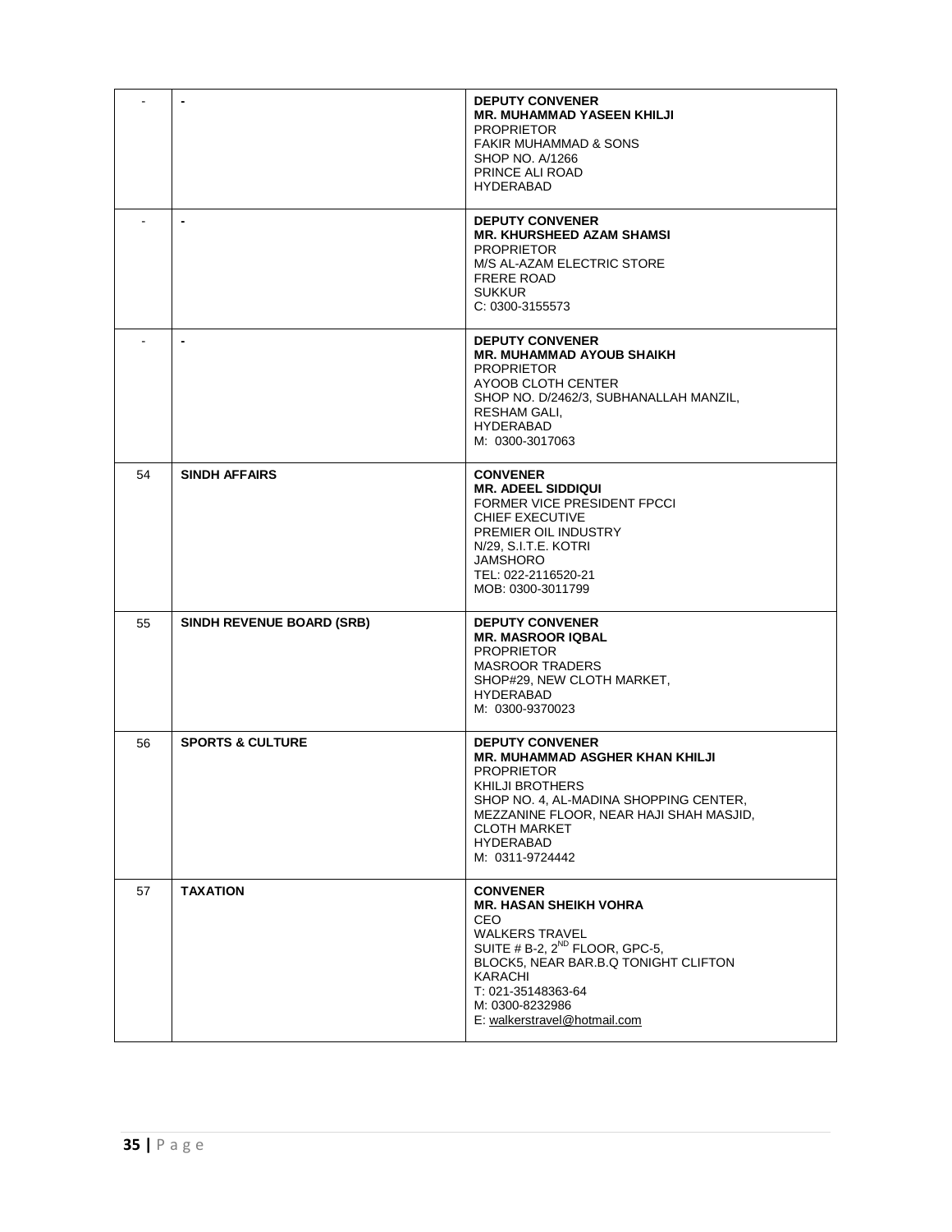|    |                                  | <b>DEPUTY CONVENER</b><br><b>MR. MUHAMMAD YASEEN KHILJI</b><br><b>PROPRIETOR</b><br><b>FAKIR MUHAMMAD &amp; SONS</b><br>SHOP NO. A/1266<br>PRINCE ALI ROAD<br><b>HYDERABAD</b>                                                                             |
|----|----------------------------------|------------------------------------------------------------------------------------------------------------------------------------------------------------------------------------------------------------------------------------------------------------|
|    | $\blacksquare$                   | <b>DEPUTY CONVENER</b><br><b>MR. KHURSHEED AZAM SHAMSI</b><br><b>PROPRIETOR</b><br>M/S AL-AZAM ELECTRIC STORE<br><b>FRERE ROAD</b><br><b>SUKKUR</b><br>C: 0300-3155573                                                                                     |
|    | $\blacksquare$                   | <b>DEPUTY CONVENER</b><br><b>MR. MUHAMMAD AYOUB SHAIKH</b><br><b>PROPRIETOR</b><br>AYOOB CLOTH CENTER<br>SHOP NO. D/2462/3, SUBHANALLAH MANZIL,<br>RESHAM GALI.<br><b>HYDERABAD</b><br>M: 0300-3017063                                                     |
| 54 | <b>SINDH AFFAIRS</b>             | <b>CONVENER</b><br><b>MR. ADEEL SIDDIQUI</b><br>FORMER VICE PRESIDENT FPCCI<br><b>CHIEF EXECUTIVE</b><br>PREMIER OIL INDUSTRY<br>N/29, S.I.T.E. KOTRI<br><b>JAMSHORO</b><br>TEL: 022-2116520-21<br>MOB: 0300-3011799                                       |
| 55 | <b>SINDH REVENUE BOARD (SRB)</b> | <b>DEPUTY CONVENER</b><br><b>MR. MASROOR IQBAL</b><br><b>PROPRIETOR</b><br><b>MASROOR TRADERS</b><br>SHOP#29, NEW CLOTH MARKET,<br><b>HYDERABAD</b><br>M: 0300-9370023                                                                                     |
| 56 | <b>SPORTS &amp; CULTURE</b>      | <b>DEPUTY CONVENER</b><br>MR. MUHAMMAD ASGHER KHAN KHILJI<br><b>PROPRIETOR</b><br>KHILJI BROTHERS<br>SHOP NO. 4, AL-MADINA SHOPPING CENTER,<br>MEZZANINE FLOOR, NEAR HAJI SHAH MASJID,<br><b>CLOTH MARKET</b><br><b>HYDERABAD</b><br>M: 0311-9724442       |
| 57 | <b>TAXATION</b>                  | <b>CONVENER</b><br><b>MR. HASAN SHEIKH VOHRA</b><br><b>CEO</b><br><b>WALKERS TRAVEL</b><br>SUITE # B-2, $2^{ND}$ FLOOR, GPC-5,<br>BLOCK5, NEAR BAR.B.Q TONIGHT CLIFTON<br>KARACHI<br>T: 021-35148363-64<br>M: 0300-8232986<br>E: walkerstravel@hotmail.com |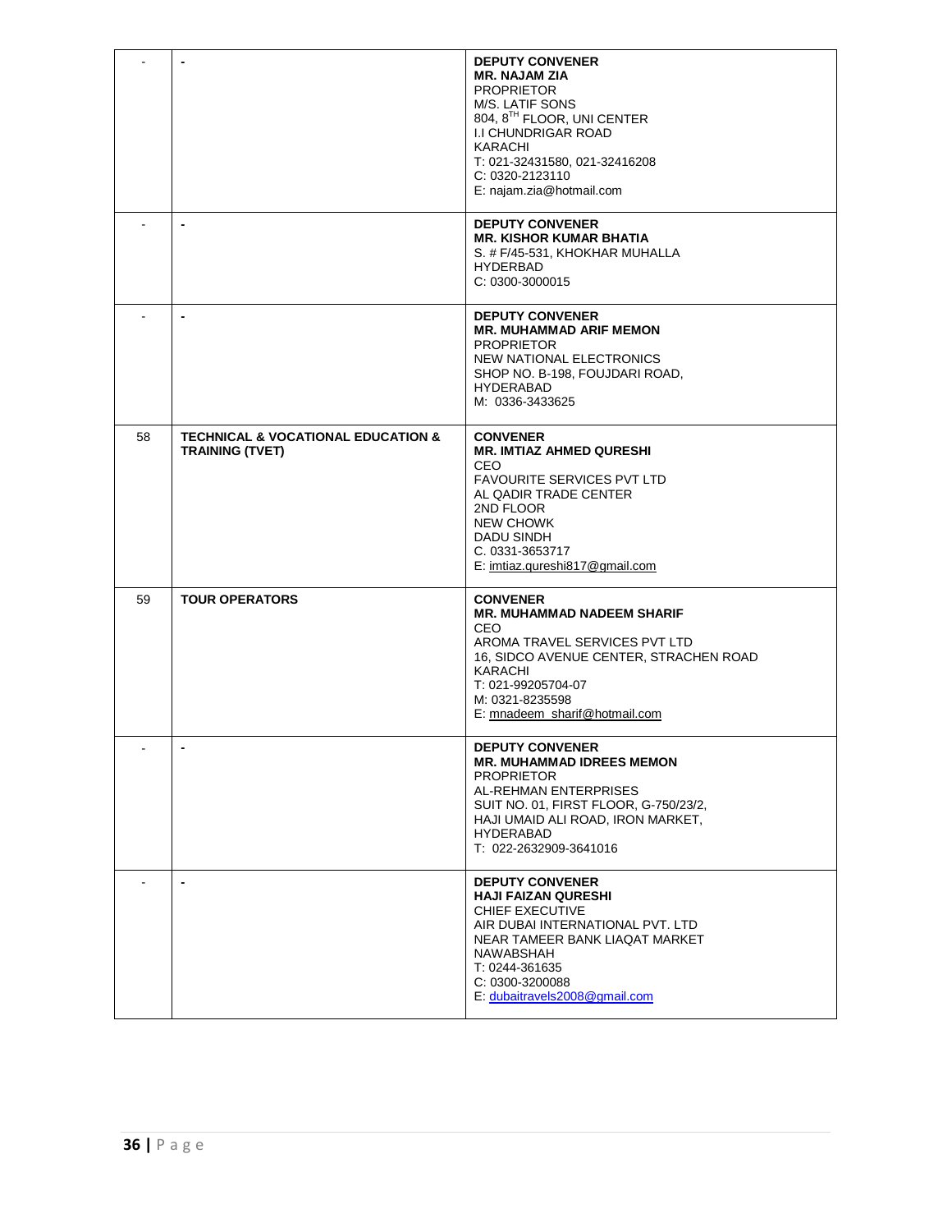|    |                                                                             | <b>DEPUTY CONVENER</b><br><b>MR. NAJAM ZIA</b><br><b>PROPRIETOR</b><br>M/S. LATIF SONS<br>804, 8TH FLOOR, UNI CENTER<br><b>I.I CHUNDRIGAR ROAD</b><br>KARACHI<br>T: 021-32431580, 021-32416208<br>C: 0320-2123110<br>E: najam.zia@hotmail.com |
|----|-----------------------------------------------------------------------------|-----------------------------------------------------------------------------------------------------------------------------------------------------------------------------------------------------------------------------------------------|
|    | ٠                                                                           | <b>DEPUTY CONVENER</b><br><b>MR. KISHOR KUMAR BHATIA</b><br>S. # F/45-531, KHOKHAR MUHALLA<br><b>HYDERBAD</b><br>C: 0300-3000015                                                                                                              |
|    |                                                                             | <b>DEPUTY CONVENER</b><br><b>MR. MUHAMMAD ARIF MEMON</b><br><b>PROPRIETOR</b><br>NEW NATIONAL ELECTRONICS<br>SHOP NO. B-198, FOUJDARI ROAD,<br><b>HYDERABAD</b><br>M: 0336-3433625                                                            |
| 58 | <b>TECHNICAL &amp; VOCATIONAL EDUCATION &amp;</b><br><b>TRAINING (TVET)</b> | <b>CONVENER</b><br><b>MR. IMTIAZ AHMED QURESHI</b><br>CEO<br>FAVOURITE SERVICES PVT LTD<br>AL QADIR TRADE CENTER<br>2ND FLOOR<br><b>NEW CHOWK</b><br>DADU SINDH<br>C. 0331-3653717<br>E: imtiaz.qureshi817@gmail.com                          |
| 59 | <b>TOUR OPERATORS</b>                                                       | <b>CONVENER</b><br><b>MR. MUHAMMAD NADEEM SHARIF</b><br>CEO<br>AROMA TRAVEL SERVICES PVT LTD<br>16, SIDCO AVENUE CENTER, STRACHEN ROAD<br>KARACHI<br>T: 021-99205704-07<br>M: 0321-8235598<br>E: mnadeem sharif@hotmail.com                   |
|    |                                                                             | <b>DEPUTY CONVENER</b><br><b>MR. MUHAMMAD IDREES MEMON</b><br><b>PROPRIETOR</b><br>AL-REHMAN ENTERPRISES<br>SUIT NO. 01, FIRST FLOOR, G-750/23/2,<br>HAJI UMAID ALI ROAD, IRON MARKET,<br><b>HYDERABAD</b><br>T: 022-2632909-3641016          |
|    | $\blacksquare$                                                              | <b>DEPUTY CONVENER</b><br><b>HAJI FAIZAN QURESHI</b><br>CHIEF EXECUTIVE<br>AIR DUBAI INTERNATIONAL PVT. LTD<br>NEAR TAMEER BANK LIAQAT MARKET<br>NAWABSHAH<br>T: 0244-361635<br>C: 0300-3200088<br>E. dubaitravels2008@gmail.com              |